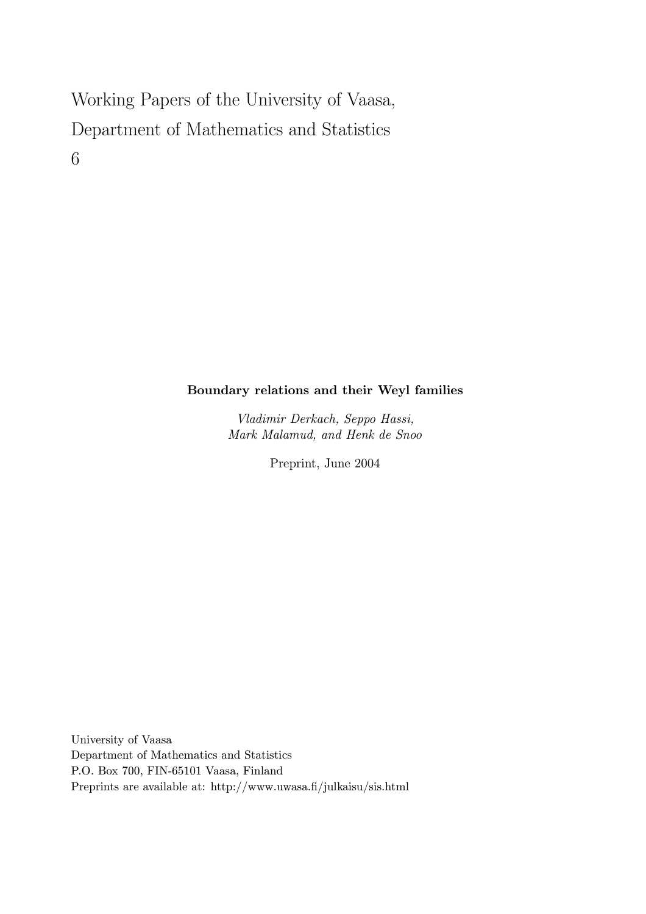# Working Papers of the University of Vaasa, Department of Mathematics and Statistics 6

# Boundary relations and their Weyl families

Vladimir Derkach, Seppo Hassi, Mark Malamud, and Henk de Snoo

Preprint, June 2004

University of Vaasa Department of Mathematics and Statistics P.O. Box 700, FIN-65101 Vaasa, Finland Preprints are available at: http://www.uwasa.fi/julkaisu/sis.html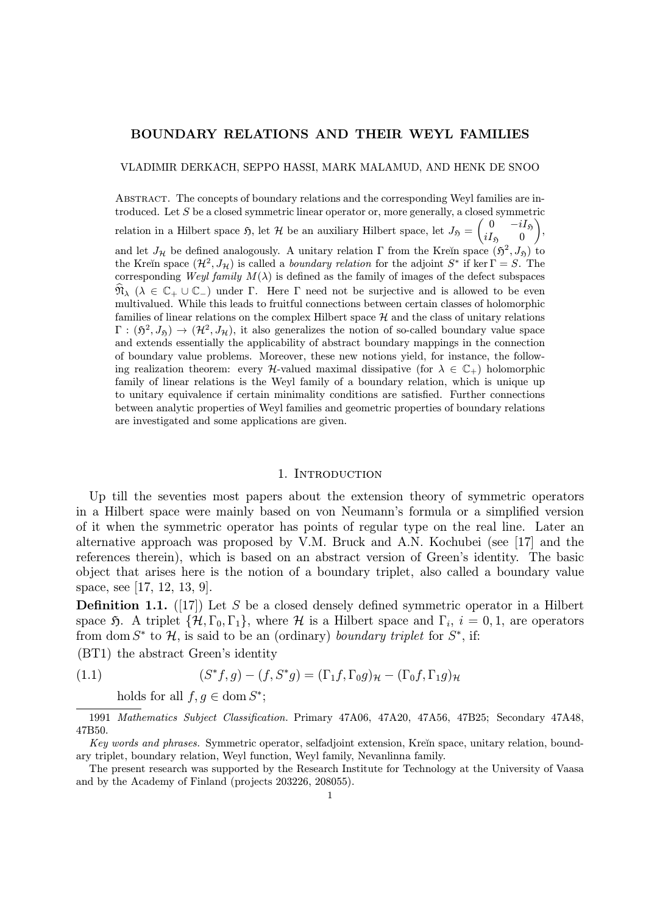#### BOUNDARY RELATIONS AND THEIR WEYL FAMILIES

VLADIMIR DERKACH, SEPPO HASSI, MARK MALAMUD, AND HENK DE SNOO

Abstract. The concepts of boundary relations and the corresponding Weyl families are introduced. Let  $S$  be a closed symmetric linear operator or, more generally, a closed symmetric relation in a Hilbert space  $\mathfrak{H}$ , let  $\mathcal{H}$  be an auxiliary Hilbert space, let  $J_{\mathfrak{H}} = \begin{pmatrix} 0 & -iI_{\mathfrak{H}} \\ iI_{\mathfrak{G}} & 0 \end{pmatrix}$  $iI_{\mathfrak{H}}=0$  $\lambda$ , and let  $J_{\mathcal{H}}$  be defined analogously. A unitary relation Γ from the Kreĭn space  $(\mathfrak{H}^2, J_{\mathfrak{H}})$  to the Kreĭn space  $(\mathcal{H}^2, J_\mathcal{H})$  is called a *boundary relation* for the adjoint S<sup>∗</sup> if ker  $\Gamma = S$ . The corresponding Weyl family  $M(\lambda)$  is defined as the family of images of the defect subspaces  $\widehat{\mathfrak{N}}_{\lambda}$  ( $\lambda \in \mathbb{C}_+ \cup \mathbb{C}_-$ ) under  $\Gamma$ . Here  $\Gamma$  need not be surjective and is allowed to be even multivalued. While this leads to fruitful connections between certain classes of holomorphic families of linear relations on the complex Hilbert space  $H$  and the class of unitary relations  $\Gamma : (\mathfrak{H}^2, J_{\mathfrak{H}}) \to (\mathcal{H}^2, J_{\mathcal{H}})$ , it also generalizes the notion of so-called boundary value space and extends essentially the applicability of abstract boundary mappings in the connection of boundary value problems. Moreover, these new notions yield, for instance, the following realization theorem: every  $\mathcal{H}\text{-valued maximal dissipative (for } \lambda \in \mathbb{C}_+$ ) holomorphic family of linear relations is the Weyl family of a boundary relation, which is unique up to unitary equivalence if certain minimality conditions are satisfied. Further connections between analytic properties of Weyl families and geometric properties of boundary relations are investigated and some applications are given.

#### 1. INTRODUCTION

Up till the seventies most papers about the extension theory of symmetric operators in a Hilbert space were mainly based on von Neumann's formula or a simplified version of it when the symmetric operator has points of regular type on the real line. Later an alternative approach was proposed by V.M. Bruck and A.N. Kochubei (see [17] and the references therein), which is based on an abstract version of Green's identity. The basic object that arises here is the notion of a boundary triplet, also called a boundary value space, see [17, 12, 13, 9].

**Definition 1.1.** ([17]) Let S be a closed densely defined symmetric operator in a Hilbert space 5. A triplet  $\{\mathcal{H}, \Gamma_0, \Gamma_1\}$ , where  $\mathcal{H}$  is a Hilbert space and  $\Gamma_i$ ,  $i = 0, 1$ , are operators from dom  $S^*$  to  $H$ , is said to be an (ordinary) boundary triplet for  $S^*$ , if:

(BT1) the abstract Green's identity

(1.1) 
$$
(S^*f,g)-(f,S^*g)=(\Gamma_1f,\Gamma_0g)_{\mathcal{H}}-(\Gamma_0f,\Gamma_1g)_{\mathcal{H}}
$$

holds for all  $f, q \in \text{dom } S^*$ ;

<sup>1991</sup> Mathematics Subject Classification. Primary 47A06, 47A20, 47A56, 47B25; Secondary 47A48, 47B50.

Key words and phrases. Symmetric operator, selfadioint extension, Kreĭn space, unitary relation, boundary triplet, boundary relation, Weyl function, Weyl family, Nevanlinna family.

The present research was supported by the Research Institute for Technology at the University of Vaasa and by the Academy of Finland (projects 203226, 208055).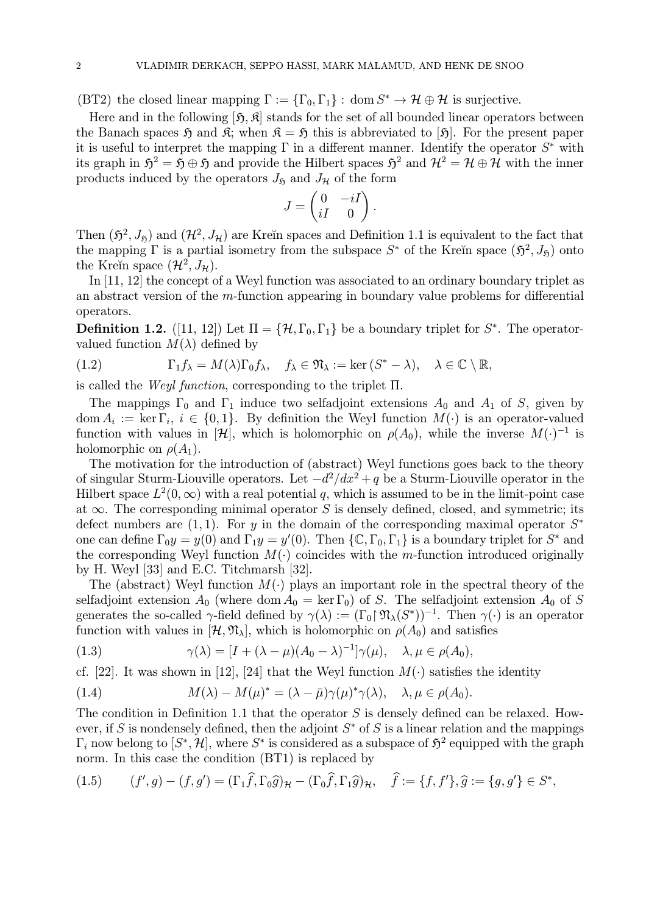(BT2) the closed linear mapping  $\Gamma := {\{\Gamma_0, \Gamma_1\}}: \text{dom } S^* \to \mathcal{H} \oplus \mathcal{H}$  is surjective.

Here and in the following  $[\tilde{\mathfrak{H}}, \tilde{\mathfrak{K}}]$  stands for the set of all bounded linear operators between the Banach spaces  $\mathfrak{H}$  and  $\mathfrak{K}$ ; when  $\mathfrak{K} = \mathfrak{H}$  this is abbreviated to [ $\mathfrak{H}$ ]. For the present paper it is useful to interpret the mapping  $\Gamma$  in a different manner. Identify the operator  $S^*$  with its graph in  $\mathfrak{H}^2 = \mathfrak{H} \oplus \mathfrak{H}$  and provide the Hilbert spaces  $\mathfrak{H}^2$  and  $\mathcal{H}^2 = \mathcal{H} \oplus \mathcal{H}$  with the inner products induced by the operators  $J_{\mathfrak{H}}$  and  $J_{\mathcal{H}}$  of the form

$$
J=\begin{pmatrix} 0 & -iI \\ iI & 0 \end{pmatrix}.
$$

Then  $(\mathfrak{H}^2, J_{\mathfrak{H}})$  and  $(\mathcal{H}^2, J_{\mathcal{H}})$  are Kreĭn spaces and Definition 1.1 is equivalent to the fact that the mapping  $\Gamma$  is a partial isometry from the subspace  $S^*$  of the Kreĭn space  $(\mathfrak{H}^2, J_{\mathfrak{H}})$  onto the Kreĭn space  $(\mathcal{H}^2, J_{\mathcal{H}})$ .

In [11, 12] the concept of a Weyl function was associated to an ordinary boundary triplet as an abstract version of the m-function appearing in boundary value problems for differential operators.

**Definition 1.2.** ([11, 12]) Let  $\Pi = \{H, \Gamma_0, \Gamma_1\}$  be a boundary triplet for  $S^*$ . The operatorvalued function  $M(\lambda)$  defined by

(1.2) 
$$
\Gamma_1 f_{\lambda} = M(\lambda) \Gamma_0 f_{\lambda}, \quad f_{\lambda} \in \mathfrak{N}_{\lambda} := \ker (S^* - \lambda), \quad \lambda \in \mathbb{C} \setminus \mathbb{R},
$$

is called the *Weyl function*, corresponding to the triplet  $\Pi$ .

The mappings  $\Gamma_0$  and  $\Gamma_1$  induce two selfadjoint extensions  $A_0$  and  $A_1$  of S, given by dom  $A_i := \ker \Gamma_i$ ,  $i \in \{0,1\}$ . By definition the Weyl function  $M(\cdot)$  is an operator-valued function with values in  $[\mathcal{H}]$ , which is holomorphic on  $\rho(A_0)$ , while the inverse  $M(\cdot)^{-1}$  is holomorphic on  $\rho(A_1)$ .

The motivation for the introduction of (abstract) Weyl functions goes back to the theory of singular Sturm-Liouville operators. Let  $-d^2/dx^2 + q$  be a Sturm-Liouville operator in the Hilbert space  $L^2(0,\infty)$  with a real potential q, which is assumed to be in the limit-point case at  $\infty$ . The corresponding minimal operator S is densely defined, closed, and symmetric; its defect numbers are  $(1, 1)$ . For y in the domain of the corresponding maximal operator  $S^*$ one can define  $\Gamma_0 y = y(0)$  and  $\Gamma_1 y = y'(0)$ . Then  $\{\mathbb{C}, \Gamma_0, \Gamma_1\}$  is a boundary triplet for  $S^*$  and the corresponding Weyl function  $M(\cdot)$  coincides with the m-function introduced originally by H. Weyl [33] and E.C. Titchmarsh [32].

The (abstract) Weyl function  $M(\cdot)$  plays an important role in the spectral theory of the selfadjoint extension  $A_0$  (where dom  $A_0 = \ker \Gamma_0$ ) of S. The selfadjoint extension  $A_0$  of S generates the so-called  $\gamma$ -field defined by  $\gamma(\lambda) := (\Gamma_0 \upharpoonright \mathfrak{N}_{\lambda}(S^*))^{-1}$ . Then  $\gamma(\cdot)$  is an operator function with values in  $[\mathcal{H}, \mathfrak{N}_{\lambda}]$ , which is holomorphic on  $\rho(A_0)$  and satisfies

(1.3) 
$$
\gamma(\lambda) = [I + (\lambda - \mu)(A_0 - \lambda)^{-1}] \gamma(\mu), \quad \lambda, \mu \in \rho(A_0),
$$

cf. [22]. It was shown in [12], [24] that the Weyl function  $M(\cdot)$  satisfies the identity

(1.4) 
$$
M(\lambda) - M(\mu)^* = (\lambda - \bar{\mu})\gamma(\mu)^*\gamma(\lambda), \quad \lambda, \mu \in \rho(A_0).
$$

The condition in Definition 1.1 that the operator  $S$  is densely defined can be relaxed. However, if S is nondensely defined, then the adjoint  $S^*$  of S is a linear relation and the mappings  $\Gamma_i$  now belong to  $[S^*, \mathcal{H}]$ , where  $S^*$  is considered as a subspace of  $\mathfrak{H}^2$  equipped with the graph norm. In this case the condition (BT1) is replaced by

$$
(1.5) \qquad (f',g) - (f,g') = (\Gamma_1 \widehat{f}, \Gamma_0 \widehat{g})_{\mathcal{H}} - (\Gamma_0 \widehat{f}, \Gamma_1 \widehat{g})_{\mathcal{H}}, \quad \widehat{f} := \{f,f'\}, \widehat{g} := \{g,g'\} \in S^*,
$$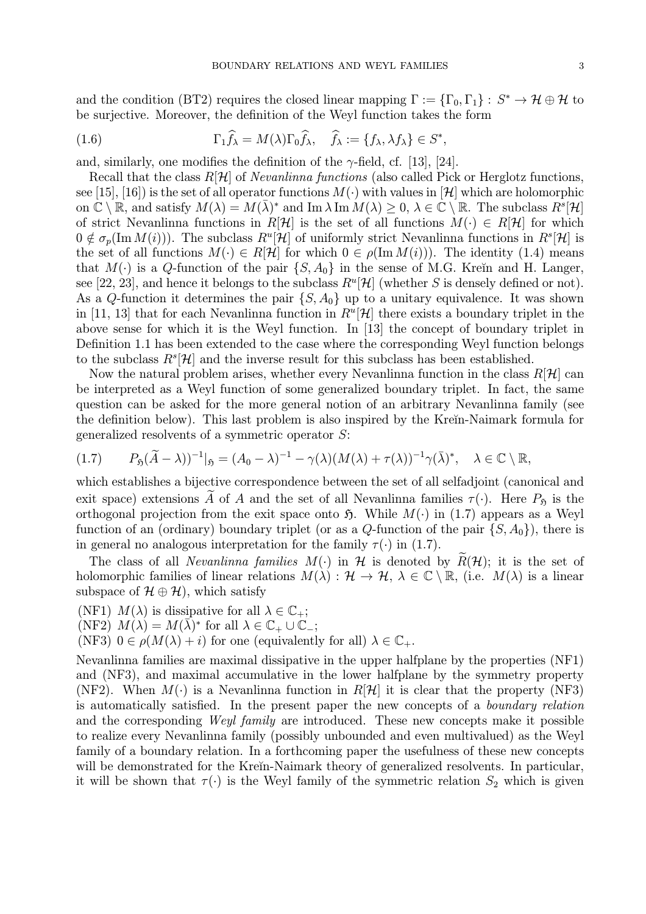and the condition (BT2) requires the closed linear mapping  $\Gamma := {\{\Gamma_0, \Gamma_1\}} : S^* \to H \oplus H$  to be surjective. Moreover, the definition of the Weyl function takes the form

(1.6) 
$$
\Gamma_1 \widehat{f}_{\lambda} = M(\lambda) \Gamma_0 \widehat{f}_{\lambda}, \quad \widehat{f}_{\lambda} := \{ f_{\lambda}, \lambda f_{\lambda} \} \in S^*,
$$

and, similarly, one modifies the definition of the  $\gamma$ -field, cf. [13], [24].

Recall that the class  $R[\mathcal{H}]$  of *Nevanlinna functions* (also called Pick or Herglotz functions, see [15], [16]) is the set of all operator functions  $M(\cdot)$  with values in [H] which are holomorphic on  $\mathbb{C} \setminus \mathbb{R}$ , and satisfy  $M(\lambda) = M(\bar{\lambda})^*$  and  $\text{Im }\lambda \text{Im }M(\lambda) \geq 0, \lambda \in \mathbb{C} \setminus \mathbb{R}$ . The subclass  $R^s[\mathcal{H}]$ of strict Nevanlinna functions in R[H] is the set of all functions  $M(\cdot) \in R[H]$  for which  $0 \notin \sigma_p(\text{Im }M(i))$ . The subclass  $R^u[\mathcal{H}]$  of uniformly strict Nevanlinna functions in  $R^s[\mathcal{H}]$  is the set of all functions  $M(\cdot) \in R[\mathcal{H}]$  for which  $0 \in \rho(\text{Im }M(i))$ . The identity (1.4) means that  $M(\cdot)$  is a Q-function of the pair  $\{S, A_0\}$  in the sense of M.G. Kreĭn and H. Langer, see [22, 23], and hence it belongs to the subclass  $R^u[\mathcal{H}]$  (whether S is densely defined or not). As a Q-function it determines the pair  $\{S, A_0\}$  up to a unitary equivalence. It was shown in [11, 13] that for each Nevanlinna function in  $R^u[\mathcal{H}]$  there exists a boundary triplet in the above sense for which it is the Weyl function. In [13] the concept of boundary triplet in Definition 1.1 has been extended to the case where the corresponding Weyl function belongs to the subclass  $R^s[\mathcal{H}]$  and the inverse result for this subclass has been established.

Now the natural problem arises, whether every Nevanlinna function in the class  $R[\mathcal{H}]$  can be interpreted as a Weyl function of some generalized boundary triplet. In fact, the same question can be asked for the more general notion of an arbitrary Nevanlinna family (see the definition below). This last problem is also inspired by the Kre˘ın-Naimark formula for generalized resolvents of a symmetric operator S:

$$
(1.7) \tP_{\mathfrak{H}}(\widetilde{A}-\lambda))^{-1}|_{\mathfrak{H}}=(A_0-\lambda)^{-1}-\gamma(\lambda)(M(\lambda)+\tau(\lambda))^{-1}\gamma(\overline{\lambda})^*, \quad \lambda\in\mathbb{C}\setminus\mathbb{R},
$$

which establishes a bijective correspondence between the set of all selfadjoint (canonical and exit space) extensions  $\widetilde{A}$  of A and the set of all Nevanlinna families  $\tau(\cdot)$ . Here  $P_{\mathfrak{H}}$  is the orthogonal projection from the exit space onto  $\mathfrak{H}$ . While  $M(\cdot)$  in (1.7) appears as a Weyl function of an (ordinary) boundary triplet (or as a Q-function of the pair  $\{S, A_0\}$ ), there is in general no analogous interpretation for the family  $\tau(\cdot)$  in (1.7).

The class of all *Nevanlinna families*  $M(\cdot)$  in  $H$  is denoted by  $R(H)$ ; it is the set of holomorphic families of linear relations  $M(\lambda) : \mathcal{H} \to \mathcal{H}$ ,  $\lambda \in \mathbb{C} \setminus \mathbb{R}$ , (i.e.  $M(\lambda)$ ) is a linear subspace of  $\mathcal{H} \oplus \mathcal{H}$ , which satisfy

(NF1)  $M(\lambda)$  is dissipative for all  $\lambda \in \mathbb{C}_+$ ;

(NF2)  $M(\lambda) = M(\overline{\lambda})^*$  for all  $\lambda \in \mathbb{C}_+ \cup \mathbb{C}_-$ ;

(NF3)  $0 \in \rho(M(\lambda) + i)$  for one (equivalently for all)  $\lambda \in \mathbb{C}_+$ .

Nevanlinna families are maximal dissipative in the upper halfplane by the properties (NF1) and (NF3), and maximal accumulative in the lower halfplane by the symmetry property (NF2). When  $M(\cdot)$  is a Nevanlinna function in  $R[\mathcal{H}]$  it is clear that the property (NF3) is automatically satisfied. In the present paper the new concepts of a boundary relation and the corresponding Weyl family are introduced. These new concepts make it possible to realize every Nevanlinna family (possibly unbounded and even multivalued) as the Weyl family of a boundary relation. In a forthcoming paper the usefulness of these new concepts will be demonstrated for the Kreĭn-Naimark theory of generalized resolvents. In particular, it will be shown that  $\tau(\cdot)$  is the Weyl family of the symmetric relation  $S_2$  which is given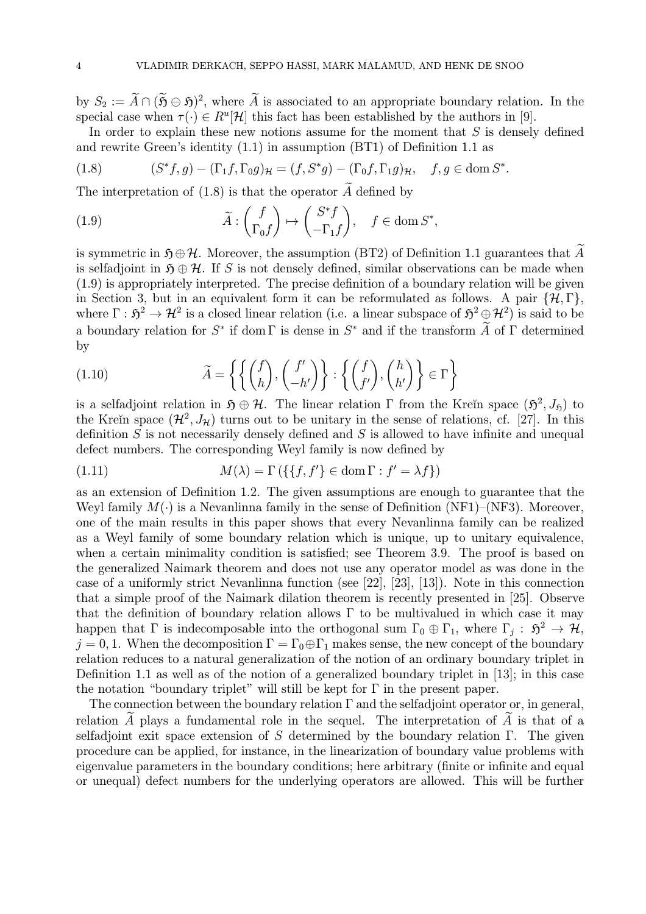by  $S_2 := \widetilde{A} \cap (\widetilde{\mathfrak{H}} \ominus \mathfrak{H})^2$ , where  $\widetilde{A}$  is associated to an appropriate boundary relation. In the special case when  $\tau(\cdot) \in R^u[\mathcal{H}]$  this fact has been established by the authors in [9].

In order to explain these new notions assume for the moment that  $S$  is densely defined and rewrite Green's identity (1.1) in assumption (BT1) of Definition 1.1 as

(1.8) 
$$
(S^*f,g) - (\Gamma_1f, \Gamma_0g)_{\mathcal{H}} = (f, S^*g) - (\Gamma_0f, \Gamma_1g)_{\mathcal{H}}, \quad f, g \in \text{dom } S^*.
$$

The interpretation of  $(1.8)$  is that the operator  $\ddot{A}$  defined by

(1.9) 
$$
\widetilde{A} : \begin{pmatrix} f \\ \Gamma_0 f \end{pmatrix} \mapsto \begin{pmatrix} S^* f \\ -\Gamma_1 f \end{pmatrix}, \quad f \in \text{dom } S^*,
$$

is symmetric in  $\mathfrak{H} \oplus \mathcal{H}$ . Moreover, the assumption (BT2) of Definition 1.1 guarantees that A is selfadjoint in  $\mathfrak{H} \oplus \mathcal{H}$ . If S is not densely defined, similar observations can be made when (1.9) is appropriately interpreted. The precise definition of a boundary relation will be given in Section 3, but in an equivalent form it can be reformulated as follows. A pair  $\{\mathcal{H}, \Gamma\}$ , where  $\Gamma : \mathfrak{H}^2 \to \mathcal{H}^2$  is a closed linear relation (i.e. a linear subspace of  $\mathfrak{H}^2 \oplus \mathcal{H}^2$ ) is said to be a boundary relation for  $S^*$  if dom Γ is dense in  $S^*$  and if the transform  $\widetilde{A}$  of  $\Gamma$  determined by

(1.10) 
$$
\widetilde{A} = \left\{ \left\{ \begin{pmatrix} f \\ h \end{pmatrix}, \begin{pmatrix} f' \\ -h' \end{pmatrix} \right\} : \left\{ \begin{pmatrix} f \\ f' \end{pmatrix}, \begin{pmatrix} h \\ h' \end{pmatrix} \right\} \in \Gamma \right\}
$$

is a selfadjoint relation in  $\mathfrak{H} \oplus \mathcal{H}$ . The linear relation Γ from the Kreĭn space  $(\mathfrak{H}^2, J_{\mathfrak{H}})$  to the Kreĭn space  $(\mathcal{H}^2, J_\mathcal{H})$  turns out to be unitary in the sense of relations, cf. [27]. In this definition  $S$  is not necessarily densely defined and  $S$  is allowed to have infinite and unequal defect numbers. The corresponding Weyl family is now defined by

(1.11) 
$$
M(\lambda) = \Gamma\left(\{\{f, f'\} \in \text{dom}\,\Gamma : f' = \lambda f\}\right)
$$

as an extension of Definition 1.2. The given assumptions are enough to guarantee that the Weyl family  $M(\cdot)$  is a Nevanlinna family in the sense of Definition (NF1)–(NF3). Moreover, one of the main results in this paper shows that every Nevanlinna family can be realized as a Weyl family of some boundary relation which is unique, up to unitary equivalence, when a certain minimality condition is satisfied; see Theorem 3.9. The proof is based on the generalized Naimark theorem and does not use any operator model as was done in the case of a uniformly strict Nevanlinna function (see [22], [23], [13]). Note in this connection that a simple proof of the Naimark dilation theorem is recently presented in [25]. Observe that the definition of boundary relation allows  $\Gamma$  to be multivalued in which case it may happen that  $\Gamma$  is indecomposable into the orthogonal sum  $\Gamma_0 \oplus \Gamma_1$ , where  $\Gamma_j : \mathfrak{H}^2 \to \mathcal{H}$ ,  $j = 0, 1$ . When the decomposition  $\Gamma = \Gamma_0 \oplus \Gamma_1$  makes sense, the new concept of the boundary relation reduces to a natural generalization of the notion of an ordinary boundary triplet in Definition 1.1 as well as of the notion of a generalized boundary triplet in [13]; in this case the notation "boundary triplet" will still be kept for  $\Gamma$  in the present paper.

The connection between the boundary relation  $\Gamma$  and the selfadjoint operator or, in general, relation  $\tilde{A}$  plays a fundamental role in the sequel. The interpretation of  $\tilde{A}$  is that of a selfadjoint exit space extension of S determined by the boundary relation  $\Gamma$ . The given procedure can be applied, for instance, in the linearization of boundary value problems with eigenvalue parameters in the boundary conditions; here arbitrary (finite or infinite and equal or unequal) defect numbers for the underlying operators are allowed. This will be further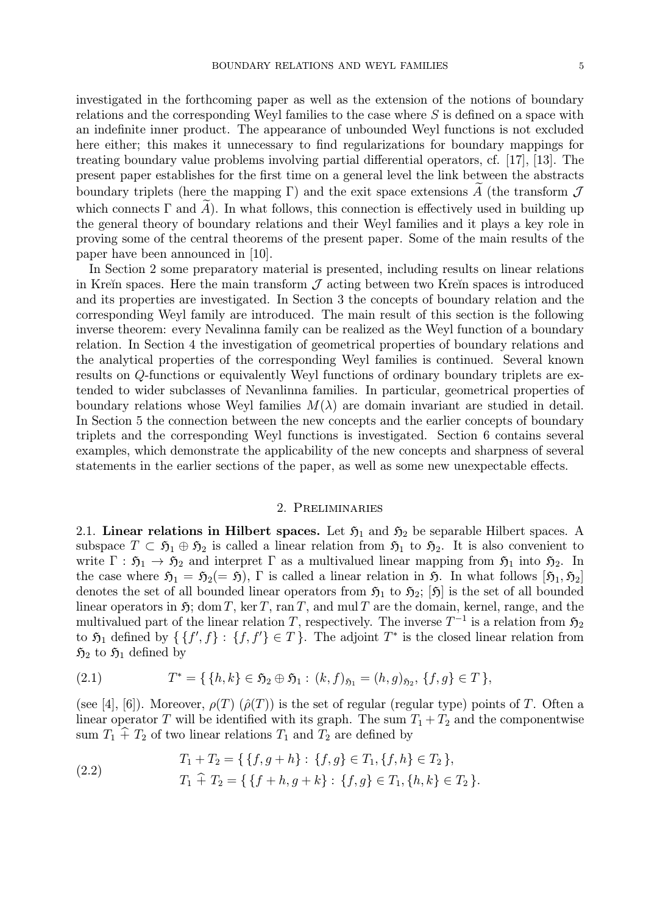investigated in the forthcoming paper as well as the extension of the notions of boundary relations and the corresponding Weyl families to the case where S is defined on a space with an indefinite inner product. The appearance of unbounded Weyl functions is not excluded here either; this makes it unnecessary to find regularizations for boundary mappings for treating boundary value problems involving partial differential operators, cf. [17], [13]. The present paper establishes for the first time on a general level the link between the abstracts boundary triplets (here the mapping  $\Gamma$ ) and the exit space extensions A (the transform  $\mathcal J$ which connects  $\Gamma$  and  $\widetilde{A}$ ). In what follows, this connection is effectively used in building up the general theory of boundary relations and their Weyl families and it plays a key role in proving some of the central theorems of the present paper. Some of the main results of the paper have been announced in [10].

In Section 2 some preparatory material is presented, including results on linear relations in Kreĭn spaces. Here the main transform  $\mathcal J$  acting between two Kreĭn spaces is introduced and its properties are investigated. In Section 3 the concepts of boundary relation and the corresponding Weyl family are introduced. The main result of this section is the following inverse theorem: every Nevalinna family can be realized as the Weyl function of a boundary relation. In Section 4 the investigation of geometrical properties of boundary relations and the analytical properties of the corresponding Weyl families is continued. Several known results on Q-functions or equivalently Weyl functions of ordinary boundary triplets are extended to wider subclasses of Nevanlinna families. In particular, geometrical properties of boundary relations whose Weyl families  $M(\lambda)$  are domain invariant are studied in detail. In Section 5 the connection between the new concepts and the earlier concepts of boundary triplets and the corresponding Weyl functions is investigated. Section 6 contains several examples, which demonstrate the applicability of the new concepts and sharpness of several statements in the earlier sections of the paper, as well as some new unexpectable effects.

#### 2. Preliminaries

2.1. Linear relations in Hilbert spaces. Let  $\mathfrak{H}_1$  and  $\mathfrak{H}_2$  be separable Hilbert spaces. A subspace  $T \subset \mathfrak{H}_1 \oplus \mathfrak{H}_2$  is called a linear relation from  $\mathfrak{H}_1$  to  $\mathfrak{H}_2$ . It is also convenient to write  $\Gamma : \mathfrak{H}_1 \to \mathfrak{H}_2$  and interpret  $\Gamma$  as a multivalued linear mapping from  $\mathfrak{H}_1$  into  $\mathfrak{H}_2$ . In the case where  $\mathfrak{H}_1 = \mathfrak{H}_2(=\mathfrak{H})$ , Γ is called a linear relation in  $\mathfrak{H}$ . In what follows  $[\mathfrak{H}_1, \mathfrak{H}_2]$ denotes the set of all bounded linear operators from  $\mathfrak{H}_1$  to  $\mathfrak{H}_2$ ;  $[\mathfrak{H}]$  is the set of all bounded linear operators in  $\mathfrak{H}$ ; dom T, ker T, ran T, and mul T are the domain, kernel, range, and the multivalued part of the linear relation T, respectively. The inverse  $T^{-1}$  is a relation from  $\mathfrak{H}_2$ to  $\mathfrak{H}_1$  defined by  $\{f', f\} : \{f, f'\} \in T\}$ . The adjoint  $T^*$  is the closed linear relation from  $\mathfrak{H}_2$  to  $\mathfrak{H}_1$  defined by

(2.1) 
$$
T^* = \{ \{h, k\} \in \mathfrak{H}_2 \oplus \mathfrak{H}_1 : (k, f)_{\mathfrak{H}_1} = (h, g)_{\mathfrak{H}_2}, \{f, g\} \in T \},
$$

(see [4], [6]). Moreover,  $\rho(T)$  ( $\rho(T)$ ) is the set of regular (regular type) points of T. Often a linear operator T will be identified with its graph. The sum  $T_1 + T_2$  and the componentwise sum  $T_1 + T_2$  of two linear relations  $T_1$  and  $T_2$  are defined by

(2.2) 
$$
T_1 + T_2 = \{ \{f, g + h\} : \{f, g\} \in T_1, \{f, h\} \in T_2 \},
$$

$$
T_1 \widehat{+} T_2 = \{ \{f + h, g + k\} : \{f, g\} \in T_1, \{h, k\} \in T_2 \}.
$$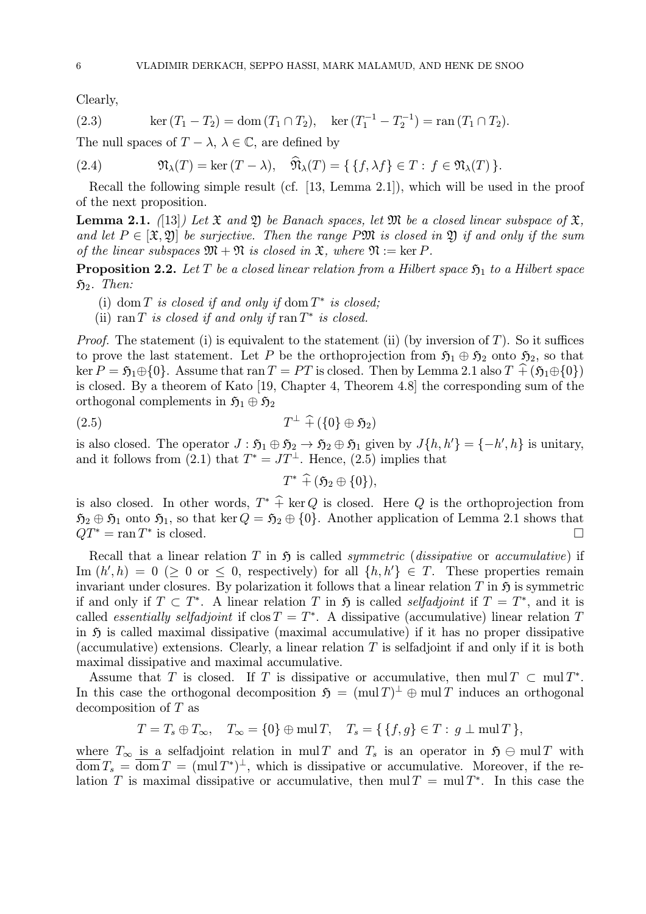Clearly,

(2.3) 
$$
\ker (T_1 - T_2) = \text{dom} (T_1 \cap T_2), \quad \ker (T_1^{-1} - T_2^{-1}) = \text{ran} (T_1 \cap T_2).
$$

The null spaces of  $T - \lambda$ ,  $\lambda \in \mathbb{C}$ , are defined by

(2.4) 
$$
\mathfrak{N}_{\lambda}(T) = \ker (T - \lambda), \quad \mathfrak{N}_{\lambda}(T) = \{ \{ f, \lambda f \} \in T : f \in \mathfrak{N}_{\lambda}(T) \}.
$$

Recall the following simple result (cf. [13, Lemma 2.1]), which will be used in the proof of the next proposition.

**Lemma 2.1.** ([13]) Let  $\mathfrak{X}$  and  $\mathfrak{Y}$  be Banach spaces, let  $\mathfrak{M}$  be a closed linear subspace of  $\mathfrak{X}$ . and let  $P \in [\mathfrak{X}, \mathfrak{Y}]$  be surjective. Then the range PM is closed in  $\mathfrak{Y}$  if and only if the sum of the linear subspaces  $\mathfrak{M} + \mathfrak{N}$  is closed in  $\mathfrak{X}$ , where  $\mathfrak{N} := \ker P$ .

**Proposition 2.2.** Let T be a closed linear relation from a Hilbert space  $\mathfrak{H}_1$  to a Hilbert space  $\mathfrak{H}_2$ . Then:

- (i) dom T is closed if and only if dom  $T^*$  is closed;
- (ii) ran T is closed if and only if ran  $T^*$  is closed.

*Proof.* The statement (i) is equivalent to the statement (ii) (by inversion of T). So it suffices to prove the last statement. Let P be the orthoprojection from  $\mathfrak{H}_1 \oplus \mathfrak{H}_2$  onto  $\mathfrak{H}_2$ , so that ker  $P = \mathfrak{H}_1 \oplus \{0\}$ . Assume that ran  $T = PT$  is closed. Then by Lemma 2.1 also  $T \uparrow (\mathfrak{H}_1 \oplus \{0\})$ is closed. By a theorem of Kato [19, Chapter 4, Theorem 4.8] the corresponding sum of the orthogonal complements in  $\mathfrak{H}_1 \oplus \mathfrak{H}_2$ 

$$
(2.5) \t\t T^{\perp} + (\{0\} \oplus \mathfrak{H}_2)
$$

is also closed. The operator  $J : \mathfrak{H}_1 \oplus \mathfrak{H}_2 \to \mathfrak{H}_2 \oplus \mathfrak{H}_1$  given by  $J\{h, h'\} = \{-h', h\}$  is unitary, and it follows from (2.1) that  $T^* = JT^{\perp}$ . Hence, (2.5) implies that

$$
T^*\,\,\widehat{+}\,(\mathfrak{H}_2\oplus\{0\}),
$$

is also closed. In other words,  $T^* \hat{+}$  ker Q is closed. Here Q is the orthoprojection from  $\mathfrak{H}_2 \oplus \mathfrak{H}_1$  onto  $\mathfrak{H}_1$ , so that ker  $Q = \mathfrak{H}_2 \oplus \{0\}$ . Another application of Lemma 2.1 shows that  $QT^* = \text{ran } T^*$  is closed.  $QT^* = \operatorname{ran} T^*$  is closed.

Recall that a linear relation T in  $\mathfrak{H}$  is called *symmetric (dissipative* or *accumulative)* if Im  $(h', h) = 0 \geq 0$  or  $\leq 0$ , respectively) for all  $\{h, h'\} \in T$ . These properties remain invariant under closures. By polarization it follows that a linear relation  $T$  in  $\mathfrak H$  is symmetric if and only if  $T \,\subset T^*$ . A linear relation T in  $\mathfrak H$  is called *selfadjoint* if  $T = T^*$ , and it is called *essentially selfadjoint* if  $\cos T = T^*$ . A dissipative (accumulative) linear relation T in  $\mathfrak H$  is called maximal dissipative (maximal accumulative) if it has no proper dissipative (accumulative) extensions. Clearly, a linear relation  $T$  is selfadjoint if and only if it is both maximal dissipative and maximal accumulative.

Assume that T is closed. If T is dissipative or accumulative, then mul  $T \subset \text{mul } T^*$ . In this case the orthogonal decomposition  $\mathfrak{H} = (\text{mul }T)^{\perp} \oplus \text{mul }T$  induces an orthogonal decomposition of T as

$$
T = T_s \oplus T_{\infty}, \quad T_{\infty} = \{0\} \oplus \text{mul } T, \quad T_s = \{ \{f, g\} \in T : g \perp \text{mul } T \},
$$

where  $T_{\infty}$  is a selfadjoint relation in mul T and  $T_s$  is an operator in  $\mathfrak{H} \oplus \text{mul } T$  with  $\overline{\text{dom}} T_s = \overline{\text{dom}} T = (\text{mul } T^*)^{\perp}$ , which is dissipative or accumulative. Moreover, if the relation T is maximal dissipative or accumulative, then  $m\mu T = muT^*$ . In this case the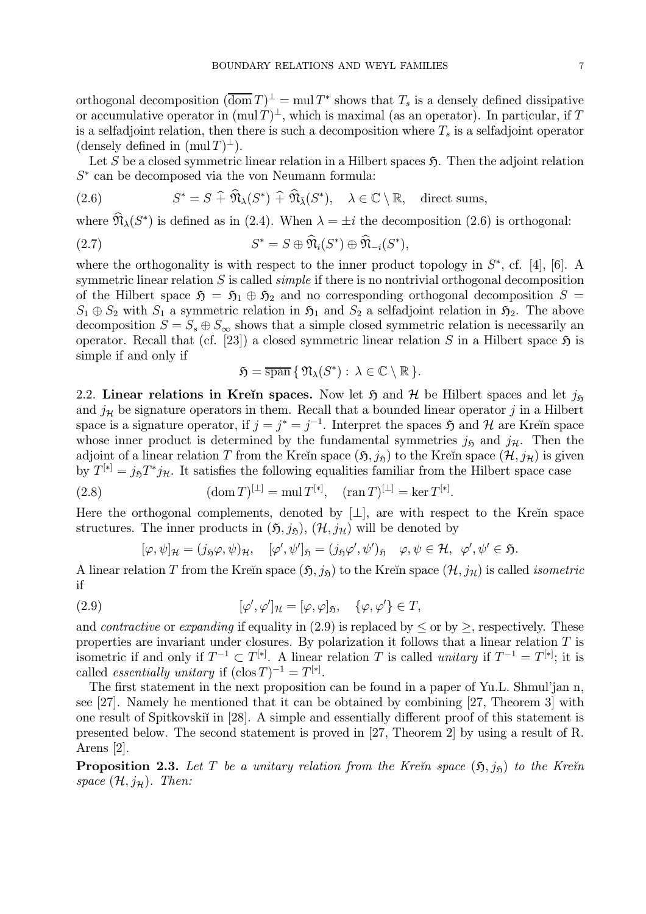orthogonal decomposition  $(\overline{\text{dom }T})^{\perp} = \text{mul }T^*$  shows that  $T_s$  is a densely defined dissipative or accumulative operator in  $(\text{mul } T)^{\perp}$ , which is maximal (as an operator). In particular, if T is a selfadjoint relation, then there is such a decomposition where  $T_s$  is a selfadjoint operator (densely defined in  $(\text{mul }T)^{\perp}$ ).

Let S be a closed symmetric linear relation in a Hilbert spaces  $\mathfrak{H}$ . Then the adjoint relation  $S<sup>*</sup>$  can be decomposed via the von Neumann formula:

(2.6) 
$$
S^* = S \widehat{+} \widehat{\mathfrak{N}}_{\lambda}(S^*) \widehat{+} \widehat{\mathfrak{N}}_{\overline{\lambda}}(S^*), \quad \lambda \in \mathbb{C} \setminus \mathbb{R}, \quad \text{direct sums,}
$$

where  $\mathfrak{N}_{\lambda}(S^*)$  is defined as in (2.4). When  $\lambda = \pm i$  the decomposition (2.6) is orthogonal:

(2.7) 
$$
S^* = S \oplus \mathfrak{N}_i(S^*) \oplus \mathfrak{N}_{-i}(S^*),
$$

where the orthogonality is with respect to the inner product topology in  $S^*$ , cf. [4], [6]. A symmetric linear relation  $S$  is called *simple* if there is no nontrivial orthogonal decomposition of the Hilbert space  $\mathfrak{H} = \mathfrak{H}_1 \oplus \mathfrak{H}_2$  and no corresponding orthogonal decomposition  $S =$  $S_1 \oplus S_2$  with  $S_1$  a symmetric relation in  $\mathfrak{H}_1$  and  $S_2$  a selfadjoint relation in  $\mathfrak{H}_2$ . The above decomposition  $S = S_s \oplus S_{\infty}$  shows that a simple closed symmetric relation is necessarily an operator. Recall that (cf. [23]) a closed symmetric linear relation S in a Hilbert space  $\mathfrak{H}$  is simple if and only if

$$
\mathfrak{H}=\overline{\operatorname{span}}\,\{\,\mathfrak{N}_{\lambda}(S^*):\,\lambda\in\mathbb{C}\setminus\mathbb{R}\,\}.
$$

2.2. Linear relations in Kreĭn spaces. Now let  $\mathfrak{H}$  and  $\mathcal{H}$  be Hilbert spaces and let  $j_{\mathfrak{H}}$ and  $j<sub>H</sub>$  be signature operators in them. Recall that a bounded linear operator j in a Hilbert space is a signature operator, if  $j = j^* = j^{-1}$ . Interpret the spaces  $\mathfrak{H}$  and  $\mathcal{H}$  are Kreĭn space whose inner product is determined by the fundamental symmetries  $j_{\mathfrak{H}}$  and  $j_{\mathcal{H}}$ . Then the adjoint of a linear relation T from the Kreĭn space  $(5, j_5)$  to the Kreĭn space  $(\mathcal{H}, j_\mathcal{H})$  is given by  $T^{[*]} = j_{\mathfrak{H}}T^*j_{\mathcal{H}}$ . It satisfies the following equalities familiar from the Hilbert space case

(2.8) 
$$
(\text{dom } T)^{[\perp]} = \text{mul } T^{[*]}, \quad (\text{ran } T)^{[\perp]} = \text{ker } T^{[*]}
$$

Here the orthogonal complements, denoted by  $\lfloor \perp \rfloor$ , are with respect to the Kreĭn space structures. The inner products in  $(\mathfrak{H}, j_{\mathfrak{H}}), (\mathcal{H}, j_{\mathcal{H}})$  will be denoted by

.

$$
[\varphi, \psi]_{\mathcal{H}} = (j_{\mathfrak{H}}\varphi, \psi)_{\mathcal{H}}, \quad [\varphi', \psi']_{\mathfrak{H}} = (j_{\mathfrak{H}}\varphi', \psi')_{\mathfrak{H}} \quad \varphi, \psi \in \mathcal{H}, \quad \varphi', \psi' \in \mathfrak{H}.
$$

A linear relation T from the Kreĭn space  $(\mathfrak{H}, j_{\mathfrak{H}})$  to the Kreĭn space  $(\mathcal{H}, j_{\mathcal{H}})$  is called *isometric* if

(2.9) 
$$
[\varphi', \varphi']_{\mathcal{H}} = [\varphi, \varphi]_{\mathfrak{H}}, \quad {\varphi, \varphi'} \in T,
$$

and *contractive* or *expanding* if equality in (2.9) is replaced by  $\leq$  or by  $\geq$ , respectively. These properties are invariant under closures. By polarization it follows that a linear relation  $T$  is isometric if and only if  $T^{-1} \subset T^{[*]}$ . A linear relation T is called unitary if  $T^{-1} = T^{[*]}$ ; it is called *essentially unitary* if  $(\text{clos } T)^{-1} = T^{[*]}.$ 

The first statement in the next proposition can be found in a paper of Yu.L. Shmul'jan n, see [27]. Namely he mentioned that it can be obtained by combining [27, Theorem 3] with one result of Spitkovski' in [28]. A simple and essentially different proof of this statement is presented below. The second statement is proved in [27, Theorem 2] by using a result of R. Arens [2].

**Proposition 2.3.** Let T be a unitary relation from the Kre $\check{n}$  space  $(\mathfrak{H}, i_{\mathfrak{h}})$  to the Kre $\check{n}$ space  $(\mathcal{H}, i_{\mathcal{H}})$ . Then: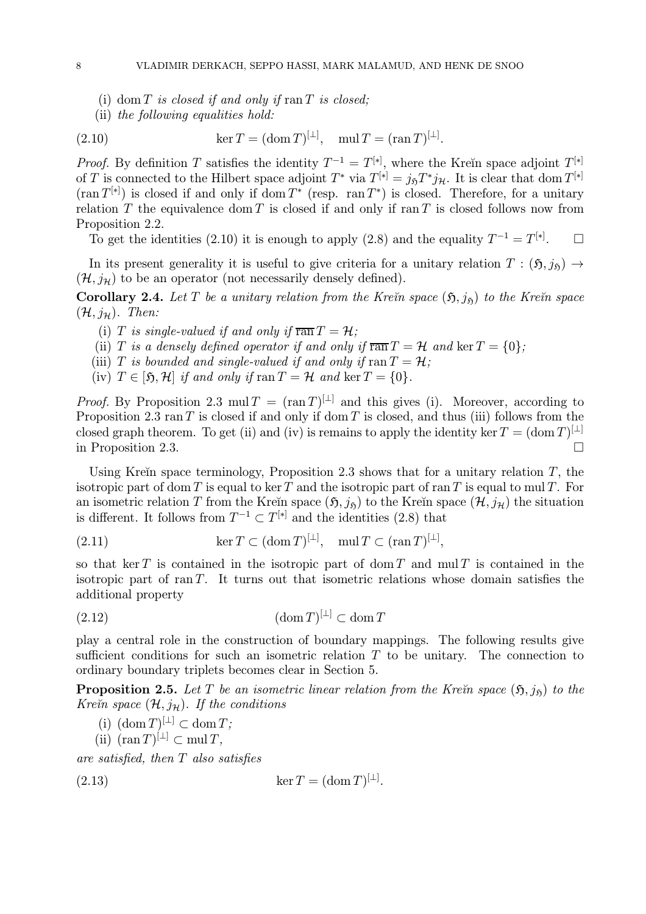- (i) dom  $T$  is closed if and only if  $ran T$  is closed;
- (ii) the following equalities hold:

(2.10) 
$$
\ker T = (\text{dom } T)^{[\perp]}, \quad \text{mul } T = (\text{ran } T)^{[\perp]}.
$$

*Proof.* By definition T satisfies the identity  $T^{-1} = T^{[*]}$ , where the Kreĭn space adjoint  $T^{[*]}$ of T is connected to the Hilbert space adjoint  $T^*$  via  $T^{[*]} = j_{\mathfrak{H}}T^*j_{\mathcal{H}}$ . It is clear that dom  $T^{[*]}$  $(\text{ran }T^{[*]})$  is closed if and only if dom  $T^*$  (resp. ran  $T^*$ ) is closed. Therefore, for a unitary relation  $T$  the equivalence dom  $T$  is closed if and only if ran  $T$  is closed follows now from Proposition 2.2.

To get the identities (2.10) it is enough to apply (2.8) and the equality  $T^{-1} = T^{[*]}$ .  $\Box$ 

In its present generality it is useful to give criteria for a unitary relation  $T : (\mathfrak{H}, j_{\mathfrak{H}}) \rightarrow$  $(\mathcal{H}, j_{\mathcal{H}})$  to be an operator (not necessarily densely defined).

**Corollary 2.4.** Let T be a unitary relation from the Kreĭn space  $(5, j_5)$  to the Kreĭn space  $(\mathcal{H}, j_{\mathcal{H}})$ . Then:

- (i) T is single-valued if and only if  $\overline{ran} T = H$ ;
- (ii) T is a densely defined operator if and only if  $\overline{ran} T = \mathcal{H}$  and  $\ker T = \{0\};$
- (iii) T is bounded and single-valued if and only if  $\text{ran } T = \mathcal{H}$ ;
- (iv)  $T \in [5, \mathcal{H}]$  if and only if  $\text{ran } T = \mathcal{H}$  and  $\text{ker } T = \{0\}.$

*Proof.* By Proposition 2.3 mul  $T = (\text{ran } T)^{[\perp]}$  and this gives (i). Moreover, according to Proposition 2.3 ran T is closed if and only if dom T is closed, and thus (iii) follows from the closed graph theorem. To get (ii) and (iv) is remains to apply the identity ker  $T = (\text{dom } T)^{\perp \perp}$ in Proposition 2.3. -

Using Kreĭn space terminology, Proposition 2.3 shows that for a unitary relation  $T$ , the isotropic part of dom T is equal to ker T and the isotropic part of ran T is equal to mul T. For an isometric relation T from the Kreĭn space  $(5, j_5)$  to the Kreĭn space  $(\mathcal{H}, j_{\mathcal{H}})$  the situation is different. It follows from  $T^{-1} \subset T^{[*]}$  and the identities (2.8) that

(2.11) 
$$
\ker T \subset (\operatorname{dom} T)^{[\perp]}, \quad \operatorname{mul} T \subset (\operatorname{ran} T)^{[\perp]},
$$

so that ker T is contained in the isotropic part of dom T and mul T is contained in the isotropic part of  $ran T$ . It turns out that isometric relations whose domain satisfies the additional property

(2.12) (dom T) [⊥] <sup>⊂</sup> dom <sup>T</sup>

play a central role in the construction of boundary mappings. The following results give sufficient conditions for such an isometric relation  $T$  to be unitary. The connection to ordinary boundary triplets becomes clear in Section 5.

**Proposition 2.5.** Let T be an isometric linear relation from the Krein space  $(\mathfrak{H},j_{\mathfrak{h}})$  to the Kre $\check{\mathit{n}}$  space  $(\mathcal{H},j_{\mathcal{H}})$ . If the conditions

.

- (i)  $(\text{dom } T)^{[\perp]} \subset \text{dom } T$ ;
- $(iii)$  (ran T)<sup>[⊥]</sup> ⊂ mul T,

are satisfied, then T also satisfies

$$
(2.13)\qquad \qquad \ker T = (\text{dom } T)^{[\perp]}
$$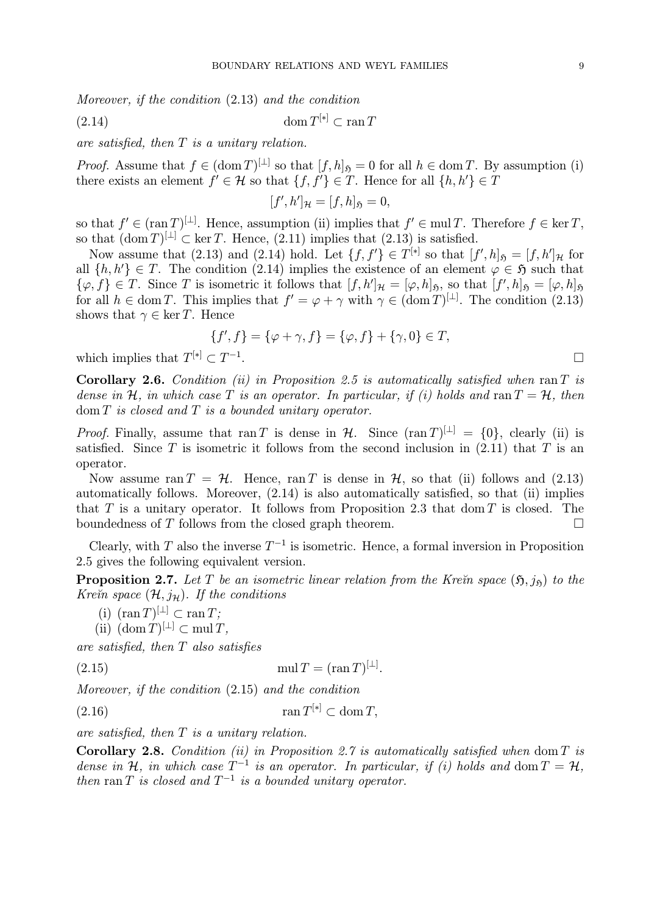Moreover, if the condition (2.13) and the condition

$$
(2.14) \t\t\t dom T^{[*]} \subset \operatorname{ran} T
$$

are satisfied, then T is a unitary relation.

*Proof.* Assume that  $f \in (\text{dom } T)^{[\perp]}$  so that  $[f, h]_5 = 0$  for all  $h \in \text{dom } T$ . By assumption (i) there exists an element  $f' \in \mathcal{H}$  so that  $\{f, f'\} \in T$ . Hence for all  $\{h, h'\} \in T$ 

$$
[f',h']_{\mathcal{H}}=[f,h]_{\mathfrak{H}}=0,
$$

so that  $f \in (\operatorname{ran} T)^{[\perp]}$ . Hence, assumption (ii) implies that  $f' \in \operatorname{mul} T$ . Therefore  $f \in \ker T$ , so that  $(\text{dom } T)^{[\perp]} \subset \text{ker } T$ . Hence, (2.11) implies that (2.13) is satisfied.

Now assume that (2.13) and (2.14) hold. Let  $\{f, f'\} \in T^{[*]}$  so that  $[f', h]_{\mathfrak{H}} = [f, h']_{\mathcal{H}}$  for all  $\{h, h'\} \in T$ . The condition (2.14) implies the existence of an element  $\varphi \in \mathfrak{H}$  such that  $\{\varphi, f\} \in T$ . Since T is isometric it follows that  $[f, h']_{\mathcal{H}} = [\varphi, h]_{\mathfrak{H}}$ , so that  $[f', h]_{\mathfrak{H}} = [\varphi, h]_{\mathfrak{H}}$ for all  $h \in \text{dom } T$ . This implies that  $f' = \varphi + \gamma$  with  $\gamma \in (\text{dom } T)^{[\perp]}$ . The condition (2.13) shows that  $\gamma \in \ker T$ . Hence

$$
\{f', f\} = \{\varphi + \gamma, f\} = \{\varphi, f\} + \{\gamma, 0\} \in T,
$$

which implies that  $T^{[*]}\subset T^{-1}$ .

Corollary 2.6. Condition (ii) in Proposition 2.5 is automatically satisfied when ran  $T$  is dense in H, in which case T is an operator. In particular, if (i) holds and ran  $T = H$ , then  $\text{dom } T$  is closed and  $T$  is a bounded unitary operator.

*Proof.* Finally, assume that ran T is dense in  $H$ . Since  $(\text{ran } T)^{[\perp]} = \{0\}$ , clearly (ii) is satisfied. Since T is isometric it follows from the second inclusion in  $(2.11)$  that T is an operator.

Now assume ran  $T = H$ . Hence, ran T is dense in H, so that (ii) follows and (2.13) automatically follows. Moreover, (2.14) is also automatically satisfied, so that (ii) implies that T is a unitary operator. It follows from Proposition 2.3 that dom T is closed. The boundedness of  $T$  follows from the closed graph theorem.  $\Box$ 

Clearly, with T also the inverse  $T^{-1}$  is isometric. Hence, a formal inversion in Proposition 2.5 gives the following equivalent version.

**Proposition 2.7.** Let T be an isometric linear relation from the Kre $\tilde{m}$  space  $(\mathfrak{H},j_{\mathfrak{H}})$  to the Kre $\check{\mathit{n}}$  space  $(\mathcal{H}, j_{\mathcal{H}})$ . If the conditions

(i)  $(\operatorname{ran} T)^{[\perp]} \subset \operatorname{ran} T;$ <br>(ii)  $(\operatorname{dom} T)^{[\perp]} \subset \operatorname{mul} T$ 

$$
(ii) \; (\operatorname{dom} T)^{[\perp]} \subset \operatorname{mul} T,
$$

are satisfied, then T also satisfies

(2.15)  $\text{mul } T = (\text{ran } T)^{[\perp]}$ .

Moreover, if the condition (2.15) and the condition

 $(2.16)$  ran  $T^{[*]}\subset \text{dom } T$ ,

are satisfied, then  $T$  is a unitary relation.

Corollary 2.8. Condition (ii) in Proposition 2.7 is automatically satisfied when dom  $T$  is dense in H, in which case  $T^{-1}$  is an operator. In particular, if (i) holds and dom  $T = H$ . then ran T is closed and  $T^{-1}$  is a bounded unitary operator.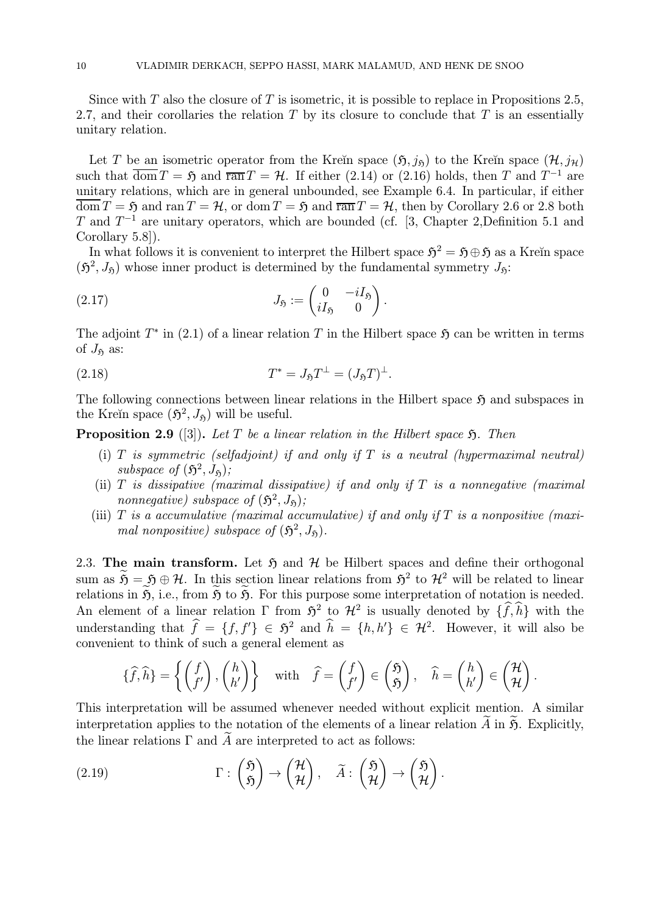Since with  $T$  also the closure of  $T$  is isometric, it is possible to replace in Propositions 2.5, 2.7, and their corollaries the relation  $T$  by its closure to conclude that  $T$  is an essentially unitary relation.

Let T be an isometric operator from the Kreĭn space  $(\mathfrak{H},j_{\tilde{\mathfrak{n}}})$  to the Kreĭn space  $(\mathcal{H},j_{\mathcal{H}})$ such that  $\overline{\text{dom}} T = \mathfrak{H}$  and  $\overline{\text{ran}} T = \mathcal{H}$ . If either (2.14) or (2.16) holds, then T and  $T^{-1}$  are unitary relations, which are in general unbounded, see Example 6.4. In particular, if either  $\overline{\text{dom}} T = \mathfrak{H}$  and ran  $T = \mathcal{H}$ , or dom  $T = \mathfrak{H}$  and  $\overline{\text{ran}} T = \mathcal{H}$ , then by Corollary 2.6 or 2.8 both T and  $T^{-1}$  are unitary operators, which are bounded (cf. [3, Chapter 2, Definition 5.1 and Corollary 5.8]).

In what follows it is convenient to interpret the Hilbert space  $\mathfrak{H}^2 = \mathfrak{H} \oplus \mathfrak{H}$  as a Kreĭn space  $(\mathfrak{H}^2, J_{\mathfrak{H}})$  whose inner product is determined by the fundamental symmetry  $J_{\mathfrak{H}}$ :

.

(2.17) 
$$
J_{\mathfrak{H}} := \begin{pmatrix} 0 & -iI_{\mathfrak{H}} \\ iI_{\mathfrak{H}} & 0 \end{pmatrix}
$$

The adjoint  $T^*$  in (2.1) of a linear relation T in the Hilbert space  $\mathfrak{H}$  can be written in terms of  $J_{\mathfrak{H}}$  as:

(2.18) 
$$
T^* = J_{\mathfrak{H}} T^{\perp} = (J_{\mathfrak{H}} T)^{\perp}.
$$

The following connections between linear relations in the Hilbert space  $\mathfrak{H}$  and subspaces in the Kreĭn space  $(\mathfrak{H}^2, J_{\mathfrak{H}})$  will be useful.

**Proposition 2.9** ([3]). Let T be a linear relation in the Hilbert space  $\mathfrak{H}$ . Then

- (i) T is symmetric (selfadjoint) if and only if T is a neutral (hypermaximal neutral) subspace of  $(\mathfrak{H}^2, J_{\mathfrak{h}})$ ;
- (ii)  $T$  is dissipative (maximal dissipative) if and only if  $T$  is a nonnegative (maximal nonnegative) subspace of  $(\mathfrak{H}^2, J_{\mathfrak{H}})$ ;
- (iii) T is a accumulative (maximal accumulative) if and only if T is a nonpositive (maximal nonpositive) subspace of  $(\mathfrak{H}^2, J_{\mathfrak{H}})$ .

2.3. The main transform. Let  $\mathfrak{H}$  and  $\mathcal{H}$  be Hilbert spaces and define their orthogonal sum as  $\widetilde{\mathfrak{H}} = \mathfrak{H} \oplus \mathcal{H}$ . In this section linear relations from  $\mathfrak{H}^2$  to  $\mathcal{H}^2$  will be related to linear relations in  $\widetilde{\mathfrak{H}}$ , i.e., from  $\widetilde{\mathfrak{H}}$  to  $\widetilde{\mathfrak{H}}$ . For this purpose some interpretation of notation is needed. An element of a linear relation  $\Gamma$  from  $\mathfrak{H}^2$  to  $\mathcal{H}^2$  is usually denoted by  $\{\hat{f}, \hat{h}\}$  with the understanding that  $\hat{f} = \{f, f'\} \in \tilde{\mathfrak{H}}^2$  and  $\hat{h} = \{h, h'\} \in \mathcal{H}^2$ . However, it will also be convenient to think of such a general element as

$$
\{\widehat{f},\widehat{h}\} = \left\{ \begin{pmatrix} f \\ f' \end{pmatrix}, \begin{pmatrix} h \\ h' \end{pmatrix} \right\} \quad \text{with} \quad \widehat{f} = \begin{pmatrix} f \\ f' \end{pmatrix} \in \begin{pmatrix} \mathfrak{H} \\ \mathfrak{H} \end{pmatrix}, \quad \widehat{h} = \begin{pmatrix} h \\ h' \end{pmatrix} \in \begin{pmatrix} \mathcal{H} \\ \mathcal{H} \end{pmatrix}.
$$

This interpretation will be assumed whenever needed without explicit mention. A similar interpretation applies to the notation of the elements of a linear relation  $\tilde{A}$  in  $\tilde{B}$ . Explicitly, the linear relations  $\Gamma$  and  $\tilde{A}$  are interpreted to act as follows:

(2.19) 
$$
\Gamma : \begin{pmatrix} \mathfrak{H} \\ \mathfrak{H} \end{pmatrix} \to \begin{pmatrix} \mathcal{H} \\ \mathcal{H} \end{pmatrix}, \quad \widetilde{A} : \begin{pmatrix} \mathfrak{H} \\ \mathcal{H} \end{pmatrix} \to \begin{pmatrix} \mathfrak{H} \\ \mathcal{H} \end{pmatrix}.
$$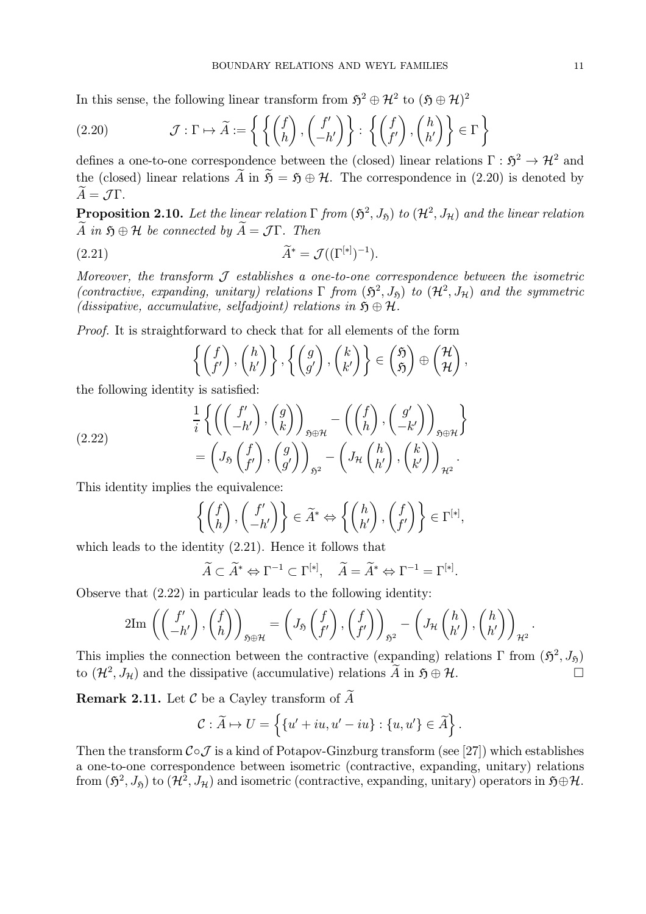In this sense, the following linear transform from  $5^2 \oplus \mathcal{H}^2$  to  $(5 \oplus \mathcal{H})^2$ 

(2.20) 
$$
\mathcal{J} : \Gamma \mapsto \widetilde{A} := \left\{ \left\{ \begin{pmatrix} f \\ h \end{pmatrix}, \begin{pmatrix} f' \\ -h' \end{pmatrix} \right\} : \left\{ \begin{pmatrix} f \\ f' \end{pmatrix}, \begin{pmatrix} h \\ h' \end{pmatrix} \right\} \in \Gamma \right\}
$$

defines a one-to-one correspondence between the (closed) linear relations  $\Gamma : \mathfrak{H}^2 \to \mathcal{H}^2$  and the (closed) linear relations  $\widetilde{A}$  in  $\widetilde{S} = S \oplus H$ . The correspondence in (2.20) is denoted by  $\widetilde{A} = \mathcal{J} \Gamma$ .

**Proposition 2.10.** Let the linear relation  $\Gamma$  from  $(\mathfrak{H}^2, J_{\mathfrak{H}})$  to  $(\mathcal{H}^2, J_{\mathfrak{H}})$  and the linear relation  $\widetilde{A}$  in  $\mathfrak{H} \oplus \mathcal{H}$  be connected by  $\widetilde{A} = \mathcal{J} \Gamma$ . Then

$$
\widetilde{A}^* = \mathcal{J}((\Gamma^{[*]})^{-1}).
$$

Moreover, the transform  $\mathcal J$  establishes a one-to-one correspondence between the isometric (contractive, expanding, unitary) relations  $\Gamma$  from  $(\mathfrak{H}^2, J_{\mathfrak{H}})$  to  $(\mathcal{H}^2, J_{\mathcal{H}})$  and the symmetric (dissipative, accumulative, selfadjoint) relations in  $\mathfrak{H} \oplus \mathcal{H}$ .

Proof. It is straightforward to check that for all elements of the form

$$
\left\{ \begin{pmatrix} f \\ f' \end{pmatrix}, \begin{pmatrix} h \\ h' \end{pmatrix} \right\}, \left\{ \begin{pmatrix} g \\ g' \end{pmatrix}, \begin{pmatrix} k \\ k' \end{pmatrix} \right\} \in \begin{pmatrix} \mathfrak{H} \\ \mathfrak{H} \end{pmatrix} \oplus \begin{pmatrix} \mathcal{H} \\ \mathcal{H} \end{pmatrix},
$$

the following identity is satisfied:

(2.22)  
\n
$$
\frac{1}{i} \left\{ \left( \begin{pmatrix} f' \\ -h' \end{pmatrix}, \begin{pmatrix} g \\ k \end{pmatrix} \right)_{\mathfrak{H}\oplus\mathcal{H}} - \left( \begin{pmatrix} f \\ h \end{pmatrix}, \begin{pmatrix} g' \\ -k' \end{pmatrix} \right)_{\mathfrak{H}\oplus\mathcal{H}} \right\}
$$
\n
$$
= \left( J_{\mathfrak{H}} \begin{pmatrix} f \\ f' \end{pmatrix}, \begin{pmatrix} g \\ g' \end{pmatrix} \right)_{\mathfrak{H}^2} - \left( J_{\mathcal{H}} \begin{pmatrix} h \\ h' \end{pmatrix}, \begin{pmatrix} k \\ k' \end{pmatrix} \right)_{\mathcal{H}^2}.
$$

This identity implies the equivalence:

$$
\left\{ \begin{pmatrix} f \\ h \end{pmatrix}, \begin{pmatrix} f' \\ -h' \end{pmatrix} \right\} \in \widetilde{A}^* \Leftrightarrow \left\{ \begin{pmatrix} h \\ h' \end{pmatrix}, \begin{pmatrix} f \\ f' \end{pmatrix} \right\} \in \Gamma^{[*]},
$$

which leads to the identity (2.21). Hence it follows that

$$
\widetilde{A} \subset \widetilde{A}^* \Leftrightarrow \Gamma^{-1} \subset \Gamma^{[*]}, \quad \widetilde{A} = \widetilde{A}^* \Leftrightarrow \Gamma^{-1} = \Gamma^{[*]}.
$$

Observe that (2.22) in particular leads to the following identity:

$$
2\mathrm{Im}\,\left(\begin{pmatrix}f'\\-h'\end{pmatrix},\begin{pmatrix}f\\h\end{pmatrix}\right)_{\mathfrak{H}\oplus\mathcal{H}}=\left(J_{\mathfrak{H}}\begin{pmatrix}f\\f'\end{pmatrix},\begin{pmatrix}f\\f'\end{pmatrix}\right)_{\mathfrak{H}^2}-\left(J_{\mathcal{H}}\begin{pmatrix}h\\h'\end{pmatrix},\begin{pmatrix}h\\h'\end{pmatrix}\right)_{\mathcal{H}^2}
$$

This implies the connection between the contractive (expanding) relations  $\Gamma$  from  $(\mathfrak{H}^2, J_{\mathfrak{H}})$ to  $(\mathcal{H}^2, J_\mathcal{H})$  and the dissipative (accumulative) relations  $\widetilde{A}$  in  $\mathfrak{H} \oplus \mathcal{H}$ .

**Remark 2.11.** Let  $\mathcal C$  be a Cayley transform of  $\widetilde{A}$ 

$$
\mathcal{C} : \widetilde{A} \mapsto U = \left\{ \{u' + iu, u' - iu\} : \{u, u'\} \in \widetilde{A} \right\}.
$$

Then the transform  $C \circ \mathcal{J}$  is a kind of Potapov-Ginzburg transform (see [27]) which establishes a one-to-one correspondence between isometric (contractive, expanding, unitary) relations from  $(\mathfrak{H}^2, J_{\mathfrak{h}})$  to  $(\mathcal{H}^2, J_{\mathcal{H}})$  and isometric (contractive, expanding, unitary) operators in  $\mathfrak{H} \oplus \mathcal{H}$ .

.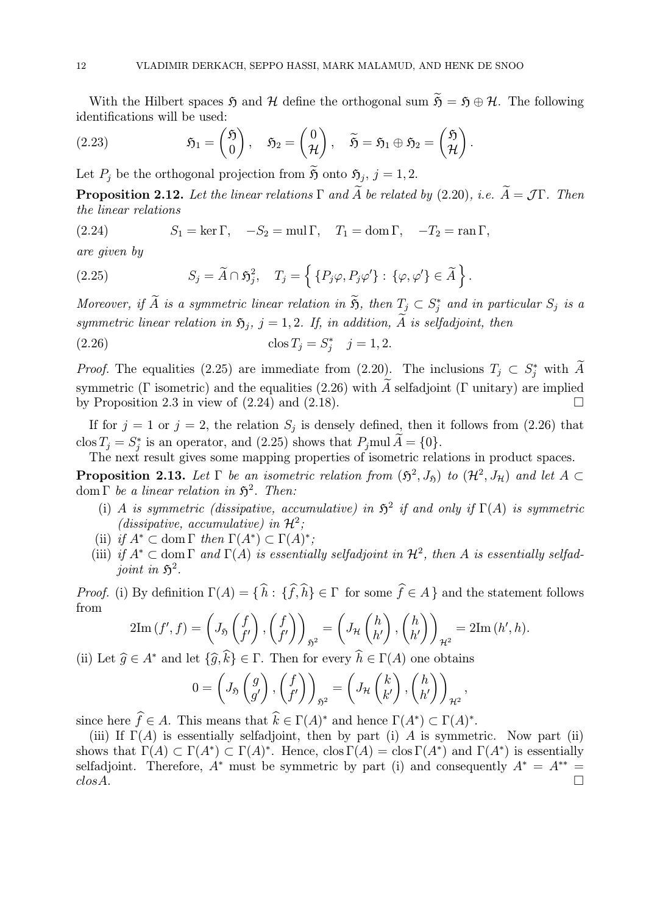With the Hilbert spaces  $\mathfrak{H}$  and  $\mathcal{H}$  define the orthogonal sum  $\widetilde{\mathfrak{H}} = \mathfrak{H} \oplus \mathcal{H}$ . The following identifications will be used:

(2.23) 
$$
\mathfrak{H}_1 = \begin{pmatrix} \mathfrak{H} \\ 0 \end{pmatrix}, \quad \mathfrak{H}_2 = \begin{pmatrix} 0 \\ \mathcal{H} \end{pmatrix}, \quad \widetilde{\mathfrak{H}} = \mathfrak{H}_1 \oplus \mathfrak{H}_2 = \begin{pmatrix} \mathfrak{H} \\ \mathcal{H} \end{pmatrix}.
$$

Let  $P_j$  be the orthogonal projection from  $\tilde{\mathfrak{H}}$  onto  $\mathfrak{H}_j$ ,  $j = 1, 2$ .

**Proposition 2.12.** Let the linear relations  $\Gamma$  and  $\widetilde{A}$  be related by (2.20), i.e.  $\widetilde{A} = \mathcal{J}\Gamma$ . Then the linear relations

(2.24) 
$$
S_1 = \ker \Gamma, \quad -S_2 = \text{mul } \Gamma, \quad T_1 = \text{dom } \Gamma, \quad -T_2 = \text{ran } \Gamma,
$$

are given by

(2.25) 
$$
S_j = \widetilde{A} \cap \widetilde{S}_j^2, \quad T_j = \left\{ \{ P_j \varphi, P_j \varphi' \} : \{ \varphi, \varphi' \} \in \widetilde{A} \right\}.
$$

Moreover, if A is a symmetric linear relation in  $\mathfrak{H}$ , then  $T_j \subset S_j^*$  and in particular  $S_j$  is a symmetric linear relation in  $\mathfrak{H}_j$ ,  $j = 1, 2$ . If, in addition,  $\widetilde{A}$  is selfadjoint, then

(2.26) 
$$
\cos T_j = S_j^* \quad j = 1, 2.
$$

*Proof.* The equalities (2.25) are immediate from (2.20). The inclusions  $T_j \,\subset S_j^*$  with A symmetric (Γ isometric) and the equalities (2.26) with  $\tilde{A}$  selfadjoint (Γ unitary) are implied<br>by Proposition 2.3 in view of (2.24) and (2.18) by Proposition 2.3 in view of  $(2.24)$  and  $(2.18)$ .

If for  $j = 1$  or  $j = 2$ , the relation  $S_j$  is densely defined, then it follows from (2.26) that clos  $T_j = S_j^*$  is an operator, and (2.25) shows that  $P_j$  mul  $A = \{0\}$ .

The next result gives some mapping properties of isometric relations in product spaces.

**Proposition 2.13.** Let  $\Gamma$  be an isometric relation from  $(\mathfrak{H}^2, J_{\mathfrak{H}})$  to  $(\mathcal{H}^2, J_{\mathfrak{H}})$  and let  $A \subset$ dom  $\Gamma$  be a linear relation in  $\mathfrak{H}^2$ . Then:

- (i) A is symmetric (dissipative, accumulative) in  $\mathfrak{H}^2$  if and only if  $\Gamma(A)$  is symmetric (dissipative, accumulative) in  $\mathcal{H}^2$ ;
- (ii) if  $A^* \subset \text{dom }\Gamma$  then  $\Gamma(A^*) \subset \Gamma(A)^*$ ;
- (iii) if  $A^* \subset$  dom  $\Gamma$  and  $\Gamma(A)$  is essentially selfadjoint in  $\mathcal{H}^2$ , then A is essentially selfadjoint in  $\mathfrak{H}^2$ .

*Proof.* (i) By definition  $\Gamma(A) = \{ h : \{ f, h \} \in \Gamma \text{ for some } f \in A \}$  and the statement follows from

$$
2\mathrm{Im}\,(f',f) = \left(J_{\mathfrak{H}}\left(\begin{matrix}f\\f'\end{matrix}\right),\left(\begin{matrix}f\\f'\end{matrix}\right)\right)_{\mathfrak{H}^2} = \left(J_{\mathcal{H}}\left(\begin{matrix}h\\h'\end{matrix}\right),\left(\begin{matrix}h\\h'\end{matrix}\right)\right)_{\mathcal{H}^2} = 2\mathrm{Im}\,(h',h).
$$

(ii) Let  $\widehat{g} \in A^*$  and let  $\{\widehat{g}, k\} \in \Gamma$ . Then for every  $h \in \Gamma(A)$  one obtains

$$
0 = \left(J_{\mathfrak{H}}\left(\begin{matrix}g\\g'\end{matrix}\right), \left(\begin{matrix}f\\f'\end{matrix}\right)\right)_{\mathfrak{H}^2} = \left(J_{\mathcal{H}}\left(\begin{matrix}k\\k'\end{matrix}\right), \left(\begin{matrix}h\\h'\end{matrix}\right)\right)_{\mathcal{H}^2},
$$

since here  $f \in A$ . This means that  $k \in \Gamma(A)^*$  and hence  $\Gamma(A^*) \subset \Gamma(A)^*$ .

(iii) If  $\Gamma(A)$  is essentially selfadjoint, then by part (i) A is symmetric. Now part (ii) shows that  $\Gamma(A) \subset \Gamma(A^*) \subset \Gamma(A)^*$ . Hence,  $\text{clos } \Gamma(A) = \text{clos } \Gamma(A^*)$  and  $\Gamma(A^*)$  is essentially selfadjoint. Therefore,  $A^*$  must be symmetric by part (i) and consequently  $A^* = A^{**} =$  $\cos A.$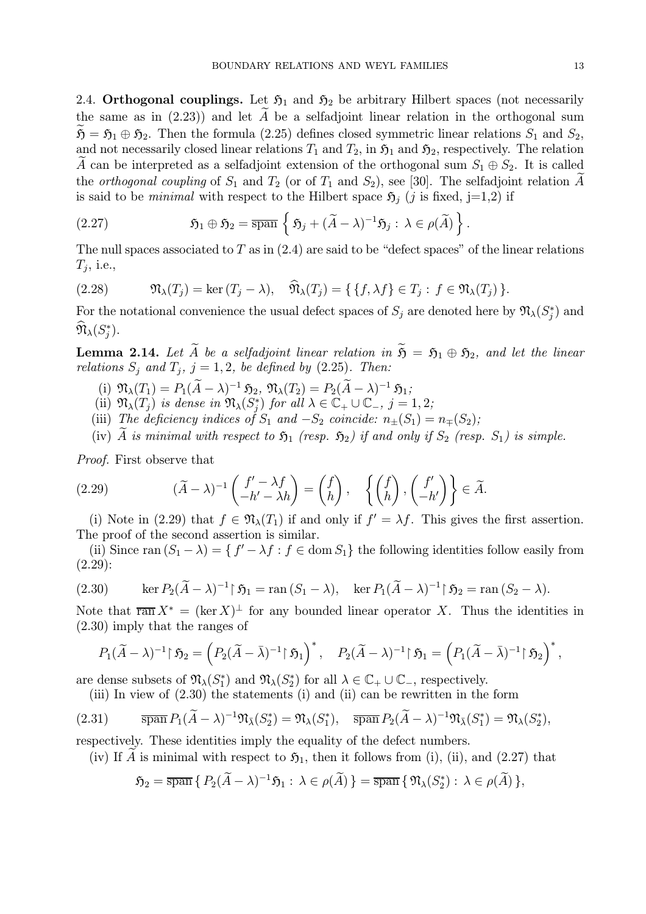2.4. Orthogonal couplings. Let  $\mathfrak{H}_1$  and  $\mathfrak{H}_2$  be arbitrary Hilbert spaces (not necessarily the same as in  $(2.23)$  and let A be a selfadjoint linear relation in the orthogonal sum  $\mathfrak{H} = \mathfrak{H}_1 \oplus \mathfrak{H}_2$ . Then the formula (2.25) defines closed symmetric linear relations  $S_1$  and  $S_2$ , and not necessarily closed linear relations  $T_1$  and  $T_2$ , in  $\mathfrak{H}_1$  and  $\mathfrak{H}_2$ , respectively. The relation A can be interpreted as a selfadjoint extension of the orthogonal sum  $S_1 \oplus S_2$ . It is called the *orthogonal coupling* of  $S_1$  and  $T_2$  (or of  $T_1$  and  $S_2$ ), see [30]. The selfadjoint relation A is said to be *minimal* with respect to the Hilbert space  $\mathfrak{H}_i$  (j is fixed, j=1,2) if

(2.27) 
$$
\qquad \qquad \mathfrak{H}_1 \oplus \mathfrak{H}_2 = \overline{\operatorname{span}} \left\{ \mathfrak{H}_j + (\widetilde{A} - \lambda)^{-1} \mathfrak{H}_j : \lambda \in \rho(\widetilde{A}) \right\}.
$$

The null spaces associated to  $T$  as in  $(2.4)$  are said to be "defect spaces" of the linear relations  $T_j$ , i.e.,

(2.28) 
$$
\mathfrak{N}_{\lambda}(T_j) = \ker (T_j - \lambda), \quad \widehat{\mathfrak{N}}_{\lambda}(T_j) = \{ \{ f, \lambda f \} \in T_j : f \in \mathfrak{N}_{\lambda}(T_j) \}.
$$

For the notational convenience the usual defect spaces of  $S_j$  are denoted here by  $\mathfrak{N}_\lambda(S_j^*)$  and  $\mathfrak{N}_{\lambda}(S^*_j).$ 

**Lemma 2.14.** Let  $\widetilde{A}$  be a selfadjoint linear relation in  $\widetilde{S} = S_1 \oplus S_2$ , and let the linear relations  $S_j$  and  $T_j$ ,  $j = 1, 2$ , be defined by (2.25). Then:

- (i)  $\mathfrak{N}_{\lambda}(T_1) = P_1(\widetilde{A} \lambda)^{-1} \mathfrak{H}_2, \mathfrak{N}_{\lambda}(T_2) = P_2(\widetilde{A} \lambda)^{-1} \mathfrak{H}_1;$
- (ii)  $\mathfrak{N}_{\lambda}(T_j)$  is dense in  $\mathfrak{N}_{\lambda}(S_j^*)$  for all  $\lambda \in \mathbb{C}_+ \cup \mathbb{C}_-, j = 1, 2;$
- (iii) The deficiency indices of  $S_1$  and  $-S_2$  coincide:  $n_{\pm}(S_1) = n_{\mp}(S_2)$ ;
- (iv) A is minimal with respect to  $\mathfrak{H}_1$  (resp.  $\mathfrak{H}_2$ ) if and only if  $S_2$  (resp.  $S_1$ ) is simple.

Proof. First observe that

(2.29) 
$$
(\widetilde{A} - \lambda)^{-1} \begin{pmatrix} f' - \lambda f \\ -h' - \lambda h \end{pmatrix} = \begin{pmatrix} f \\ h \end{pmatrix}, \quad \left\{ \begin{pmatrix} f \\ h \end{pmatrix}, \begin{pmatrix} f' \\ -h' \end{pmatrix} \right\} \in \widetilde{A}.
$$

(i) Note in (2.29) that  $f \in \mathfrak{N}_{\lambda}(T_1)$  if and only if  $f' = \lambda f$ . This gives the first assertion. The proof of the second assertion is similar.

(ii) Since ran  $(S_1 - \lambda) = \{ f' - \lambda f : f \in \text{dom } S_1 \}$  the following identities follow easily from (2.29):

(2.30) 
$$
\ker P_2(\widetilde{A} - \lambda)^{-1} \upharpoonright \mathfrak{H}_1 = \operatorname{ran}(S_1 - \lambda), \quad \ker P_1(\widetilde{A} - \lambda)^{-1} \upharpoonright \mathfrak{H}_2 = \operatorname{ran}(S_2 - \lambda).
$$

Note that  $\overline{\operatorname{ran}} X^* = (\ker X)^{\perp}$  for any bounded linear operator X. Thus the identities in (2.30) imply that the ranges of

$$
P_1(\widetilde{A}-\lambda)^{-1}\upharpoonright \mathfrak{H}_2=\left(P_2(\widetilde{A}-\bar{\lambda})^{-1}\upharpoonright \mathfrak{H}_1\right)^*,\quad P_2(\widetilde{A}-\lambda)^{-1}\upharpoonright \mathfrak{H}_1=\left(P_1(\widetilde{A}-\bar{\lambda})^{-1}\upharpoonright \mathfrak{H}_2\right)^*,
$$

are dense subsets of  $\mathfrak{N}_{\lambda}(S_1^*)$  and  $\mathfrak{N}_{\lambda}(S_2^*)$  for all  $\lambda \in \mathbb{C}_+ \cup \mathbb{C}_-$ , respectively.

(iii) In view of (2.30) the statements (i) and (ii) can be rewritten in the form

(2.31) 
$$
\overline{\operatorname{span}} P_1(\widetilde{A} - \lambda)^{-1} \mathfrak{N}_{\bar{\lambda}}(S_2^*) = \mathfrak{N}_{\lambda}(S_1^*), \quad \overline{\operatorname{span}} P_2(\widetilde{A} - \lambda)^{-1} \mathfrak{N}_{\bar{\lambda}}(S_1^*) = \mathfrak{N}_{\lambda}(S_2^*),
$$

respectively. These identities imply the equality of the defect numbers.

(iv) If A is minimal with respect to  $\mathfrak{H}_1$ , then it follows from (i), (ii), and (2.27) that

$$
\mathfrak{H}_2 = \overline{\operatorname{span}} \{ P_2(\widetilde{A} - \lambda)^{-1} \mathfrak{H}_1 : \lambda \in \rho(\widetilde{A}) \} = \overline{\operatorname{span}} \{ \mathfrak{N}_\lambda(S_2^*) : \lambda \in \rho(\widetilde{A}) \},
$$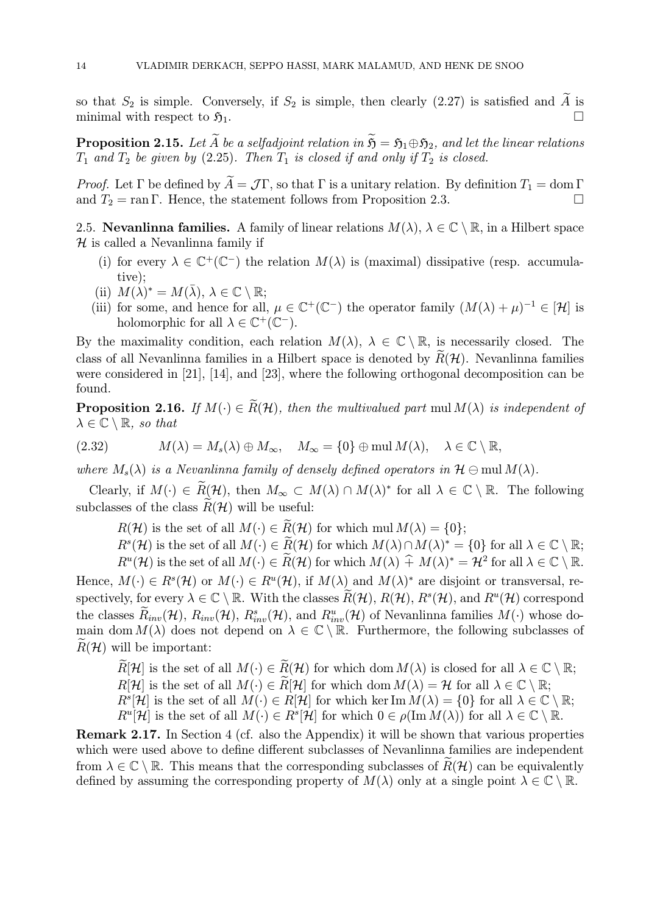so that  $S_2$  is simple. Conversely, if  $S_2$  is simple, then clearly (2.27) is satisfied and  $\widetilde{A}$  is minimal with respect to  $\widetilde{B}_1$ minimal with respect to  $\mathfrak{H}_1$ .

**Proposition 2.15.** Let  $\widetilde{A}$  be a selfadjoint relation in  $\widetilde{S} = S_1 \oplus S_2$ , and let the linear relations  $T_1$  and  $T_2$  be given by (2.25). Then  $T_1$  is closed if and only if  $T_2$  is closed.

*Proof.* Let  $\Gamma$  be defined by  $\widetilde{A} = \mathcal{J}\Gamma$ , so that  $\Gamma$  is a unitary relation. By definition  $T_1 = \text{dom }\Gamma$  and  $T_2 = \text{ran }\Gamma$ . Hence the statement follows from Proposition 2.3 and  $T_2 = \text{ran } \Gamma$ . Hence, the statement follows from Proposition 2.3.

2.5. Nevanlinna families. A family of linear relations  $M(\lambda)$ ,  $\lambda \in \mathbb{C} \setminus \mathbb{R}$ , in a Hilbert space  $H$  is called a Nevanlinna family if

- (i) for every  $\lambda \in \mathbb{C}^+(\mathbb{C}^-)$  the relation  $M(\lambda)$  is (maximal) dissipative (resp. accumulative);
- (ii)  $M(\lambda)^* = M(\overline{\lambda}), \ \lambda \in \mathbb{C} \setminus \mathbb{R};$
- (iii) for some, and hence for all,  $\mu \in \mathbb{C}^+(\mathbb{C}^-)$  the operator family  $(M(\lambda) + \mu)^{-1} \in [\mathcal{H}]$  is holomorphic for all  $\lambda \in \mathbb{C}^+(\mathbb{C}^-)$ .

By the maximality condition, each relation  $M(\lambda)$ ,  $\lambda \in \mathbb{C} \setminus \mathbb{R}$ , is necessarily closed. The class of all Nevanlinna families in a Hilbert space is denoted by  $R(\mathcal{H})$ . Nevanlinna families were considered in [21], [14], and [23], where the following orthogonal decomposition can be found.

**Proposition 2.16.** If  $M(\cdot) \in \widetilde{R}(\mathcal{H})$ , then the multivalued part mul $M(\lambda)$  is independent of  $\lambda \in \mathbb{C} \setminus \mathbb{R}$ , so that

(2.32) 
$$
M(\lambda) = M_s(\lambda) \oplus M_\infty, \quad M_\infty = \{0\} \oplus \text{mul } M(\lambda), \quad \lambda \in \mathbb{C} \setminus \mathbb{R},
$$

where  $M_s(\lambda)$  is a Nevanlinna family of densely defined operators in  $\mathcal{H} \ominus \text{mul } M(\lambda)$ .

Clearly, if  $M(\cdot) \in \widetilde{R}(\mathcal{H})$ , then  $M_{\infty} \subset M(\lambda) \cap M(\lambda)^*$  for all  $\lambda \in \mathbb{C} \setminus \mathbb{R}$ . The following subclasses of the class  $\widetilde{R}(\mathcal{H})$  will be useful:

 $R(\mathcal{H})$  is the set of all  $M(\cdot) \in \widetilde{R}(\mathcal{H})$  for which mul  $M(\lambda) = \{0\};$ 

 $R^{s}(\mathcal{H})$  is the set of all  $M(\cdot) \in \widetilde{R}(\mathcal{H})$  for which  $M(\lambda) \cap M(\lambda)^{*} = \{0\}$  for all  $\lambda \in \mathbb{C} \setminus \mathbb{R}$ ;

 $R^u(\mathcal{H})$  is the set of all  $M(\cdot) \in \widetilde{R}(\mathcal{H})$  for which  $M(\lambda) \hat{+} M(\lambda)^* = \mathcal{H}^2$  for all  $\lambda \in \mathbb{C} \setminus \mathbb{R}$ .

Hence,  $M(\cdot) \in R^{s}(\mathcal{H})$  or  $M(\cdot) \in R^{u}(\mathcal{H})$ , if  $M(\lambda)$  and  $M(\lambda)^{*}$  are disjoint or transversal, respectively, for every  $\lambda \in \mathbb{C} \setminus \mathbb{R}$ . With the classes  $R(\mathcal{H}), R(\mathcal{H}), R^s(\mathcal{H})$ , and  $R^u(\mathcal{H})$  correspond the classes  $\hat{R}_{inv}(\mathcal{H})$ ,  $R_{inv}(\mathcal{H})$ ,  $R_{inv}^s(\mathcal{H})$ , and  $R_{inv}^u(\mathcal{H})$  of Nevanlinna families  $M(\cdot)$  whose domain dom  $M(\lambda)$  does not depend on  $\lambda \in \mathbb{C} \setminus \mathbb{R}$ . Furthermore, the following subclasses of  $\widetilde{R}(\mathcal{H})$  will be important:

 $\widetilde{R}[\mathcal{H}]$  is the set of all  $M(\cdot) \in \widetilde{R}(\mathcal{H})$  for which dom  $M(\lambda)$  is closed for all  $\lambda \in \mathbb{C} \setminus \mathbb{R}$ ;  $R[\mathcal{H}]$  is the set of all  $M(\cdot) \in \widetilde{R}[\mathcal{H}]$  for which dom  $M(\lambda) = \mathcal{H}$  for all  $\lambda \in \mathbb{C} \setminus \mathbb{R}$ ;  $R^{s}[\mathcal{H}]$  is the set of all  $M(\cdot) \in R[\mathcal{H}]$  for which ker Im  $M(\lambda) = \{0\}$  for all  $\lambda \in \mathbb{C} \setminus \mathbb{R}$ ;  $R^u[\mathcal{H}]$  is the set of all  $M(\cdot) \in R^s[\mathcal{H}]$  for which  $0 \in \rho(\text{Im } M(\lambda))$  for all  $\lambda \in \mathbb{C} \setminus \mathbb{R}$ .

Remark 2.17. In Section 4 (cf. also the Appendix) it will be shown that various properties which were used above to define different subclasses of Nevanlinna families are independent from  $\lambda \in \mathbb{C} \setminus \mathbb{R}$ . This means that the corresponding subclasses of  $\widetilde{R}(\mathcal{H})$  can be equivalently defined by assuming the corresponding property of  $M(\lambda)$  only at a single point  $\lambda \in \mathbb{C} \setminus \mathbb{R}$ .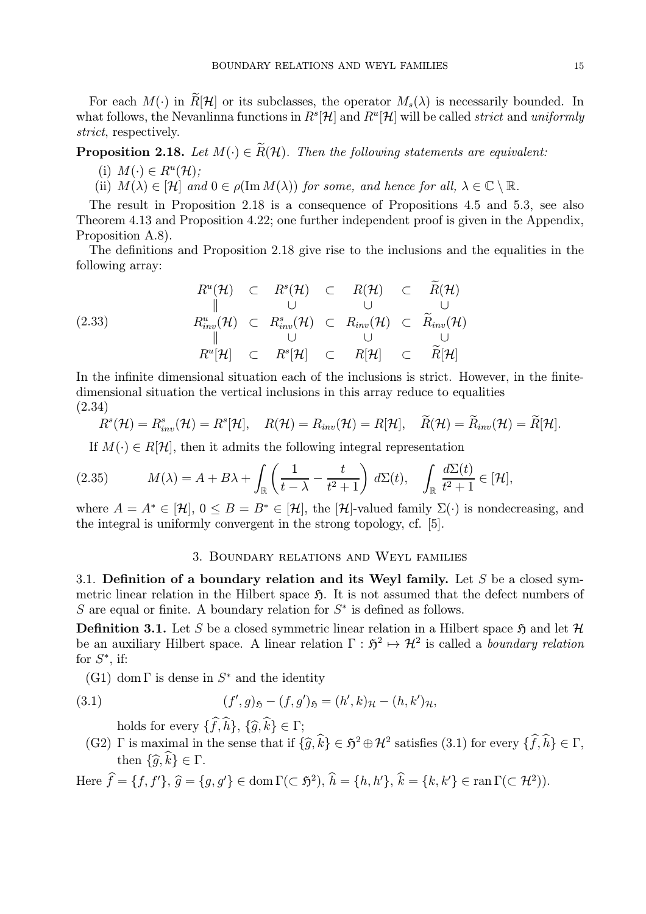For each  $M(\cdot)$  in  $\widetilde{R}[\mathcal{H}]$  or its subclasses, the operator  $M_s(\lambda)$  is necessarily bounded. In what follows, the Nevanlinna functions in  $R^{s}[\mathcal{H}]$  and  $R^{u}[\mathcal{H}]$  will be called *strict* and uniformly strict, respectively.

# **Proposition 2.18.** Let  $M(\cdot) \in \widetilde{R}(\mathcal{H})$ . Then the following statements are equivalent:

- (i)  $M(\cdot) \in R^u(\mathcal{H});$
- (ii)  $M(\lambda) \in [\mathcal{H}]$  and  $0 \in \rho(\text{Im } M(\lambda))$  for some, and hence for all,  $\lambda \in \mathbb{C} \setminus \mathbb{R}$ .

The result in Proposition 2.18 is a consequence of Propositions 4.5 and 5.3, see also Theorem 4.13 and Proposition 4.22; one further independent proof is given in the Appendix, Proposition A.8).

The definitions and Proposition 2.18 give rise to the inclusions and the equalities in the following array:

$$
R^{u}(\mathcal{H}) \quad \subset \quad R^{s}(\mathcal{H}) \quad \subset \quad R(\mathcal{H}) \quad \subset \quad R(\mathcal{H})
$$
\n
$$
\parallel \qquad \qquad \cup \qquad \qquad \cup \qquad \qquad \cup
$$
\n
$$
R^{u}_{inv}(\mathcal{H}) \quad \subset \quad R^{s}_{inv}(\mathcal{H}) \quad \subset \quad R_{inv}(\mathcal{H}) \quad \subset \quad \widetilde{R}_{inv}(\mathcal{H})
$$
\n
$$
\parallel \qquad \qquad \cup \qquad \qquad \cup \qquad \qquad \cup \qquad \qquad \cup
$$
\n
$$
R^{u}[\mathcal{H}] \quad \subset \quad R^{s}[\mathcal{H}] \quad \subset \quad R[\mathcal{H}] \quad \subset \quad \widetilde{R}[\mathcal{H}]
$$

In the infinite dimensional situation each of the inclusions is strict. However, in the finitedimensional situation the vertical inclusions in this array reduce to equalities (2.34)

$$
R^{s}(\mathcal{H})=R^{s}_{inv}(\mathcal{H})=R^{s}[\mathcal{H}], \quad R(\mathcal{H})=R_{inv}(\mathcal{H})=R[\mathcal{H}], \quad \widetilde{R}(\mathcal{H})=\widetilde{R}_{inv}(\mathcal{H})=\widetilde{R}[\mathcal{H}].
$$

If  $M(\cdot) \in R[\mathcal{H}]$ , then it admits the following integral representation

(2.35) 
$$
M(\lambda) = A + B\lambda + \int_{\mathbb{R}} \left( \frac{1}{t - \lambda} - \frac{t}{t^2 + 1} \right) d\Sigma(t), \quad \int_{\mathbb{R}} \frac{d\Sigma(t)}{t^2 + 1} \in [\mathcal{H}],
$$

where  $A = A^* \in [\mathcal{H}]$ ,  $0 \leq B = B^* \in [\mathcal{H}]$ , the  $[\mathcal{H}]$ -valued family  $\Sigma(\cdot)$  is nondecreasing, and the integral is uniformly convergent in the strong topology, cf. [5].

#### 3. Boundary relations and Weyl families

3.1. Definition of a boundary relation and its Weyl family. Let  $S$  be a closed symmetric linear relation in the Hilbert space  $\mathfrak{H}$ . It is not assumed that the defect numbers of S are equal or finite. A boundary relation for  $S^*$  is defined as follows.

**Definition 3.1.** Let S be a closed symmetric linear relation in a Hilbert space  $\mathfrak{H}$  and let  $\mathcal{H}$ be an auxiliary Hilbert space. A linear relation  $\Gamma : \mathfrak{H}^2 \mapsto \mathcal{H}^2$  is called a boundary relation for  $S^*$ , if:

(G1) dom  $\Gamma$  is dense in  $S^*$  and the identity

(3.1) 
$$
(f', g)_{\mathfrak{H}} - (f, g')_{\mathfrak{H}} = (h', k)_{\mathcal{H}} - (h, k')_{\mathcal{H}},
$$

holds for every  $\{f, h\}$ ,  $\{\widehat{g}, k\} \in \Gamma$ ;

(G2) Γ is maximal in the sense that if  $\{\widehat{g}, \widehat{k}\} \in \mathfrak{H}^2 \oplus \mathcal{H}^2$  satisfies (3.1) for every  $\{\widehat{f}, \widehat{h}\} \in \Gamma$ , then  $\{\widehat{g}, \widehat{k}\} \in \Gamma$ .

Here  $\hat{f} = \{f, f'\}, \hat{g} = \{g, g'\} \in \text{dom}\,\Gamma(\subset \mathfrak{H}^2), \hat{h} = \{h, h'\}, \hat{k} = \{k, k'\} \in \text{ran}\,\Gamma(\subset \mathcal{H}^2)).$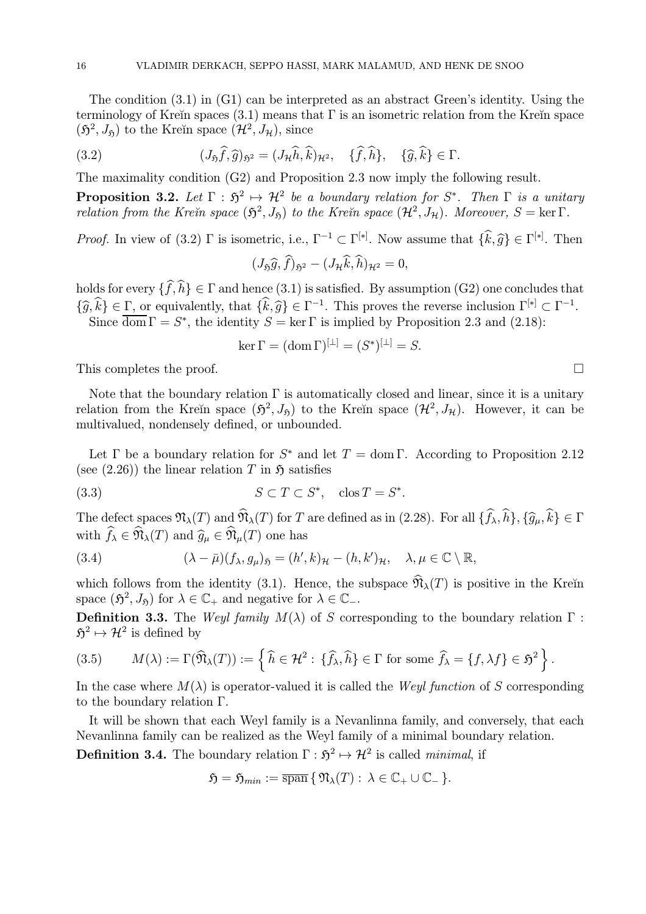The condition (3.1) in (G1) can be interpreted as an abstract Green's identity. Using the terminology of Kreĭn spaces (3.1) means that  $\Gamma$  is an isometric relation from the Kreĭn space  $(\mathfrak{H}^2, J_{\mathfrak{H}})$  to the Kreĭn space  $(\mathcal{H}^2, J_{\mathcal{H}})$ , since

(3.2) 
$$
(J_{\mathfrak{H}}\widehat{f},\widehat{g})_{\mathfrak{H}^2}=(J_{\mathcal{H}}\widehat{h},\widehat{k})_{\mathcal{H}^2},\quad \{\widehat{f},\widehat{h}\},\quad \{\widehat{g},\widehat{k}\}\in\Gamma.
$$

The maximality condition (G2) and Proposition 2.3 now imply the following result.

**Proposition 3.2.** Let  $\Gamma : \mathfrak{H}^2 \mapsto \mathcal{H}^2$  be a boundary relation for  $S^*$ . Then  $\Gamma$  is a unitary relation from the Kreĭn space  $(\mathfrak{H}^2, J_{\mathfrak{H}})$  to the Kreĭn space  $(\mathcal{H}^2, J_{\mathcal{H}})$ . Moreover,  $S = \ker \Gamma$ .

*Proof.* In view of (3.2)  $\Gamma$  is isometric, i.e.,  $\Gamma^{-1} \subset \Gamma^{[*]}$ . Now assume that  $\{\hat{k}, \hat{g}\} \in \Gamma^{[*]}$ . Then

$$
(J_{\mathfrak{H}}\widehat{g},\widehat{f})_{\mathfrak{H}^2}-(J_{\mathcal{H}}\widehat{k},\widehat{h})_{\mathcal{H}^2}=0,
$$

holds for every  $\{f, h\} \in \Gamma$  and hence  $(3.1)$  is satisfied. By assumption  $(G2)$  one concludes that  ${\{\widehat{g}, \widehat{k}\}} \in \Gamma$ , or equivalently, that  ${\{\widehat{k}, \widehat{g}\}} \in \Gamma^{-1}$ . This proves the reverse inclusion  $\Gamma^{[*]} \subset \Gamma^{-1}$ . Since  $\overline{\text{dom}} \Gamma = S^*$ , the identity  $S = \ker \Gamma$  is implied by Proposition 2.3 and (2.18):

$$
\ker \Gamma = (\operatorname{dom} \Gamma)^{[\perp]} = (S^*)^{[\perp]} = S.
$$

This completes the proof.  $\Box$ 

Note that the boundary relation  $\Gamma$  is automatically closed and linear, since it is a unitary relation from the Kreĭn space  $(\mathfrak{H}^2, J_{\mathfrak{H}})$  to the Kreĭn space  $(\mathcal{H}^2, J_{\mathcal{H}})$ . However, it can be multivalued, nondensely defined, or unbounded.

Let  $\Gamma$  be a boundary relation for  $S^*$  and let  $T = \text{dom }\Gamma$ . According to Proposition 2.12 (see  $(2.26)$ ) the linear relation T in  $\mathfrak{H}$  satisfies

(3.3) 
$$
S \subset T \subset S^*, \quad \cos T = S^*.
$$

The defect spaces  $\mathfrak{N}_{\lambda}(T)$  and  $\mathfrak{N}_{\lambda}(T)$  for T are defined as in (2.28). For all  $\{f_{\lambda}, h\}, \{\widehat{g}_{\mu}, k\} \in \Gamma$ with  $f_{\lambda} \in \mathfrak{N}_{\lambda}(T)$  and  $\widehat{g}_{\mu} \in \mathfrak{N}_{\mu}(T)$  one has

(3.4) 
$$
(\lambda - \bar{\mu})(f_{\lambda}, g_{\mu})_{\mathfrak{H}} = (h', k)_{\mathcal{H}} - (h, k')_{\mathcal{H}}, \quad \lambda, \mu \in \mathbb{C} \setminus \mathbb{R},
$$

which follows from the identity (3.1). Hence, the subspace  $\widehat{\mathfrak{N}}_{\lambda}(T)$  is positive in the Kreĭn space  $(\mathfrak{H}^2, J_{\mathfrak{H}})$  for  $\lambda \in \mathbb{C}_+$  and negative for  $\lambda \in \mathbb{C}_-$ .

Definition 3.3. The Weyl family  $M(\lambda)$  of S corresponding to the boundary relation  $\Gamma$ :  $\mathfrak{H}^2 \mapsto \mathcal{H}^2$  is defined by

(3.5) 
$$
M(\lambda) := \Gamma(\widehat{\mathfrak{N}}_{\lambda}(T)) := \left\{ \widehat{h} \in \mathcal{H}^2 : \{\widehat{f}_{\lambda}, \widehat{h}\} \in \Gamma \text{ for some } \widehat{f}_{\lambda} = \{f, \lambda f\} \in \mathfrak{H}^2 \right\}.
$$

In the case where  $M(\lambda)$  is operator-valued it is called the Weyl function of S corresponding to the boundary relation Γ.

It will be shown that each Weyl family is a Nevanlinna family, and conversely, that each Nevanlinna family can be realized as the Weyl family of a minimal boundary relation.

**Definition 3.4.** The boundary relation  $\Gamma : \mathfrak{H}^2 \mapsto \mathcal{H}^2$  is called *minimal*, if

$$
\mathfrak{H}=\mathfrak{H}_{min}:=\overline{\operatorname{span}}\{\,\mathfrak{N}_{\lambda}(T):\,\lambda\in\mathbb{C}_{+}\cup\mathbb{C}_{-}\,\}.
$$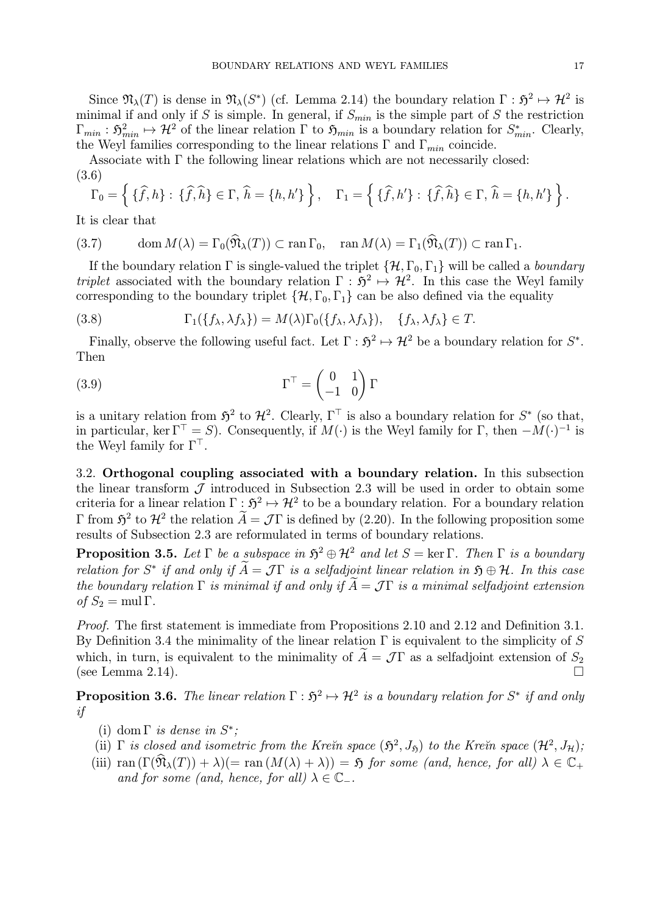Since  $\mathfrak{N}_{\lambda}(T)$  is dense in  $\mathfrak{N}_{\lambda}(S^*)$  (cf. Lemma 2.14) the boundary relation  $\Gamma : \mathfrak{H}^2 \mapsto \mathcal{H}^2$  is minimal if and only if S is simple. In general, if  $S_{min}$  is the simple part of S the restriction  $\Gamma_{min}: \mathfrak{H}_{min}^2 \mapsto \mathcal{H}^2$  of the linear relation  $\Gamma$  to  $\mathfrak{H}_{min}$  is a boundary relation for  $S_{min}^*$ . Clearly, the Weyl families corresponding to the linear relations  $\Gamma$  and  $\Gamma_{min}$  coincide.

Associate with Γ the following linear relations which are not necessarily closed: (3.6)

$$
\Gamma_0 = \left\{ \{\widehat{f}, h\} : \{\widehat{f}, \widehat{h}\} \in \Gamma, \,\widehat{h} = \{h, h'\} \right\}, \quad \Gamma_1 = \left\{ \{\widehat{f}, h'\} : \{\widehat{f}, \widehat{h}\} \in \Gamma, \,\widehat{h} = \{h, h'\} \right\}.
$$

It is clear that

(3.7) 
$$
\operatorname{dom} M(\lambda) = \Gamma_0(\widehat{\mathfrak{N}}_{\lambda}(T)) \subset \operatorname{ran} \Gamma_0, \quad \operatorname{ran} M(\lambda) = \Gamma_1(\widehat{\mathfrak{N}}_{\lambda}(T)) \subset \operatorname{ran} \Gamma_1.
$$

If the boundary relation  $\Gamma$  is single-valued the triplet  $\{\mathcal{H}, \Gamma_0, \Gamma_1\}$  will be called a *boundary* triplet associated with the boundary relation  $\Gamma : \mathfrak{H}^2 \to \mathcal{H}^2$ . In this case the Weyl family corresponding to the boundary triplet  $\{\mathcal{H}, \Gamma_0, \Gamma_1\}$  can be also defined via the equality

(3.8) 
$$
\Gamma_1(\lbrace f_\lambda, \lambda f_\lambda \rbrace) = M(\lambda) \Gamma_0(\lbrace f_\lambda, \lambda f_\lambda \rbrace), \quad \lbrace f_\lambda, \lambda f_\lambda \rbrace \in T.
$$

Finally, observe the following useful fact. Let  $\Gamma : \mathfrak{H}^2 \mapsto \mathcal{H}^2$  be a boundary relation for  $S^*$ . Then

(3.9) 
$$
\Gamma^{\top} = \begin{pmatrix} 0 & 1 \\ -1 & 0 \end{pmatrix} \Gamma
$$

is a unitary relation from  $\mathfrak{H}^2$  to  $\mathcal{H}^2$ . Clearly,  $\Gamma^{\top}$  is also a boundary relation for  $S^*$  (so that, in particular, ker  $\Gamma^{\top} = S$ ). Consequently, if  $M(\cdot)$  is the Weyl family for  $\Gamma$ , then  $-M(\cdot)^{-1}$  is the Weyl family for  $\Gamma^{\top}$ .

3.2. Orthogonal coupling associated with a boundary relation. In this subsection the linear transform  $\mathcal J$  introduced in Subsection 2.3 will be used in order to obtain some criteria for a linear relation  $\Gamma : \mathfrak{H}^2 \mapsto \mathcal{H}^2$  to be a boundary relation. For a boundary relation Γ from  $\mathfrak{H}^2$  to  $\mathcal{H}^2$  the relation  $\widetilde{A} = \mathcal{J}\Gamma$  is defined by (2.20). In the following proposition some results of Subsection 2.3 are reformulated in terms of boundary relations.

**Proposition 3.5.** Let  $\Gamma$  be a subspace in  $\mathfrak{H}^2 \oplus \mathcal{H}^2$  and let  $S = \ker \Gamma$ . Then  $\Gamma$  is a boundary relation for S<sup>\*</sup> if and only if  $\widetilde{A} = \mathcal{J}\Gamma$  is a selfadjoint linear relation in  $\mathfrak{H} \oplus \mathcal{H}$ . In this case the boundary relation  $\Gamma$  is minimal if and only if  $\widetilde{A} = \mathcal{J}\Gamma$  is a minimal selfadjoint extension of  $S_2 = \text{mul }\Gamma$ .

Proof. The first statement is immediate from Propositions 2.10 and 2.12 and Definition 3.1. By Definition 3.4 the minimality of the linear relation  $\Gamma$  is equivalent to the simplicity of S which, in turn, is equivalent to the minimality of  $\widetilde{A} = \mathcal{J}\Gamma$  as a selfadjoint extension of  $S_2$ (see Lemma  $2.14$ ).

**Proposition 3.6.** The linear relation  $\Gamma : \mathfrak{H}^2 \mapsto \mathcal{H}^2$  is a boundary relation for  $S^*$  if and only if

- (i) dom  $\Gamma$  is dense in  $S^*$ :
- (ii)  $\Gamma$  is closed and isometric from the Kre $\tilde{m}$  space  $(\mathfrak{H}^2, J_{\mathfrak{H}})$  to the Kre $\tilde{m}$  space  $(\mathcal{H}^2, J_{\mathcal{H}})$ ;
- (iii) ran  $(\Gamma(\widehat{\mathfrak{N}}_{\lambda}(T)) + \lambda)(= \text{ran} (M(\lambda) + \lambda)) = \mathfrak{H}$  for some (and, hence, for all)  $\lambda \in \mathbb{C}_+$ and for some (and, hence, for all)  $\lambda \in \mathbb{C}_-.$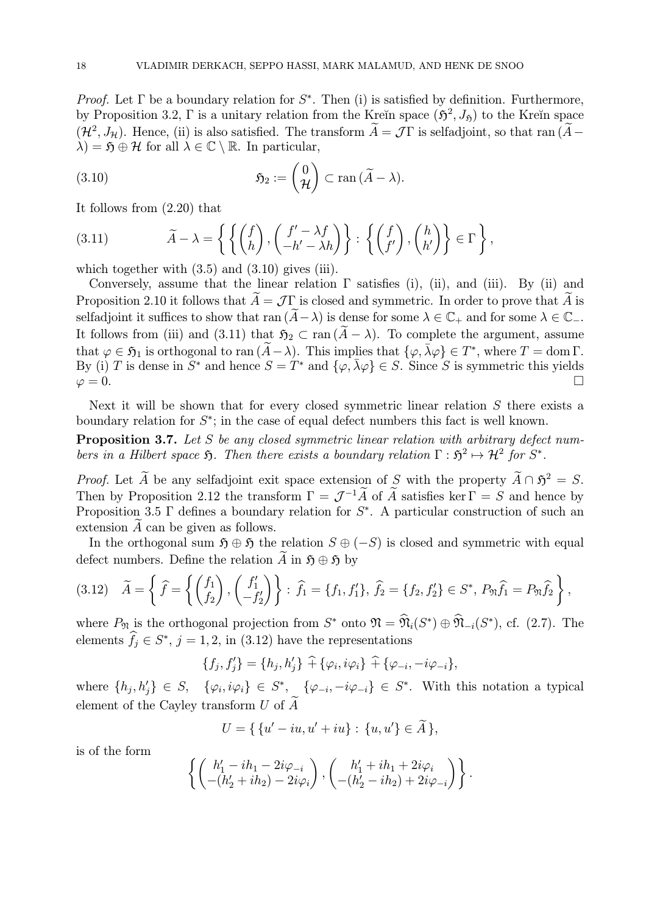*Proof.* Let  $\Gamma$  be a boundary relation for  $S^*$ . Then (i) is satisfied by definition. Furthermore, by Proposition 3.2, Γ is a unitary relation from the Kreĭn space  $(\mathfrak{H}^2, J_{\mathfrak{H}})$  to the Kreĭn space  $(\mathcal{H}^2, J_\mathcal{H})$ . Hence, (ii) is also satisfied. The transform  $\widetilde{A} = \mathcal{J}\Gamma$  is selfadjoint, so that ran  $(\widetilde{A} \lambda$ ) = 5  $\oplus$  H for all  $\lambda \in \mathbb{C} \setminus \mathbb{R}$ . In particular,

(3.10) 
$$
\mathfrak{H}_2 := \begin{pmatrix} 0 \\ \mathcal{H} \end{pmatrix} \subset \text{ran} \, (\widetilde{A} - \lambda).
$$

It follows from (2.20) that

(3.11) 
$$
\widetilde{A} - \lambda = \left\{ \left\{ \begin{pmatrix} f \\ h \end{pmatrix}, \begin{pmatrix} f' - \lambda f \\ -h' - \lambda h \end{pmatrix} \right\} : \left\{ \begin{pmatrix} f \\ f' \end{pmatrix}, \begin{pmatrix} h \\ h' \end{pmatrix} \right\} \in \Gamma \right\},
$$

which together with  $(3.5)$  and  $(3.10)$  gives (iii).

Conversely, assume that the linear relation  $\Gamma$  satisfies (i), (ii), and (iii). By (ii) and Proposition 2.10 it follows that  $\ddot{A} = \mathcal{J}\Gamma$  is closed and symmetric. In order to prove that  $\ddot{A}$  is selfadjoint it suffices to show that ran  $(\widetilde{A}-\lambda)$  is dense for some  $\lambda \in \mathbb{C}_+$  and for some  $\lambda \in \mathbb{C}_-$ . It follows from (iii) and (3.11) that  $\mathfrak{H}_2 \subset \text{ran } (\tilde{A} - \lambda)$ . To complete the argument, assume that  $\varphi \in \mathfrak{H}_1$  is orthogonal to ran  $(\widetilde{A}-\lambda)$ . This implies that  $\{\varphi, \overline{\lambda}\varphi\} \in T^*$ , where  $T = \text{dom }\Gamma$ . By (i) T is dense in  $S^*$  and hence  $S = T^*$  and  $\{\varphi, \bar{\lambda}\varphi\} \in S$ . Since S is symmetric this yields  $\varphi = 0$ .  $\varphi = 0.$ 

Next it will be shown that for every closed symmetric linear relation  $S$  there exists a boundary relation for  $S^*$ ; in the case of equal defect numbers this fact is well known.

Proposition 3.7. Let S be any closed symmetric linear relation with arbitrary defect numbers in a Hilbert space  $\mathfrak{H}$ . Then there exists a boundary relation  $\Gamma : \mathfrak{H}^2 \mapsto \mathcal{H}^2$  for  $S^*$ .

*Proof.* Let  $\widetilde{A}$  be any selfadjoint exit space extension of S with the property  $\widetilde{A} \cap \widetilde{D}^2 = S$ . Then by Proposition 2.12 the transform  $\Gamma = \mathcal{J}^{-1}\widetilde{A}$  of  $\widetilde{A}$  satisfies ker  $\Gamma = S$  and hence by Proposition 3.5  $\Gamma$  defines a boundary relation for  $S^*$ . A particular construction of such an extension  $\overline{A}$  can be given as follows.

In the orthogonal sum  $\mathfrak{H} \oplus \mathfrak{H}$  the relation  $S \oplus (-S)$  is closed and symmetric with equal defect numbers. Define the relation  $\widetilde{A}$  in  $\mathfrak{H} \oplus \mathfrak{H}$  by

$$
(3.12) \quad \widetilde{A} = \left\{ \widehat{f} = \left\{ \begin{pmatrix} f_1 \\ f_2 \end{pmatrix}, \begin{pmatrix} f'_1 \\ -f'_2 \end{pmatrix} \right\} : \widehat{f}_1 = \{f_1, f'_1\}, \widehat{f}_2 = \{f_2, f'_2\} \in S^*, P_{\mathfrak{N}} \widehat{f}_1 = P_{\mathfrak{N}} \widehat{f}_2 \right\},
$$

where  $P_{\mathfrak{N}}$  is the orthogonal projection from  $S^*$  onto  $\mathfrak{N} = \widehat{\mathfrak{N}}_i(S^*) \oplus \widehat{\mathfrak{N}}_{-i}(S^*)$ , cf. (2.7). The elements  $f_j \in S^*$ ,  $j = 1, 2$ , in (3.12) have the representations

$$
\{f_j, f'_j\} = \{h_j, h'_j\} \widehat{+} \{\varphi_i, i\varphi_i\} \widehat{+} \{\varphi_{-i}, -i\varphi_{-i}\},\
$$

where  $\{h_j, h'_j\} \in S$ ,  $\{\varphi_i, i\varphi_i\} \in S^*$ ,  $\{\varphi_{-i}, -i\varphi_{-i}\} \in S^*$ . With this notation a typical element of the Cayley transform U of  $\widetilde{A}$ 

$$
U = \{ \{u' - iu, u' + iu\} : \{u, u'\} \in \widetilde{A} \},
$$

is of the form

$$
\left\{ \begin{pmatrix} h'_1 - ih_1 - 2i\varphi_{-i} \\ -(h'_2 + ih_2) - 2i\varphi_i \end{pmatrix}, \begin{pmatrix} h'_1 + ih_1 + 2i\varphi_i \\ -(h'_2 - ih_2) + 2i\varphi_{-i} \end{pmatrix} \right\}.
$$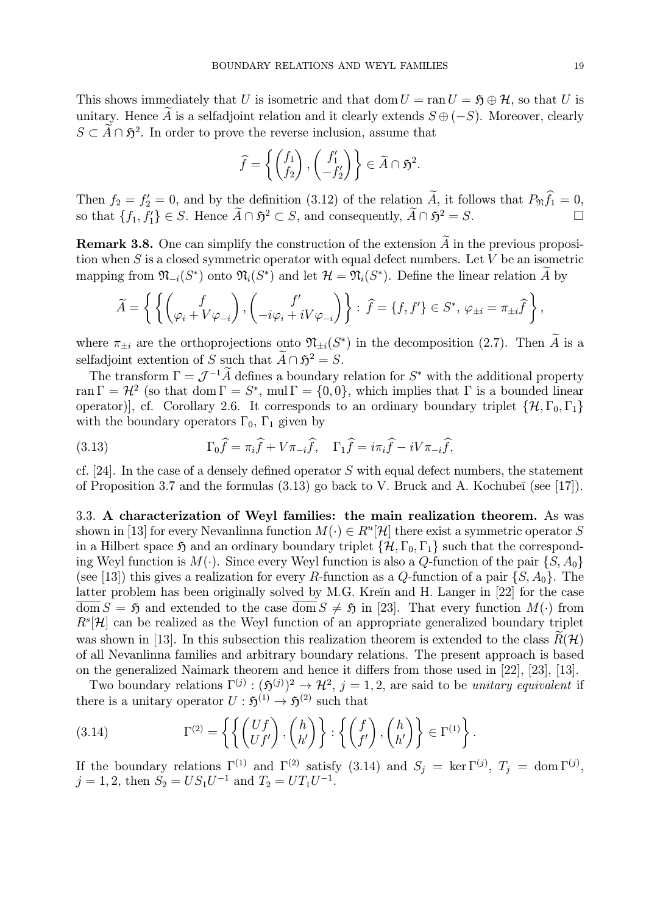This shows immediately that U is isometric and that dom  $U = \text{ran } U = \mathfrak{H} \oplus \mathcal{H}$ , so that U is unitary. Hence A is a selfadjoint relation and it clearly extends  $S \oplus (-S)$ . Moreover, clearly  $S \subset \widetilde{A} \cap \mathfrak{H}^2$ . In order to prove the reverse inclusion, assume that

$$
\widehat{f} = \left\{ \begin{pmatrix} f_1 \\ f_2 \end{pmatrix}, \begin{pmatrix} f'_1 \\ -f'_2 \end{pmatrix} \right\} \in \widetilde{A} \cap \mathfrak{H}^2.
$$

Then  $f_2 = f_2' = 0$ , and by the definition (3.12) of the relation A, it follows that  $P_{\mathfrak{N}} f_1 = 0$ , so that  $\{f_1, f'_1\} \in S$ . Hence  $\widetilde{A} \cap \mathfrak{H}^2 \subset S$ , and consequently,  $\widetilde{A} \cap \mathfrak{H}^2 = S$ .

**Remark 3.8.** One can simplify the construction of the extension  $\widetilde{A}$  in the previous proposition when  $S$  is a closed symmetric operator with equal defect numbers. Let  $V$  be an isometric mapping from  $\mathfrak{N}_{-i}(S^*)$  onto  $\mathfrak{N}_i(S^*)$  and let  $\mathcal{H} = \mathfrak{N}_i(S^*)$ . Define the linear relation A by

$$
\widetilde{A} = \left\{ \left\{ \begin{pmatrix} f \\ \varphi_i + V \varphi_{-i} \end{pmatrix}, \begin{pmatrix} f' \\ -i\varphi_i + iV \varphi_{-i} \end{pmatrix} \right\} : \ \widehat{f} = \{f, f'\} \in S^*, \ \varphi_{\pm i} = \pi_{\pm i} \widehat{f} \right\},\
$$

where  $\pi_{\pm i}$  are the orthoprojections onto  $\mathfrak{N}_{\pm i}(S^*)$  in the decomposition (2.7). Then  $\widetilde{A}$  is a selfadjoint extention of S such that  $\widetilde{A} \cap \mathfrak{H}^2 = S$ .

The transform  $\Gamma = \mathcal{J}^{-1}\widetilde{A}$  defines a boundary relation for  $S^*$  with the additional property ran  $\Gamma = H^2$  (so that dom  $\Gamma = S^*$ , mul  $\Gamma = \{0,0\}$ , which implies that  $\Gamma$  is a bounded linear operator)], cf. Corollary 2.6. It corresponds to an ordinary boundary triplet  $\{\mathcal{H}, \Gamma_0, \Gamma_1\}$ with the boundary operators  $\Gamma_0$ ,  $\Gamma_1$  given by

(3.13) 
$$
\Gamma_0 \widehat{f} = \pi_i \widehat{f} + V \pi_{-i} \widehat{f}, \quad \Gamma_1 \widehat{f} = i \pi_i \widehat{f} - i V \pi_{-i} \widehat{f},
$$

cf. [24]. In the case of a densely defined operator S with equal defect numbers, the statement of Proposition 3.7 and the formulas  $(3.13)$  go back to V. Bruck and A. Kochubeĭ (see [17]).

3.3. A characterization of Weyl families: the main realization theorem. As was shown in [13] for every Nevanlinna function  $M(\cdot) \in R^u[\mathcal{H}]$  there exist a symmetric operator S in a Hilbert space  $\mathfrak H$  and an ordinary boundary triplet  $\{H, \Gamma_0, \Gamma_1\}$  such that the corresponding Weyl function is  $M(\cdot)$ . Since every Weyl function is also a Q-function of the pair  $\{S, A_0\}$ (see [13]) this gives a realization for every R-function as a Q-function of a pair  $\{S, A_0\}$ . The latter problem has been originally solved by M.G. Kreĭn and H. Langer in [22] for the case  $\overline{\text{dom}} S = \mathfrak{H}$  and extended to the case  $\overline{\text{dom}} S \neq \mathfrak{H}$  in [23]. That every function  $M(\cdot)$  from  $R^{s}[\mathcal{H}]$  can be realized as the Weyl function of an appropriate generalized boundary triplet was shown in [13]. In this subsection this realization theorem is extended to the class  $\tilde{R}(\mathcal{H})$ of all Nevanlinna families and arbitrary boundary relations. The present approach is based on the generalized Naimark theorem and hence it differs from those used in [22], [23], [13].

Two boundary relations  $\Gamma^{(j)} : (\mathfrak{H}^{(j)})^2 \to \mathcal{H}^2$ ,  $j = 1, 2$ , are said to be unitary equivalent if there is a unitary operator  $U : \mathfrak{H}^{(1)} \to \mathfrak{H}^{(2)}$  such that

(3.14) 
$$
\Gamma^{(2)} = \left\{ \left\{ \begin{pmatrix} Uf \\ Uf' \end{pmatrix}, \begin{pmatrix} h \\ h' \end{pmatrix} \right\} : \left\{ \begin{pmatrix} f \\ f' \end{pmatrix}, \begin{pmatrix} h \\ h' \end{pmatrix} \right\} \in \Gamma^{(1)} \right\}.
$$

If the boundary relations  $\Gamma^{(1)}$  and  $\Gamma^{(2)}$  satisfy (3.14) and  $S_j = \ker \Gamma^{(j)}$ ,  $T_j = \text{dom } \Gamma^{(j)}$ ,  $j = 1, 2$ , then  $S_2 = US_1U^{-1}$  and  $T_2 = UT_1U^{-1}$ .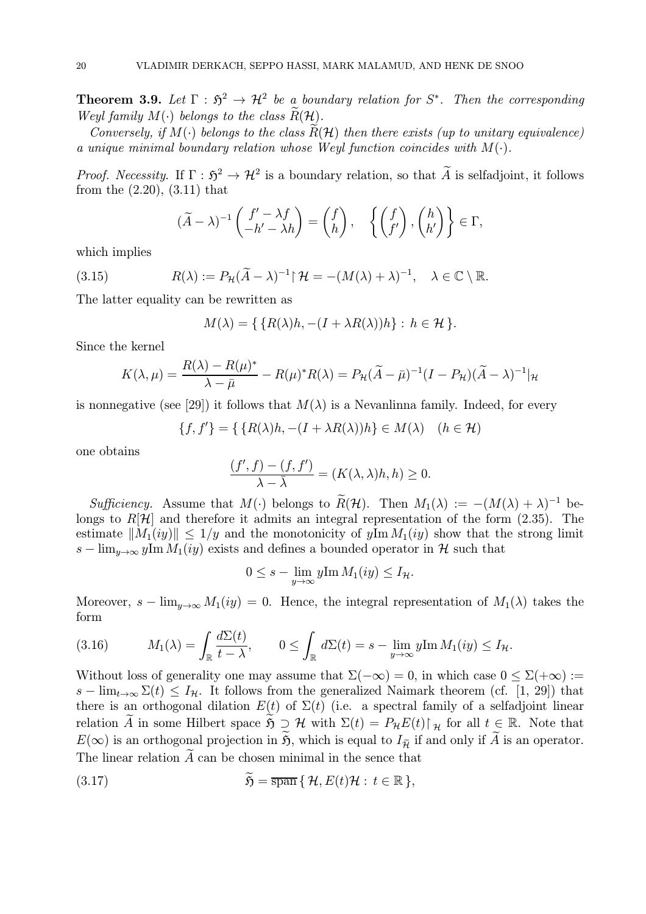**Theorem 3.9.** Let  $\Gamma : \mathfrak{H}^2 \to \mathcal{H}^2$  be a boundary relation for  $S^*$ . Then the corresponding Weyl family  $M(\cdot)$  belongs to the class  $\widetilde{R}(\mathcal{H})$ .

Conversely, if  $M(\cdot)$  belongs to the class  $\widetilde{R}(\mathcal{H})$  then there exists (up to unitary equivalence) a unique minimal boundary relation whose Weyl function coincides with  $M(\cdot)$ .

*Proof. Necessity.* If  $\Gamma : \mathfrak{H}^2 \to \mathcal{H}^2$  is a boundary relation, so that  $\widetilde{A}$  is selfadjoint, it follows from the (2.20), (3.11) that

$$
(\widetilde{A} - \lambda)^{-1} \begin{pmatrix} f' - \lambda f \\ -h' - \lambda h \end{pmatrix} = \begin{pmatrix} f \\ h \end{pmatrix}, \quad \left\{ \begin{pmatrix} f \\ f' \end{pmatrix}, \begin{pmatrix} h \\ h' \end{pmatrix} \right\} \in \Gamma,
$$

which implies

(3.15) 
$$
R(\lambda) := P_{\mathcal{H}}(\widetilde{A} - \lambda)^{-1} \upharpoonright \mathcal{H} = -(M(\lambda) + \lambda)^{-1}, \quad \lambda \in \mathbb{C} \setminus \mathbb{R}.
$$

The latter equality can be rewritten as

$$
M(\lambda) = \{ \{ R(\lambda)h, -(I + \lambda R(\lambda))h \} : h \in \mathcal{H} \}.
$$

Since the kernel

$$
K(\lambda,\mu) = \frac{R(\lambda) - R(\mu)^*}{\lambda - \bar{\mu}} - R(\mu)^* R(\lambda) = P_{\mathcal{H}}(\widetilde{A} - \bar{\mu})^{-1} (I - P_{\mathcal{H}})(\widetilde{A} - \lambda)^{-1} |_{\mathcal{H}}
$$

is nonnegative (see [29]) it follows that  $M(\lambda)$  is a Nevanlinna family. Indeed, for every

$$
\{f, f'\} = \{ \{R(\lambda)h, -(I + \lambda R(\lambda))h\} \in M(\lambda) \quad (h \in \mathcal{H})
$$

one obtains

$$
\frac{(f',f)-(f,f')}{\lambda-\overline{\lambda}}=(K(\lambda,\lambda)h,h)\geq 0.
$$

Sufficiency. Assume that  $M(\cdot)$  belongs to  $\widetilde{R}(\mathcal{H})$ . Then  $M_1(\lambda) := -(M(\lambda) + \lambda)^{-1}$  belongs to  $R[\mathcal{H}]$  and therefore it admits an integral representation of the form (2.35). The estimate  $||M_1(iy)|| \leq 1/y$  and the monotonicity of  $y \text{Im } M_1(iy)$  show that the strong limit  $s - \lim_{y \to \infty} y \text{Im } M_1(iy)$  exists and defines a bounded operator in H such that

$$
0 \leq s - \lim_{y \to \infty} y \text{Im } M_1(iy) \leq I_{\mathcal{H}}.
$$

Moreover,  $s - \lim_{y\to\infty} M_1(iy) = 0$ . Hence, the integral representation of  $M_1(\lambda)$  takes the form

(3.16) 
$$
M_1(\lambda) = \int_{\mathbb{R}} \frac{d\Sigma(t)}{t - \lambda}, \qquad 0 \leq \int_{\mathbb{R}} d\Sigma(t) = s - \lim_{y \to \infty} y \text{Im } M_1(iy) \leq I_{\mathcal{H}}.
$$

Without loss of generality one may assume that  $\Sigma(-\infty) = 0$ , in which case  $0 \le \Sigma(+\infty)$ :=  $s - \lim_{t\to\infty} \Sigma(t) \leq I_{\mathcal{H}}$ . It follows from the generalized Naimark theorem (cf. [1, 29]) that there is an orthogonal dilation  $E(t)$  of  $\Sigma(t)$  (i.e. a spectral family of a selfadjoint linear relation A in some Hilbert space  $\mathfrak{H} \supset \mathcal{H}$  with  $\Sigma(t) = P_{\mathcal{H}}E(t) \upharpoonright_{\mathcal{H}}$  for all  $t \in \mathbb{R}$ . Note that  $E(\infty)$  is an orthogonal projection in  $\widetilde{\mathfrak{H}}$ , which is equal to  $I_{\widetilde{\mathfrak{H}}}$  if and only if  $\widetilde{A}$  is an operator. The linear relation  $\widetilde{A}$  can be chosen minimal in the sence that

(3.17) 
$$
\widetilde{\mathfrak{H}} = \overline{\operatorname{span}} \{ \mathcal{H}, E(t) \mathcal{H} : t \in \mathbb{R} \},
$$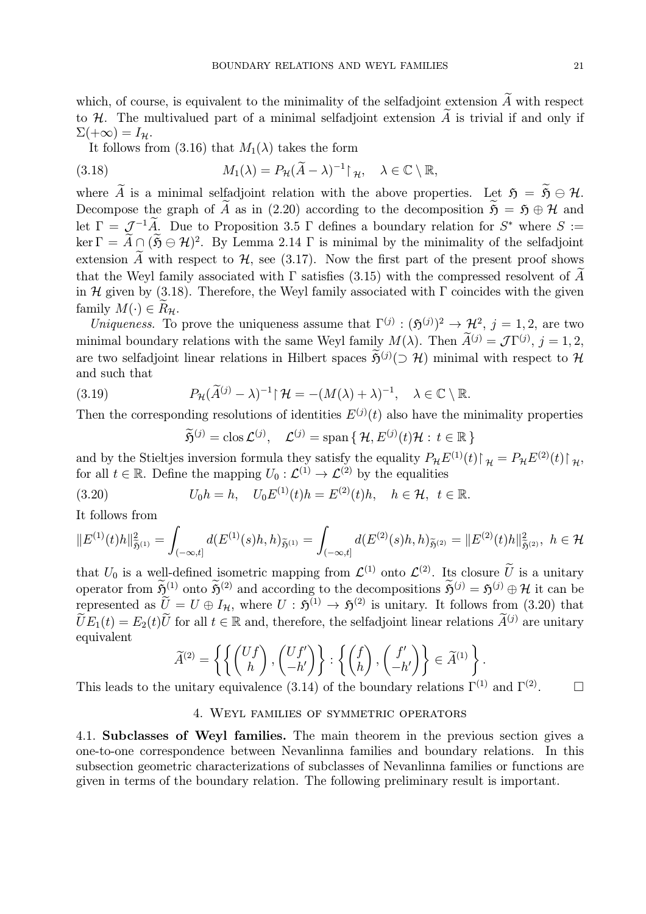which, of course, is equivalent to the minimality of the selfadjoint extension  $\widetilde{A}$  with respect to H. The multivalued part of a minimal selfadjoint extension  $\widetilde{A}$  is trivial if and only if  $\Sigma(+\infty)=I_{\mathcal{H}}.$ 

It follows from (3.16) that  $M_1(\lambda)$  takes the form

(3.18) 
$$
M_1(\lambda) = P_{\mathcal{H}}(\widetilde{A} - \lambda)^{-1} \upharpoonright_{\mathcal{H}}, \quad \lambda \in \mathbb{C} \setminus \mathbb{R},
$$

where  $\widetilde{A}$  is a minimal selfadjoint relation with the above properties. Let  $\mathfrak{H} = \widetilde{B} \oplus \mathcal{H}$ . Decompose the graph of  $\widetilde{A}$  as in (2.20) according to the decomposition  $\widetilde{B} = \widetilde{B} \oplus \mathcal{H}$  and let  $\Gamma = \mathcal{J}^{-1}\widetilde{A}$ . Due to Proposition 3.5  $\Gamma$  defines a boundary relation for  $S^*$  where  $S :=$ ker  $\Gamma = \widetilde{A} \cap (\widetilde{B} \ominus \mathcal{H})^2$ . By Lemma 2.14  $\Gamma$  is minimal by the minimality of the selfadjoint extension  $\widetilde{A}$  with respect to  $\mathcal{H}$ , see (3.17). Now the first part of the present proof shows that the Weyl family associated with  $\Gamma$  satisfies (3.15) with the compressed resolvent of  $\tilde{A}$ in H given by (3.18). Therefore, the Weyl family associated with  $\Gamma$  coincides with the given family  $M(\cdot) \in R_{\mathcal{H}}$ .

Uniqueness. To prove the uniqueness assume that  $\Gamma^{(j)} : (\mathfrak{H}^{(j)})^2 \to \mathcal{H}^2$ ,  $j = 1, 2$ , are two minimal boundary relations with the same Weyl family  $M(\lambda)$ . Then  $\tilde{A}^{(j)} = \mathcal{J}\Gamma^{(j)}$ ,  $j = 1, 2$ , are two selfadjoint linear relations in Hilbert spaces  $\tilde{\mathfrak{H}}^{(j)}(\supset \mathcal{H})$  minimal with respect to  $\mathcal{H}$ and such that

(3.19) 
$$
P_{\mathcal{H}}(\widetilde{A}^{(j)} - \lambda)^{-1} | \mathcal{H} = -(M(\lambda) + \lambda)^{-1}, \quad \lambda \in \mathbb{C} \setminus \mathbb{R}.
$$

Then the corresponding resolutions of identities  $E^{(j)}(t)$  also have the minimality properties

$$
\widetilde{\mathfrak{H}}^{(j)} = \text{clos}\,\mathcal{L}^{(j)}, \quad \mathcal{L}^{(j)} = \text{span}\{\,\mathcal{H}, E^{(j)}(t)\mathcal{H} : t \in \mathbb{R}\,\}
$$

and by the Stieltjes inversion formula they satisfy the equality  $P_{\mathcal{H}}E^{(1)}(t) \upharpoonright_{\mathcal{H}} = P_{\mathcal{H}}E^{(2)}(t) \upharpoonright_{\mathcal{H}}$ , for all  $t \in \mathbb{R}$ . Define the mapping  $U_0: \mathcal{L}^{(1)} \to \mathcal{L}^{(2)}$  by the equalities

(3.20) 
$$
U_0 h = h, \quad U_0 E^{(1)}(t) h = E^{(2)}(t) h, \quad h \in \mathcal{H}, \ t \in \mathbb{R}.
$$

It follows from

$$
\|E^{(1)}(t)h\|^2_{\tilde{\mathfrak{H}}^{(1)}}=\int_{(-\infty,t]}d(E^{(1)}(s)h,h)_{\tilde{\mathfrak{H}}^{(1)}}=\int_{(-\infty,t]}d(E^{(2)}(s)h,h)_{\tilde{\mathfrak{H}}^{(2)}}=\|E^{(2)}(t)h\|^2_{\tilde{\mathfrak{H}}^{(2)}},\,\,h\in\mathcal{H}
$$

that  $U_0$  is a well-defined isometric mapping from  $\mathcal{L}^{(1)}$  onto  $\mathcal{L}^{(2)}$ . Its closure  $\widetilde{U}$  is a unitary operator from  $\widetilde{\mathfrak{H}}^{(1)}$  onto  $\widetilde{\mathfrak{H}}^{(2)}$  and according to the decompositions  $\widetilde{\mathfrak{H}}^{(j)} = \mathfrak{H}^{(j)} \oplus \mathcal{H}$  it can be represented as  $\tilde{U} = U \oplus I_{\mathcal{H}}$ , where  $U : \tilde{\mathfrak{H}}^{(1)} \to \tilde{\mathfrak{H}}^{(2)}$  is unitary. It follows from (3.20) that  $\widetilde{U}E_1(t) = E_2(t)\widetilde{U}$  for all  $t \in \mathbb{R}$  and, therefore, the selfadjoint linear relations  $\widetilde{A}^{(j)}$  are unitary equivalent

$$
\widetilde{A}^{(2)} = \left\{ \left\{ \begin{pmatrix} Uf \\ h \end{pmatrix}, \begin{pmatrix} Uf' \\ -h' \end{pmatrix} \right\} : \left\{ \begin{pmatrix} f \\ h \end{pmatrix}, \begin{pmatrix} f' \\ -h' \end{pmatrix} \right\} \in \widetilde{A}^{(1)} \right\}.
$$

This leads to the unitary equivalence (3.14) of the boundary relations  $\Gamma^{(1)}$  and  $\Gamma^{(2)}$ .  $\Box$ 

#### 4. Weyl families of symmetric operators

4.1. Subclasses of Weyl families. The main theorem in the previous section gives a one-to-one correspondence between Nevanlinna families and boundary relations. In this subsection geometric characterizations of subclasses of Nevanlinna families or functions are given in terms of the boundary relation. The following preliminary result is important.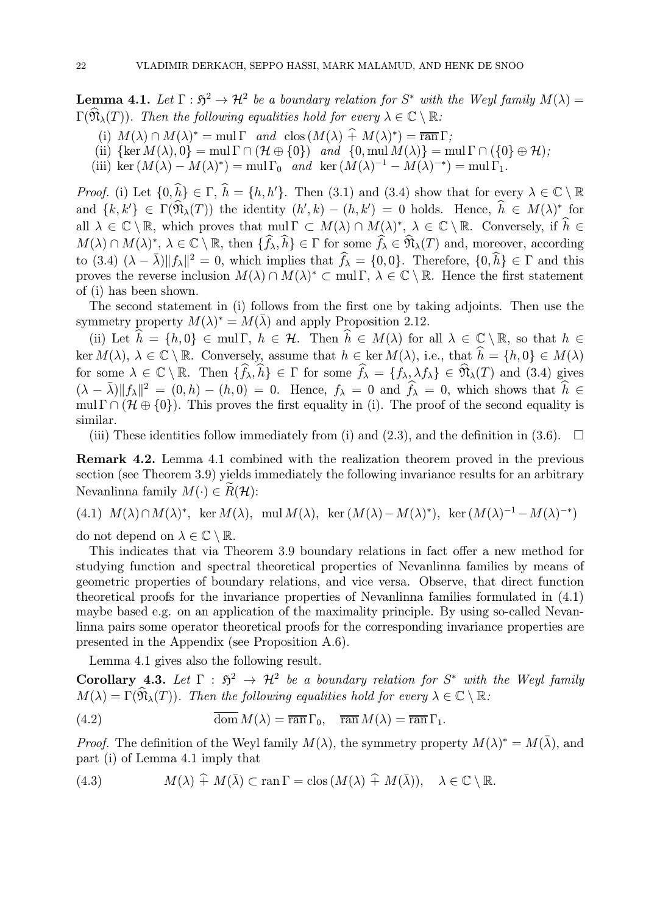**Lemma 4.1.** Let  $\Gamma : \mathfrak{H}^2 \to \mathcal{H}^2$  be a boundary relation for  $S^*$  with the Weyl family  $M(\lambda) =$  $\Gamma(\widehat{\mathfrak{N}}_{\lambda}(T))$ . Then the following equalities hold for every  $\lambda \in \mathbb{C} \setminus \mathbb{R}$ :

- (i)  $M(\lambda) \cap M(\lambda)^* = \text{mul } \Gamma$  and  $\text{clos } (M(\lambda) \hat{+} M(\lambda)^*) = \overline{\text{ran }} \Gamma$ ;
- (ii)  $\{\ker M(\lambda), 0\} = \text{mul }\Gamma \cap (\mathcal{H} \oplus \{0\})$  and  $\{0, \text{mul }M(\lambda)\} = \text{mul }\Gamma \cap (\{0\} \oplus \mathcal{H})$ ;
- (iii) ker  $(M(\lambda) M(\lambda)^*) = \text{mul }\Gamma_0$  and ker  $(M(\lambda)^{-1} M(\lambda)^{-*}) = \text{mul }\Gamma_1$ .

*Proof.* (i) Let  $\{0, h\} \in \Gamma$ ,  $h = \{h, h'\}$ . Then (3.1) and (3.4) show that for every  $\lambda \in \mathbb{C} \setminus \mathbb{R}$ and  $\{k, k'\}\in \Gamma(\mathfrak{N}_{\lambda}(T))$  the identity  $(h', k) - (h, k') = 0$  holds. Hence,  $h \in M(\lambda)^*$  for all  $\lambda \in \mathbb{C} \setminus \mathbb{R}$ , which proves that  $\text{mul } \Gamma \subset M(\lambda) \cap M(\lambda)^*, \lambda \in \mathbb{C} \setminus \mathbb{R}$ . Conversely, if  $h \in$  $M(\lambda) \cap M(\lambda)$ <sup>\*</sup>,  $\lambda \in \mathbb{C} \setminus \mathbb{R}$ , then  $\{f_{\lambda}, h\} \in \Gamma$  for some  $f_{\lambda} \in \mathfrak{N}_{\lambda}(T)$  and, moreover, according to  $(3.4)$   $(\lambda - \bar{\lambda}) ||f_{\lambda}||^2 = 0$ , which implies that  $\hat{f}_{\lambda} = \{0, 0\}$ . Therefore,  $\{0, \hat{h}\} \in \Gamma$  and this proves the reverse inclusion  $M(\lambda) \cap M(\lambda)^* \subset \text{mul } \Gamma$ ,  $\lambda \in \mathbb{C} \setminus \mathbb{R}$ . Hence the first statement of (i) has been shown.

The second statement in (i) follows from the first one by taking adjoints. Then use the symmetry property  $M(\lambda)^* = M(\overline{\lambda})$  and apply Proposition 2.12.

(ii) Let  $h = \{h, 0\} \in \text{mul }\Gamma$ ,  $h \in \mathcal{H}$ . Then  $h \in M(\lambda)$  for all  $\lambda \in \mathbb{C} \setminus \mathbb{R}$ , so that  $h \in$  $\ker M(\lambda), \ \lambda \in \mathbb{C} \setminus \mathbb{R}$ . Conversely, assume that  $h \in \ker M(\lambda)$ , i.e., that  $h = \{h, 0\} \in M(\lambda)$ for some  $\lambda \in \mathbb{C} \setminus \mathbb{R}$ . Then  $\{f_{\lambda}, h\} \in \Gamma$  for some  $f_{\lambda} = \{f_{\lambda}, \lambda f_{\lambda}\} \in \mathfrak{N}_{\lambda}(T)$  and (3.4) gives  $(\lambda - \bar{\lambda}) ||f_{\lambda}||^2 = (0, h) - (h, 0) = 0.$  Hence,  $f_{\lambda} = 0$  and  $\hat{f}_{\lambda} = 0$ , which shows that  $\hat{h} \in \mathbb{R}$ mul  $\Gamma \cap (\mathcal{H} \oplus \{0\})$ . This proves the first equality in (i). The proof of the second equality is similar.

(iii) These identities follow immediately from (i) and (2.3), and the definition in (3.6).  $\Box$ 

Remark 4.2. Lemma 4.1 combined with the realization theorem proved in the previous section (see Theorem 3.9) yields immediately the following invariance results for an arbitrary Nevanlinna family  $M(\cdot) \in R(\mathcal{H})$ :

(4.1)  $M(\lambda) \cap M(\lambda)^*$ , ker  $M(\lambda)$ , mul  $M(\lambda)$ , ker  $(M(\lambda) - M(\lambda)^*)$ , ker  $(M(\lambda)^{-1} - M(\lambda)^{-*})$ do not depend on  $\lambda \in \mathbb{C} \setminus \mathbb{R}$ .

This indicates that via Theorem 3.9 boundary relations in fact offer a new method for

studying function and spectral theoretical properties of Nevanlinna families by means of geometric properties of boundary relations, and vice versa. Observe, that direct function theoretical proofs for the invariance properties of Nevanlinna families formulated in (4.1) maybe based e.g. on an application of the maximality principle. By using so-called Nevanlinna pairs some operator theoretical proofs for the corresponding invariance properties are presented in the Appendix (see Proposition A.6).

Lemma 4.1 gives also the following result.

Corollary 4.3. Let  $\Gamma : \mathfrak{H}^2 \to \mathcal{H}^2$  be a boundary relation for  $S^*$  with the Weyl family  $M(\lambda) = \Gamma(\widehat{\mathfrak{N}}_{\lambda}(T))$ . Then the following equalities hold for every  $\lambda \in \mathbb{C} \setminus \mathbb{R}$ :

(4.2) 
$$
\overline{\text{dom}} M(\lambda) = \overline{\text{ran}} \Gamma_0, \quad \overline{\text{ran}} M(\lambda) = \overline{\text{ran}} \Gamma_1.
$$

*Proof.* The definition of the Weyl family  $M(\lambda)$ , the symmetry property  $M(\lambda)^* = M(\overline{\lambda})$ , and part (i) of Lemma 4.1 imply that

(4.3) 
$$
M(\lambda) \hat{+} M(\bar{\lambda}) \subset \text{ran } \Gamma = \text{clos } (M(\lambda) \hat{+} M(\bar{\lambda})), \quad \lambda \in \mathbb{C} \setminus \mathbb{R}.
$$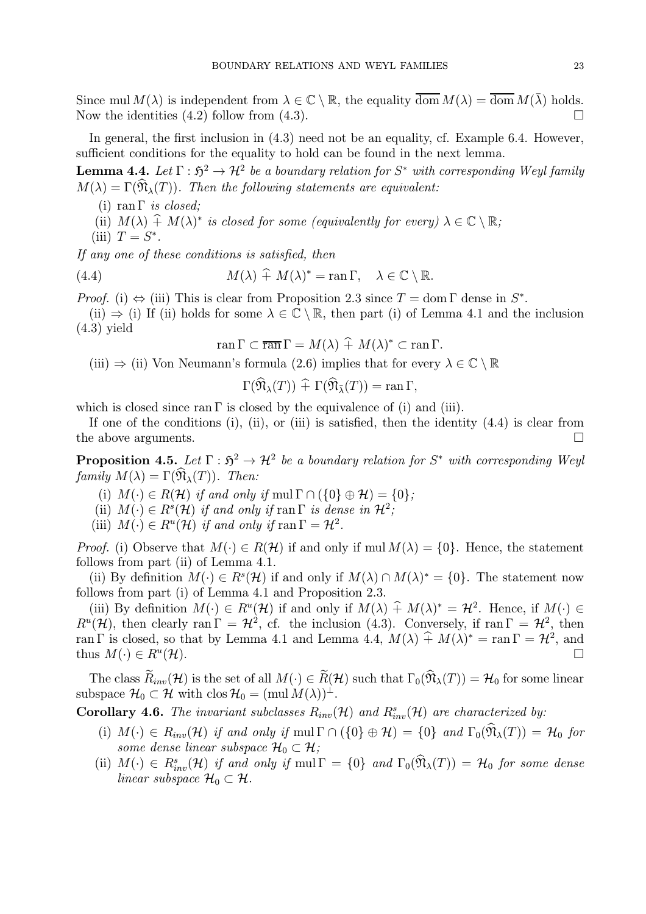Since mul  $M(\lambda)$  is independent from  $\lambda \in \mathbb{C} \setminus \mathbb{R}$ , the equality  $\overline{\text{dom}} M(\lambda) = \overline{\text{dom}} M(\overline{\lambda})$  holds.<br>Now the identities (4.2) follow from (4.3) Now the identities  $(4.2)$  follow from  $(4.3)$ .

In general, the first inclusion in  $(4.3)$  need not be an equality, cf. Example 6.4. However, sufficient conditions for the equality to hold can be found in the next lemma.

**Lemma 4.4.** Let  $\Gamma : \mathfrak{H}^2 \to \mathcal{H}^2$  be a boundary relation for  $S^*$  with corresponding Weyl family  $M(\lambda) = \Gamma(\widehat{\mathfrak{N}}_{\lambda}(T))$ . Then the following statements are equivalent:

- (i) ran  $\Gamma$  *is closed*;
- (ii)  $M(\lambda) + M(\lambda)^*$  is closed for some (equivalently for every)  $\lambda \in \mathbb{C} \setminus \mathbb{R}$ ;
- (iii)  $T = S^*$ .

If any one of these conditions is satisfied, then

(4.4) 
$$
M(\lambda) \widehat{+} M(\lambda)^* = \operatorname{ran} \Gamma, \quad \lambda \in \mathbb{C} \setminus \mathbb{R}.
$$

*Proof.* (i)  $\Leftrightarrow$  (iii) This is clear from Proposition 2.3 since  $T = \text{dom } \Gamma$  dense in  $S^*$ .

(ii)  $\Rightarrow$  (i) If (ii) holds for some  $\lambda \in \mathbb{C} \setminus \mathbb{R}$ , then part (i) of Lemma 4.1 and the inclusion (4.3) yield

$$
\operatorname{ran} \Gamma \subset \overline{\operatorname{ran}} \Gamma = M(\lambda) + M(\lambda)^* \subset \operatorname{ran} \Gamma.
$$

(iii)  $\Rightarrow$  (ii) Von Neumann's formula (2.6) implies that for every  $\lambda \in \mathbb{C} \setminus \mathbb{R}$ 

$$
\Gamma(\mathfrak{N}_{\lambda}(T)) \widehat{+} \Gamma(\mathfrak{N}_{\bar{\lambda}}(T)) = \operatorname{ran} \Gamma,
$$

which is closed since ran  $\Gamma$  is closed by the equivalence of (i) and (iii).

If one of the conditions (i), (ii), or (iii) is satisfied, then the identity  $(4.4)$  is clear from the above arguments.  $\Box$ 

**Proposition 4.5.** Let  $\Gamma : \mathfrak{H}^2 \to \mathcal{H}^2$  be a boundary relation for  $S^*$  with corresponding Weyl family  $M(\lambda) = \Gamma(\mathfrak{N}_{\lambda}(T))$ . Then:

- (i)  $M(\cdot) \in R(\mathcal{H})$  if and only if mul  $\Gamma \cap (\{0\} \oplus \mathcal{H}) = \{0\};$
- (ii)  $M(\cdot) \in R^{s}(\mathcal{H})$  if and only if ran  $\Gamma$  is dense in  $\mathcal{H}^{2}$ ;
- (iii)  $M(\cdot) \in R^u(\mathcal{H})$  if and only if ran  $\Gamma = \mathcal{H}^2$ .

*Proof.* (i) Observe that  $M(\cdot) \in R(H)$  if and only if  $mcl M(\lambda) = \{0\}$ . Hence, the statement follows from part (ii) of Lemma 4.1.

(ii) By definition  $M(\cdot) \in R^{s}(\mathcal{H})$  if and only if  $M(\lambda) \cap M(\lambda)^{*} = \{0\}$ . The statement now follows from part (i) of Lemma 4.1 and Proposition 2.3.

(iii) By definition  $M(\cdot) \in R^u(\mathcal{H})$  if and only if  $M(\lambda) \hat{+} M(\lambda)^* = \mathcal{H}^2$ . Hence, if  $M(\cdot) \in$  $R^u(\mathcal{H})$ , then clearly ran  $\Gamma = \mathcal{H}^2$ , cf. the inclusion (4.3). Conversely, if ran  $\Gamma = \mathcal{H}^2$ , then ran Γ is closed, so that by Lemma 4.1 and Lemma 4.4,  $M(\lambda) \hat{+} M(\lambda)^* = \text{ran } \Gamma = \mathcal{H}^2$ , and thus  $M(\cdot) \in R^u(\mathcal{H})$ . thus  $M(\cdot) \in R^u(\mathcal{H})$ .

The class  $\widetilde{R}_{inv}(\mathcal{H})$  is the set of all  $M(\cdot) \in \widetilde{R}(\mathcal{H})$  such that  $\Gamma_0(\widehat{N}_\lambda(T)) = \mathcal{H}_0$  for some linear subspace  $\mathcal{H}_0 \subset \mathcal{H}$  with clos  $\mathcal{H}_0 = (\text{mul } M(\lambda))^{\perp}$ .

**Corollary 4.6.** The invariant subclasses  $R_{inv}(\mathcal{H})$  and  $R_{inv}^s(\mathcal{H})$  are characterized by:

- (i)  $M(\cdot) \in R_{inv}(\mathcal{H})$  if and only if mul  $\Gamma \cap (\{0\} \oplus \mathcal{H}) = \{0\}$  and  $\Gamma_0(\widehat{\mathfrak{N}}_{\lambda}(T)) = \mathcal{H}_0$  for some dense linear subspace  $\mathcal{H}_0 \subset \mathcal{H}$ ;
- (ii)  $M(\cdot) \in R_{inv}^s(\mathcal{H})$  if and only if  $mul \Gamma = \{0\}$  and  $\Gamma_0(\mathfrak{N}_\lambda(T)) = \mathcal{H}_0$  for some dense linear subspace  $\mathcal{H}_0 \subset \mathcal{H}$ .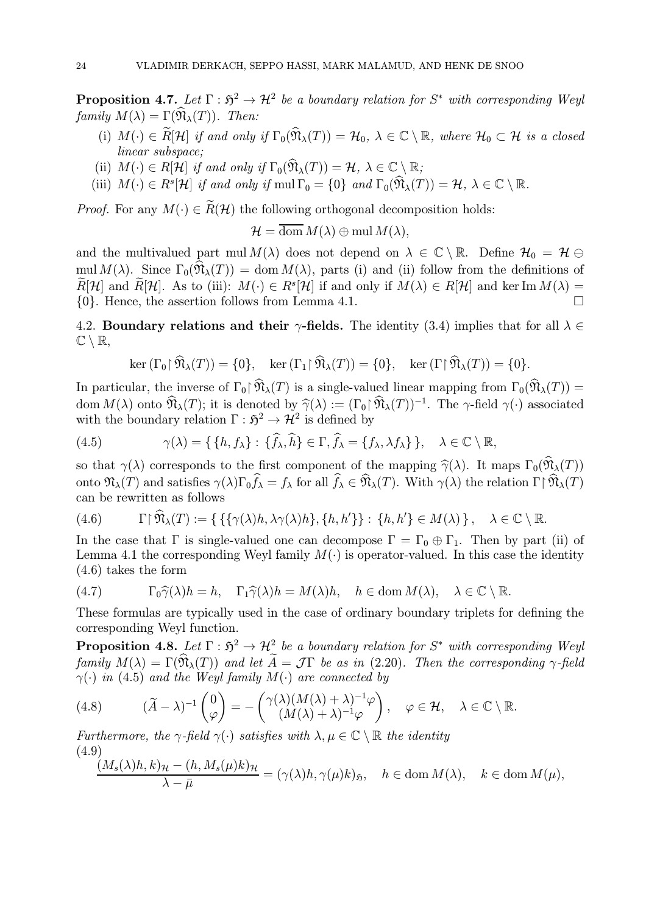**Proposition 4.7.** Let  $\Gamma : \mathfrak{H}^2 \to \mathcal{H}^2$  be a boundary relation for  $S^*$  with corresponding Weyl family  $M(\lambda) = \Gamma(\widehat{\mathfrak{N}}_{\lambda}(T))$ . Then:

- (i)  $M(\cdot) \in \widetilde{R}[\mathcal{H}]$  if and only if  $\Gamma_0(\widehat{\mathfrak{N}}_{\lambda}(T)) = \mathcal{H}_0$ ,  $\lambda \in \mathbb{C} \setminus \mathbb{R}$ , where  $\mathcal{H}_0 \subset \mathcal{H}$  is a closed linear subspace;
- (ii)  $M(\cdot) \in R[\mathcal{H}]$  if and only if  $\Gamma_0(\widehat{\mathfrak{N}}_{\lambda}(T)) = \mathcal{H}, \lambda \in \mathbb{C} \setminus \mathbb{R};$
- (iii)  $M(\cdot) \in R^s[\mathcal{H}]$  if and only if  $mul \Gamma_0 = \{0\}$  and  $\Gamma_0(\widehat{\mathfrak{N}}_{\lambda}(T)) = \mathcal{H}, \lambda \in \mathbb{C} \setminus \mathbb{R}.$

*Proof.* For any  $M(\cdot) \in \widetilde{R}(\mathcal{H})$  the following orthogonal decomposition holds:

 $\mathcal{H} = \overline{\text{dom}} M(\lambda) \oplus \text{mul } M(\lambda),$ 

and the multivalued part mul  $M(\lambda)$  does not depend on  $\lambda \in \mathbb{C} \setminus \mathbb{R}$ . Define  $\mathcal{H}_0 = \mathcal{H} \ominus$ mul  $M(\lambda)$ . Since  $\Gamma_0(\widehat{\mathfrak{N}}_{\lambda}(T)) = \text{dom } M(\lambda)$ , parts (i) and (ii) follow from the definitions of  $\widetilde{R}[\mathcal{H}]$  and  $\widetilde{R}[\mathcal{H}]$ . As to (iii):  $M(\cdot) \in R^s[\mathcal{H}]$  if and only if  $M(\lambda) \in R[\mathcal{H}]$  and ker Im  $M(\lambda) =$ <br>{0}. Hence, the assertion follows from Lemma 4.1.  $\{0\}$ . Hence, the assertion follows from Lemma 4.1.

4.2. Boundary relations and their  $\gamma$ -fields. The identity (3.4) implies that for all  $\lambda \in$  $\mathbb{C} \setminus \mathbb{R},$ 

$$
\ker(\Gamma_0 \upharpoonright \widehat{\mathfrak{N}}_{\lambda}(T)) = \{0\}, \quad \ker(\Gamma_1 \upharpoonright \widehat{\mathfrak{N}}_{\lambda}(T)) = \{0\}, \quad \ker(\Gamma \upharpoonright \widehat{\mathfrak{N}}_{\lambda}(T)) = \{0\}.
$$

In particular, the inverse of  $\Gamma_0 \upharpoonright \widehat{\mathfrak{N}}_{\lambda}(T)$  is a single-valued linear mapping from  $\Gamma_0(\widehat{\mathfrak{N}}_{\lambda}(T))$  = dom  $M(\lambda)$  onto  $\widehat{\mathfrak{N}}_{\lambda}(T)$ ; it is denoted by  $\widehat{\gamma}(\lambda) := (\Gamma_0 \widehat{\mathfrak{N}}_{\lambda}(T))^{-1}$ . The  $\gamma$ -field  $\gamma(\cdot)$  associated with the boundary relation  $\Gamma : \mathfrak{H}^2 \to \mathcal{H}^2$  is defined by

(4.5) 
$$
\gamma(\lambda) = \{ \{h, f_{\lambda}\} : \{\widehat{f}_{\lambda}, \widehat{h}\} \in \Gamma, \widehat{f}_{\lambda} = \{f_{\lambda}, \lambda f_{\lambda}\} \}, \quad \lambda \in \mathbb{C} \setminus \mathbb{R},
$$

so that  $\gamma(\lambda)$  corresponds to the first component of the mapping  $\hat{\gamma}(\lambda)$ . It maps  $\Gamma_0(\hat{\mathfrak{N}}_{\lambda}(T))$ onto  $\mathfrak{N}_{\lambda}(T)$  and satisfies  $\gamma(\lambda)\Gamma_0 f_{\lambda} = f_{\lambda}$  for all  $f_{\lambda} \in \mathfrak{N}_{\lambda}(T)$ . With  $\gamma(\lambda)$  the relation  $\Gamma \upharpoonright \mathfrak{N}_{\lambda}(T)$ can be rewritten as follows

$$
(4.6) \qquad \Gamma \upharpoonright \widehat{\mathfrak{N}}_{\lambda}(T) := \{ \{ \{ \gamma(\lambda)h, \lambda \gamma(\lambda)h \}, \{h, h' \} \} : \{h, h' \} \in M(\lambda) \}, \quad \lambda \in \mathbb{C} \setminus \mathbb{R}.
$$

In the case that  $\Gamma$  is single-valued one can decompose  $\Gamma = \Gamma_0 \oplus \Gamma_1$ . Then by part (ii) of Lemma 4.1 the corresponding Weyl family  $M(\cdot)$  is operator-valued. In this case the identity (4.6) takes the form

(4.7) 
$$
\Gamma_0 \widehat{\gamma}(\lambda) h = h, \quad \Gamma_1 \widehat{\gamma}(\lambda) h = M(\lambda) h, \quad h \in \text{dom } M(\lambda), \quad \lambda \in \mathbb{C} \setminus \mathbb{R}.
$$

These formulas are typically used in the case of ordinary boundary triplets for defining the corresponding Weyl function.

**Proposition 4.8.** Let  $\Gamma : \mathfrak{H}^2 \to \mathcal{H}^2$  be a boundary relation for  $S^*$  with corresponding Weyl family  $M(\lambda) = \Gamma(\widehat{\mathfrak{N}}_{\lambda}(T))$  and let  $\widetilde{A} = \mathcal{J}\Gamma$  be as in (2.20). Then the corresponding  $\gamma$ -field  $\gamma(\cdot)$  in (4.5) and the Weyl family  $M(\cdot)$  are connected by

(4.8) 
$$
(\widetilde{A} - \lambda)^{-1} \begin{pmatrix} 0 \\ \varphi \end{pmatrix} = - \begin{pmatrix} \gamma(\lambda)(M(\lambda) + \lambda)^{-1} \varphi \\ (M(\lambda) + \lambda)^{-1} \varphi \end{pmatrix}, \quad \varphi \in \mathcal{H}, \quad \lambda \in \mathbb{C} \setminus \mathbb{R}.
$$

Furthermore, the  $\gamma$ -field  $\gamma(\cdot)$  satisfies with  $\lambda, \mu \in \mathbb{C} \setminus \mathbb{R}$  the identity (4.9)

$$
\frac{(M_s(\lambda)h, k)_{\mathcal{H}} - (h, M_s(\mu)k)_{\mathcal{H}}}{\lambda - \bar{\mu}} = (\gamma(\lambda)h, \gamma(\mu)k)_{\mathfrak{H}}, \quad h \in \text{dom } M(\lambda), \quad k \in \text{dom } M(\mu),
$$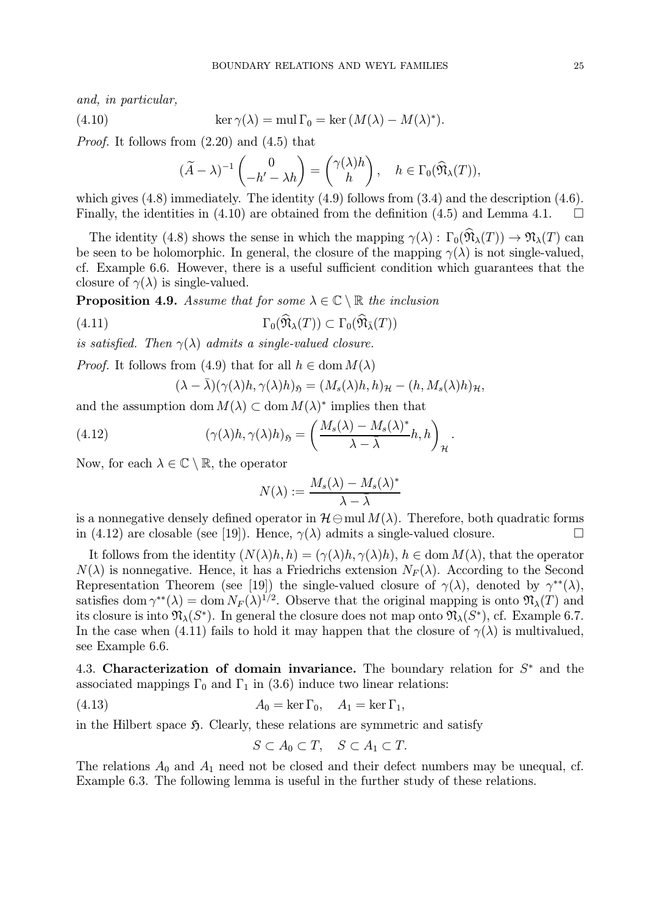and, in particular,

(4.10) 
$$
\ker \gamma(\lambda) = \text{mul } \Gamma_0 = \ker (M(\lambda) - M(\lambda)^*).
$$

Proof. It follows from (2.20) and (4.5) that

$$
(\widetilde{A} - \lambda)^{-1} \begin{pmatrix} 0 \\ -h' - \lambda h \end{pmatrix} = \begin{pmatrix} \gamma(\lambda)h \\ h \end{pmatrix}, \quad h \in \Gamma_0(\widehat{\mathfrak{N}}_{\lambda}(T)),
$$

which gives  $(4.8)$  immediately. The identity  $(4.9)$  follows from  $(3.4)$  and the description  $(4.6)$ . Finally, the identities in (4.10) are obtained from the definition (4.5) and Lemma 4.1.  $\Box$ 

The identity (4.8) shows the sense in which the mapping  $\gamma(\lambda)$ :  $\Gamma_0(\hat{\mathfrak{N}}_{\lambda}(T)) \to \mathfrak{N}_{\lambda}(T)$  can be seen to be holomorphic. In general, the closure of the mapping  $\gamma(\lambda)$  is not single-valued, cf. Example 6.6. However, there is a useful sufficient condition which guarantees that the closure of  $\gamma(\lambda)$  is single-valued.

**Proposition 4.9.** Assume that for some  $\lambda \in \mathbb{C} \setminus \mathbb{R}$  the inclusion

(4.11) 
$$
\Gamma_0(\widehat{\mathfrak{N}}_{\lambda}(T)) \subset \Gamma_0(\widehat{\mathfrak{N}}_{\overline{\lambda}}(T))
$$

is satisfied. Then  $\gamma(\lambda)$  admits a single-valued closure.

*Proof.* It follows from (4.9) that for all  $h \in \text{dom } M(\lambda)$ 

$$
(\lambda - \bar{\lambda})(\gamma(\lambda)h, \gamma(\lambda)h)_{\mathfrak{H}} = (M_s(\lambda)h, h)_{\mathcal{H}} - (h, M_s(\lambda)h)_{\mathcal{H}},
$$

and the assumption dom  $M(\lambda) \subset \text{dom } M(\lambda)^*$  implies then that

(4.12) 
$$
(\gamma(\lambda)h, \gamma(\lambda)h)_{\mathfrak{H}} = \left(\frac{M_s(\lambda) - M_s(\lambda)^*}{\lambda - \bar{\lambda}}h, h\right)_{\mathcal{H}}.
$$

Now, for each  $\lambda \in \mathbb{C} \setminus \mathbb{R}$ , the operator

$$
N(\lambda) := \frac{M_s(\lambda) - M_s(\lambda)^*}{\lambda - \overline{\lambda}}
$$

is a nonnegative densely defined operator in  $\mathcal{H}\ominus \text{mul }M(\lambda)$ . Therefore, both quadratic forms in (4.12) are closable (see [19]). Hence,  $\gamma(\lambda)$  admits a single-valued closure. in (4.12) are closable (see [19]). Hence,  $\gamma(\lambda)$  admits a single-valued closure.

It follows from the identity  $(N(\lambda)h, h) = (\gamma(\lambda)h, \gamma(\lambda)h), h \in \text{dom } M(\lambda)$ , that the operator  $N(\lambda)$  is nonnegative. Hence, it has a Friedrichs extension  $N_F(\lambda)$ . According to the Second Representation Theorem (see [19]) the single-valued closure of  $\gamma(\lambda)$ , denoted by  $\gamma^{**}(\lambda)$ , satisfies dom  $\gamma^{**}(\lambda) = \text{dom } N_F(\lambda)^{1/2}$ . Observe that the original mapping is onto  $\mathfrak{N}_{\lambda}(T)$  and its closure is into  $\mathfrak{N}_{\lambda}(S^*)$ . In general the closure does not map onto  $\mathfrak{N}_{\lambda}(S^*)$ , cf. Example 6.7. In the case when (4.11) fails to hold it may happen that the closure of  $\gamma(\lambda)$  is multivalued, see Example 6.6.

4.3. Characterization of domain invariance. The boundary relation for  $S^*$  and the associated mappings  $\Gamma_0$  and  $\Gamma_1$  in (3.6) induce two linear relations:

(4.13) 
$$
A_0 = \ker \Gamma_0, \quad A_1 = \ker \Gamma_1,
$$

in the Hilbert space  $\mathfrak{H}$ . Clearly, these relations are symmetric and satisfy

$$
S\subset A_0\subset T, \quad S\subset A_1\subset T.
$$

The relations  $A_0$  and  $A_1$  need not be closed and their defect numbers may be unequal, cf. Example 6.3. The following lemma is useful in the further study of these relations.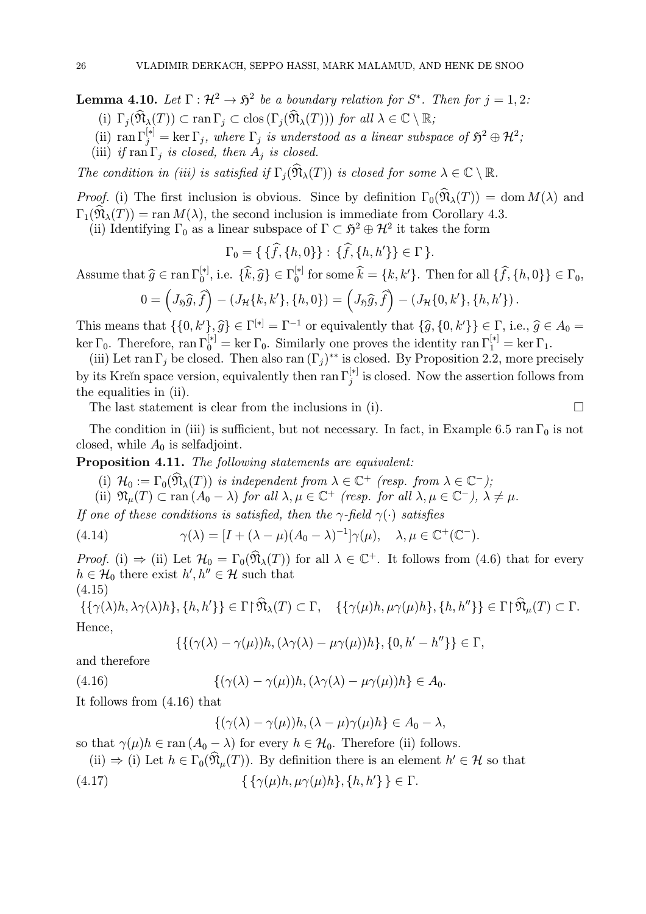**Lemma 4.10.** Let  $\Gamma : \mathcal{H}^2 \to \mathfrak{H}^2$  be a boundary relation for  $S^*$ . Then for  $j = 1, 2$ : (i)  $\Gamma_j(\widehat{\mathfrak{N}}_{\lambda}(T)) \subset \text{ran }\Gamma_j \subset \text{clos }(\Gamma_j(\widehat{\mathfrak{N}}_{\lambda}(T)))$  for all  $\lambda \in \mathbb{C} \setminus \mathbb{R}$ ;

- 
- (ii)  $\text{ran } \Gamma_j^{[*]} = \text{ker } \Gamma_j$ , where  $\Gamma_j$  is understood as a linear subspace of  $\mathfrak{H}^2 \oplus \mathcal{H}^2$ ;
- (iii) if  $\text{ran }\Gamma_i$  is closed, then  $A_i$  is closed.

The condition in (iii) is satisfied if  $\Gamma_i(\widehat{\mathfrak{N}}_{\lambda}(T))$  is closed for some  $\lambda \in \mathbb{C} \setminus \mathbb{R}$ .

*Proof.* (i) The first inclusion is obvious. Since by definition  $\Gamma_0(\widehat{\mathfrak{N}}_{\lambda}(T)) = \text{dom } M(\lambda)$  and  $\Gamma_1(\widehat{\mathfrak{N}}_{\lambda}(T)) = \text{ran } M(\lambda)$ , the second inclusion is immediate from Corollary 4.3.

(ii) Identifying  $\Gamma_0$  as a linear subspace of  $\Gamma \subset \mathfrak{H}^2 \oplus \mathcal{H}^2$  it takes the form

$$
\Gamma_0 = \{ \{\hat{f}, \{h, 0\}\} : \{\hat{f}, \{h, h'\}\} \in \Gamma \}.
$$

Assume that  $\widehat{g} \in \text{ran }\Gamma_0^{[*]},$  i.e.  $\{\widehat{k}, \widehat{g}\} \in \Gamma_0^{[*]}$  for some  $\widehat{k} = \{k, k'\}$ . Then for all  $\{\widehat{f}, \{h, 0\}\} \in \Gamma_0$ ,

$$
0 = \left(J_{\mathfrak{H}}\widehat{g}, \widehat{f}\right) - \left(J_{\mathcal{H}}\{k, k'\}, \{h, 0\}\right) = \left(J_{\mathfrak{H}}\widehat{g}, \widehat{f}\right) - \left(J_{\mathcal{H}}\{0, k'\}, \{h, h'\}\right).
$$

This means that  $\{\{0, k'\}, \widehat{g}\} \in \Gamma^{[*]} = \Gamma^{-1}$  or equivalently that  $\{\widehat{g}, \{0, k'\}\} \in \Gamma$ , i.e.,  $\widehat{g} \in A_0 =$ ker  $\Gamma_0$ . Therefore, ran  $\Gamma_0^{[*]} = \ker \Gamma_0$ . Similarly one proves the identity ran  $\Gamma_1^{[*]} = \ker \Gamma_1$ .

(iii) Let ran  $\Gamma_j$  be closed. Then also ran  $(\Gamma_j)^{**}$  is closed. By Proposition 2.2, more precisely by its Kreĭn space version, equivalently then ran  $\Gamma_j^{[*]}$  is closed. Now the assertion follows from the equalities in (ii).

The last statement is clear from the inclusions in (i).

The condition in (iii) is sufficient, but not necessary. In fact, in Example 6.5 ran  $\Gamma_0$  is not closed, while  $A_0$  is selfadjoint.

Proposition 4.11. The following statements are equivalent:

(i)  $\mathcal{H}_0 := \Gamma_0(\mathfrak{N}_\lambda(T))$  is independent from  $\lambda \in \mathbb{C}^+$  (resp. from  $\lambda \in \mathbb{C}^-$ );

(ii)  $\mathfrak{N}_{\mu}(T) \subset \text{ran} (A_0 - \lambda)$  for all  $\lambda, \mu \in \mathbb{C}^+$  (resp. for all  $\lambda, \mu \in \mathbb{C}^-$ ),  $\lambda \neq \mu$ .

If one of these conditions is satisfied, then the  $\gamma$ -field  $\gamma(\cdot)$  satisfies

(4.14) 
$$
\gamma(\lambda) = [I + (\lambda - \mu)(A_0 - \lambda)^{-1}] \gamma(\mu), \quad \lambda, \mu \in \mathbb{C}^+(\mathbb{C}^-).
$$

Proof. (i)  $\Rightarrow$  (ii) Let  $\mathcal{H}_0 = \Gamma_0(\widehat{\mathfrak{N}}_{\lambda}(T))$  for all  $\lambda \in \mathbb{C}^+$ . It follows from (4.6) that for every  $h \in \mathcal{H}_0$  there exist  $h', h'' \in \mathcal{H}$  such that

$$
(4.15)
$$

 $\{\{\gamma(\lambda)h, \lambda\gamma(\lambda)h\}, \{h, h'\}\}\in \Gamma\upharpoonright \mathfrak{N}_{\lambda}(T)\subset \Gamma$ ,  $\{\{\gamma(\mu)h, \mu\gamma(\mu)h\}, \{h, h''\}\}\in \Gamma\upharpoonright \mathfrak{N}_{\mu}(T)\subset \Gamma$ . Hence,

$$
\{\{(\gamma(\lambda)-\gamma(\mu))h,(\lambda\gamma(\lambda)-\mu\gamma(\mu))h\},\{0,h'-h''\}\}\in\Gamma,
$$

and therefore

(4.16) 
$$
\{(\gamma(\lambda)-\gamma(\mu))h,(\lambda\gamma(\lambda)-\mu\gamma(\mu))h\}\in A_0.
$$

It follows from (4.16) that

$$
\{(\gamma(\lambda)-\gamma(\mu))h,(\lambda-\mu)\gamma(\mu)h\}\in A_0-\lambda,
$$

so that  $\gamma(\mu)h \in \text{ran} (A_0 - \lambda)$  for every  $h \in \mathcal{H}_0$ . Therefore (ii) follows.

(ii)  $\Rightarrow$  (i) Let  $h \in \Gamma_0(\widehat{\mathfrak{N}}_u(T))$ . By definition there is an element  $h' \in \mathcal{H}$  so that

(4.17) 
$$
\{\{\gamma(\mu)h, \mu\gamma(\mu)h\}, \{h, h'\}\}\in \Gamma.
$$

$$
\Box
$$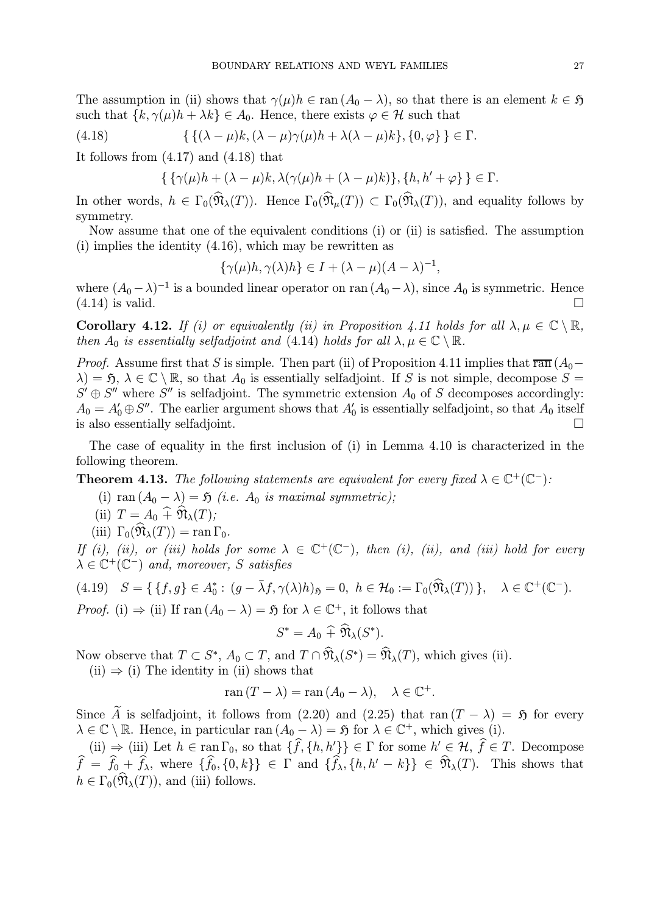The assumption in (ii) shows that  $\gamma(\mu)h \in \text{ran } (A_0 - \lambda)$ , so that there is an element  $k \in \mathfrak{H}$ such that  $\{k, \gamma(\mu)h + \lambda k\} \in A_0$ . Hence, there exists  $\varphi \in \mathcal{H}$  such that

(4.18) 
$$
\{\{(\lambda-\mu)k,(\lambda-\mu)\gamma(\mu)h+\lambda(\lambda-\mu)k\},\{0,\varphi\}\}\in\Gamma.
$$

It follows from (4.17) and (4.18) that

$$
\{\{\gamma(\mu)h+(\lambda-\mu)k,\lambda(\gamma(\mu)h+(\lambda-\mu)k)\},\{h,h'+\varphi\}\}\in\Gamma.
$$

In other words,  $h \in \Gamma_0(\widehat{\mathfrak{N}}_{\lambda}(T))$ . Hence  $\Gamma_0(\widehat{\mathfrak{N}}_{\mu}(T)) \subset \Gamma_0(\widehat{\mathfrak{N}}_{\lambda}(T))$ , and equality follows by symmetry.

Now assume that one of the equivalent conditions (i) or (ii) is satisfied. The assumption (i) implies the identity (4.16), which may be rewritten as

$$
\{\gamma(\mu)h, \gamma(\lambda)h\} \in I + (\lambda - \mu)(A - \lambda)^{-1},
$$

where  $(A_0 - \lambda)^{-1}$  is a bounded linear operator on ran  $(A_0 - \lambda)$ , since  $A_0$  is symmetric. Hence  $(4.14)$  is valid.

Corollary 4.12. If (i) or equivalently (ii) in Proposition 4.11 holds for all  $\lambda, \mu \in \mathbb{C} \setminus \mathbb{R}$ , then  $A_0$  is essentially selfadjoint and (4.14) holds for all  $\lambda, \mu \in \mathbb{C} \setminus \mathbb{R}$ .

*Proof.* Assume first that S is simple. Then part (ii) of Proposition 4.11 implies that  $\overline{\text{ran}}$  ( $A_0 \lambda$ ) = 5,  $\lambda \in \mathbb{C} \setminus \mathbb{R}$ , so that  $A_0$  is essentially selfadjoint. If S is not simple, decompose S =  $S' \oplus S''$  where  $S''$  is selfadjoint. The symmetric extension  $A_0$  of S decomposes accordingly:  $A_0 = A'_0 \oplus S''$ . The earlier argument shows that  $A'_0$  is essentially selfadjoint, so that  $A_0$  itself is also essentially selfadjoint.

The case of equality in the first inclusion of (i) in Lemma 4.10 is characterized in the following theorem.

**Theorem 4.13.** The following statements are equivalent for every fixed  $\lambda \in \mathbb{C}^+(\mathbb{C}^-)$ :

(i) ran  $(A_0 - \lambda) = \mathfrak{H}$  (i.e.  $A_0$  is maximal symmetric);

(ii)  $T = A_0 \widehat{+} \widehat{\mathfrak{N}}_{\lambda}(T);$ 

(iii)  $\Gamma_0(\widehat{\mathfrak{N}}_{\lambda}(T)) = \text{ran }\Gamma_0$ .

If (i), (ii), or (iii) holds for some  $\lambda \in \mathbb{C}^+(\mathbb{C}^-)$ , then (i), (ii), and (iii) hold for every  $\lambda \in \mathbb{C}^+(\mathbb{C}^-)$  and, moreover, S satisfies

$$
(4.19) \quad S = \{ \{f, g\} \in A_0^* : (g - \bar{\lambda}f, \gamma(\lambda)h)_{\mathfrak{H}} = 0, \ h \in \mathcal{H}_0 := \Gamma_0(\widehat{\mathfrak{N}}_{\lambda}(T)) \}, \quad \lambda \in \mathbb{C}^+(\mathbb{C}^-).
$$
  
*Proof.* (i)  $\Rightarrow$  (ii) If ran  $(A_0 - \lambda) = \mathfrak{H}$  for  $\lambda \in \mathbb{C}^+$ , it follows that

$$
S^* = A_0 \widehat{+} \widehat{\mathfrak{N}}_{\lambda}(S^*).
$$

Now observe that  $T \subset S^*$ ,  $A_0 \subset T$ , and  $T \cap \widehat{\mathfrak{N}}_{\lambda}(S^*) = \widehat{\mathfrak{N}}_{\lambda}(T)$ , which gives (ii).

 $(ii) \Rightarrow (i)$  The identity in (ii) shows that

$$
\operatorname{ran}(T - \lambda) = \operatorname{ran}(A_0 - \lambda), \quad \lambda \in \mathbb{C}^+.
$$

Since A is selfadjoint, it follows from (2.20) and (2.25) that ran  $(T - \lambda) = \mathfrak{H}$  for every  $\lambda \in \mathbb{C} \setminus \mathbb{R}$ . Hence, in particular ran  $(A_0 - \lambda) = \mathfrak{H}$  for  $\lambda \in \mathbb{C}^+$ , which gives (i).

(ii)  $\Rightarrow$  (iii) Let  $h \in \text{ran } \Gamma_0$ , so that  $\{f, \{h, h'\}\}\in \Gamma$  for some  $h' \in \mathcal{H}, f \in T$ . Decompose  $f = f_0 + f_\lambda$ , where  $\{f_0, \{0, k\}\}\in \Gamma$  and  $\{f_\lambda, \{h, h'-k\}\}\in \mathfrak{N}_\lambda(T)$ . This shows that  $h \in \Gamma_0(\widehat{\mathfrak{N}}_{\lambda}(T))$ , and (iii) follows.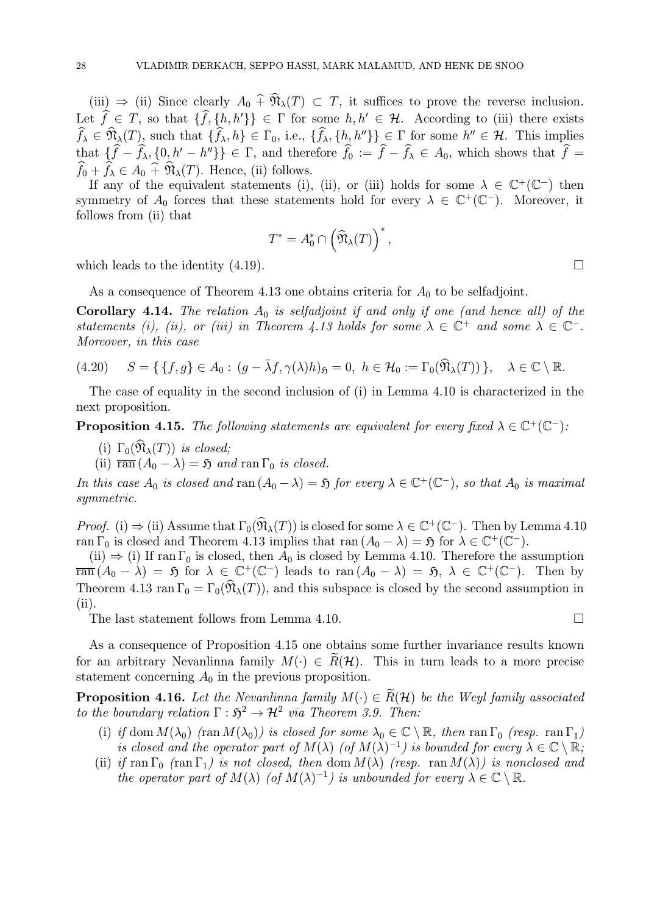(iii)  $\Rightarrow$  (ii) Since clearly  $A_0 \,\hat{\hat{\theta}}_1(x) \subset T$ , it suffices to prove the reverse inclusion. Let  $f \in T$ , so that  $\{f, \{h, h'\}\}\in \Gamma$  for some  $h, h' \in \mathcal{H}$ . According to (iii) there exists  $f_{\lambda} \in \mathfrak{N}_{\lambda}(T)$ , such that  $\{f_{\lambda}, h\} \in \Gamma_0$ , i.e.,  $\{f_{\lambda}, \{h_{\lambda}, h''\}\}\subsetneq \Gamma$  for some  $h'' \in \mathcal{H}$ . This implies that  $\{f - f_\lambda, \{0, h' - h''\}\}\in \Gamma$ , and therefore  $f_0 := f - f_\lambda \in A_0$ , which shows that  $f =$  $f_0 + f_\lambda \in A_0 + \mathfrak{N}_\lambda(T)$ . Hence, (ii) follows.

If any of the equivalent statements (i), (ii), or (iii) holds for some  $\lambda \in \mathbb{C}^+(\mathbb{C}^-)$  then symmetry of  $A_0$  forces that these statements hold for every  $\lambda \in \mathbb{C}^+(\mathbb{C}^-)$ . Moreover, it follows from (ii) that

$$
T^* = A_0^* \cap \left(\widehat{\mathfrak{N}}_{\lambda}(T)\right)^*,
$$

which leads to the identity  $(4.19)$ .

As a consequence of Theorem 4.13 one obtains criteria for  $A_0$  to be selfadjoint.

Corollary 4.14. The relation  $A_0$  is selfadjoint if and only if one (and hence all) of the statements (i), (ii), or (iii) in Theorem 4.13 holds for some  $\lambda \in \mathbb{C}^+$  and some  $\lambda \in \mathbb{C}^-$ . Moreover, in this case

$$
(4.20) \quad S = \{ \{f, g\} \in A_0 : (g - \bar{\lambda}f, \gamma(\lambda)h)_{\mathfrak{H}} = 0, \ h \in \mathcal{H}_0 := \Gamma_0(\widehat{\mathfrak{N}}_{\lambda}(T)) \}, \quad \lambda \in \mathbb{C} \setminus \mathbb{R}.
$$

The case of equality in the second inclusion of (i) in Lemma 4.10 is characterized in the next proposition.

**Proposition 4.15.** The following statements are equivalent for every fixed  $\lambda \in \mathbb{C}^+(\mathbb{C}^-)$ :

- (i)  $\Gamma_0(\widehat{\mathfrak{N}}_{\lambda}(T))$  is closed;
- (ii)  $\overline{\text{ran}} (A_0 \lambda) = \mathfrak{H}$  and  $\text{ran } \Gamma_0$  is closed.

In this case  $A_0$  is closed and ran  $(A_0 - \lambda) = \mathfrak{H}$  for every  $\lambda \in \mathbb{C}^+(\mathbb{C}^-)$ , so that  $A_0$  is maximal symmetric.

Proof. (i)  $\Rightarrow$  (ii) Assume that  $\Gamma_0(\widehat{\mathfrak{N}}_{\lambda}(T))$  is closed for some  $\lambda \in \mathbb{C}^+(\mathbb{C}^-)$ . Then by Lemma 4.10 ran  $\Gamma_0$  is closed and Theorem 4.13 implies that ran  $(A_0 - \lambda) = \mathfrak{H}$  for  $\lambda \in \mathbb{C}^+(\mathbb{C}^-)$ .

(ii)  $\Rightarrow$  (i) If ran  $\Gamma_0$  is closed, then  $A_0$  is closed by Lemma 4.10. Therefore the assumption  $\overline{\text{ran}} (A_0 - \lambda) = \overline{\mathfrak{H}}$  for  $\lambda \in \mathbb{C}^+(\mathbb{C}^-)$  leads to  $\text{ran}(A_0 - \lambda) = \overline{\mathfrak{H}}, \lambda \in \mathbb{C}^+(\mathbb{C}^-)$ . Then by Theorem 4.13 ran  $\Gamma_0 = \Gamma_0(\hat{\mathfrak{N}}_{\lambda}(T))$ , and this subspace is closed by the second assumption in (ii).

The last statement follows from Lemma 4.10.  $\Box$ 

As a consequence of Proposition 4.15 one obtains some further invariance results known for an arbitrary Nevanlinna family  $M(\cdot) \in R(H)$ . This in turn leads to a more precise statement concerning  $A_0$  in the previous proposition.

**Proposition 4.16.** Let the Nevanlinna family  $M(\cdot) \in \widetilde{R}(\mathcal{H})$  be the Weyl family associated to the boundary relation  $\Gamma : \mathfrak{H}^2 \to \mathcal{H}^2$  via Theorem 3.9. Then:

- (i) if dom  $M(\lambda_0)$  (ran  $M(\lambda_0)$ ) is closed for some  $\lambda_0 \in \mathbb{C} \setminus \mathbb{R}$ , then ran  $\Gamma_0$  (resp. ran  $\Gamma_1$ ) is closed and the operator part of  $M(\lambda)$  (of  $M(\lambda)^{-1}$ ) is bounded for every  $\lambda \in \mathbb{C} \setminus \mathbb{R}$ ;
- (ii) if ran  $\Gamma_0$  (ran  $\Gamma_1$ ) is not closed, then dom  $M(\lambda)$  (resp. ran  $M(\lambda)$ ) is nonclosed and the operator part of  $M(\lambda)$  (of  $M(\lambda)^{-1}$ ) is unbounded for every  $\lambda \in \mathbb{C} \setminus \mathbb{R}$ .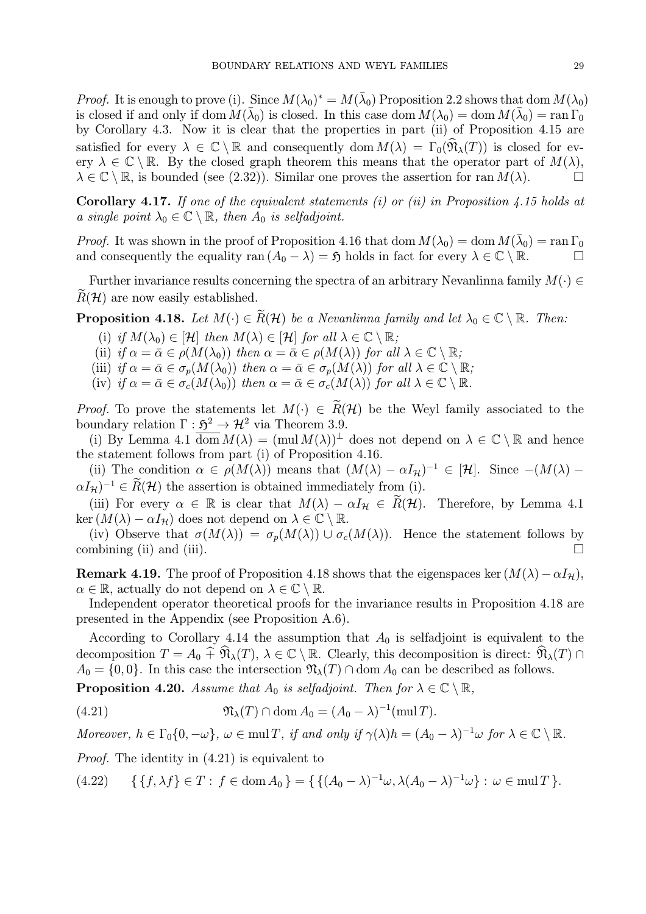*Proof.* It is enough to prove (i). Since  $M(\lambda_0)^* = M(\overline{\lambda}_0)$  Proposition 2.2 shows that dom  $M(\lambda_0)$ is closed if and only if dom  $M(\bar{\lambda}_0)$  is closed. In this case dom  $M(\lambda_0) = \text{dom } M(\bar{\lambda}_0) = \text{ran } \Gamma_0$ by Corollary 4.3. Now it is clear that the properties in part (ii) of Proposition 4.15 are satisfied for every  $\lambda \in \mathbb{C} \setminus \mathbb{R}$  and consequently dom  $M(\lambda) = \Gamma_0(\mathfrak{N}_{\lambda}(T))$  is closed for every  $\lambda \in \mathbb{C} \setminus \mathbb{R}$ . By the closed graph theorem this means that the operator part of  $M(\lambda)$ ,  $\lambda \in \mathbb{C} \setminus \mathbb{R}$  is bounded (see (2.32)). Similar one proves the assertion for ran  $M(\lambda)$ .  $\lambda \in \mathbb{C} \setminus \mathbb{R}$ , is bounded (see (2.32)). Similar one proves the assertion for ran  $M(\lambda)$ .

**Corollary 4.17.** If one of the equivalent statements (i) or (ii) in Proposition 4.15 holds at a single point  $\lambda_0 \in \mathbb{C} \setminus \mathbb{R}$ , then  $A_0$  is selfadjoint.

*Proof.* It was shown in the proof of Proposition 4.16 that dom  $M(\lambda_0) = \text{dom } M(\bar{\lambda}_0) = \text{ran } \Gamma_0$ and consequently the equality ran  $(A_0 - \lambda) = \mathfrak{H}$  holds in fact for every  $\lambda \in \mathbb{C} \setminus \mathbb{R}$ .

Further invariance results concerning the spectra of an arbitrary Nevanlinna family  $M(\cdot) \in$  $R(\mathcal{H})$  are now easily established.

**Proposition 4.18.** Let  $M(\cdot) \in \widetilde{R}(\mathcal{H})$  be a Nevanlinna family and let  $\lambda_0 \in \mathbb{C} \setminus \mathbb{R}$ . Then:

- (i) if  $M(\lambda_0) \in [\mathcal{H}]$  then  $M(\lambda) \in [\mathcal{H}]$  for all  $\lambda \in \mathbb{C} \setminus \mathbb{R}$ ;
- (ii) if  $\alpha = \bar{\alpha} \in \rho(M(\lambda_0))$  then  $\alpha = \bar{\alpha} \in \rho(M(\lambda))$  for all  $\lambda \in \mathbb{C} \setminus \mathbb{R}$ ;
- (iii) if  $\alpha = \bar{\alpha} \in \sigma_p(M(\lambda_0))$  then  $\alpha = \bar{\alpha} \in \sigma_p(M(\lambda))$  for all  $\lambda \in \mathbb{C} \setminus \mathbb{R}$ ;
- (iv) if  $\alpha = \bar{\alpha} \in \sigma_c(M(\lambda_0))$  then  $\alpha = \bar{\alpha} \in \sigma_c(M(\lambda))$  for all  $\lambda \in \mathbb{C} \setminus \mathbb{R}$ .

*Proof.* To prove the statements let  $M(\cdot) \in \widetilde{R}(\mathcal{H})$  be the Weyl family associated to the boundary relation  $\Gamma : \mathfrak{H}^2 \to \mathcal{H}^2$  via Theorem 3.9.

(i) By Lemma 4.1  $\overline{\text{dom}} M(\lambda) = (\text{mul } M(\lambda))^{\perp}$  does not depend on  $\lambda \in \mathbb{C} \setminus \mathbb{R}$  and hence the statement follows from part (i) of Proposition 4.16.

(ii) The condition  $\alpha \in \rho(M(\lambda))$  means that  $(M(\lambda) - \alpha I_{\mathcal{H}})^{-1} \in [\mathcal{H}]$ . Since  $-(M(\lambda) \alpha I_H$ )<sup>-1</sup> ∈  $\widetilde{R}(\mathcal{H})$  the assertion is obtained immediately from (i).

(iii) For every  $\alpha \in \mathbb{R}$  is clear that  $M(\lambda) - \alpha I_{\mathcal{H}} \in R(\mathcal{H})$ . Therefore, by Lemma 4.1 ker  $(M(\lambda) - \alpha I_{\mathcal{H}})$  does not depend on  $\lambda \in \mathbb{C} \setminus \mathbb{R}$ .

(iv) Observe that  $\sigma(M(\lambda)) = \sigma_p(M(\lambda)) \cup \sigma_c(M(\lambda))$ . Hence the statement follows by mbining (ii) and (iii) combining (ii) and (iii).

**Remark 4.19.** The proof of Proposition 4.18 shows that the eigenspaces ker  $(M(\lambda) - \alpha I_{\mathcal{H}})$ ,  $\alpha \in \mathbb{R}$ , actually do not depend on  $\lambda \in \mathbb{C} \setminus \mathbb{R}$ .

Independent operator theoretical proofs for the invariance results in Proposition 4.18 are presented in the Appendix (see Proposition A.6).

According to Corollary 4.14 the assumption that  $A_0$  is selfadjoint is equivalent to the decomposition  $T = A_0 \widehat{+} \widehat{\mathfrak{N}}_{\lambda}(T)$ ,  $\lambda \in \mathbb{C} \setminus \mathbb{R}$ . Clearly, this decomposition is direct:  $\widehat{\mathfrak{N}}_{\lambda}(T) \cap$  $A_0 = \{0, 0\}$ . In this case the intersection  $\mathfrak{N}_{\lambda}(T) \cap \text{dom } A_0$  can be described as follows.

**Proposition 4.20.** Assume that  $A_0$  is selfadjoint. Then for  $\lambda \in \mathbb{C} \setminus \mathbb{R}$ ,

(4.21) 
$$
\mathfrak{N}_{\lambda}(T) \cap \text{dom}\, A_0 = (A_0 - \lambda)^{-1}(\text{mul}\, T).
$$

Moreover,  $h \in \Gamma_0\{0, -\omega\}$ ,  $\omega \in \text{mul } T$ , if and only if  $\gamma(\lambda)h = (A_0 - \lambda)^{-1}\omega$  for  $\lambda \in \mathbb{C} \setminus \mathbb{R}$ .

Proof. The identity in (4.21) is equivalent to

$$
(4.22) \qquad \{ \{f, \lambda f\} \in T : f \in \text{dom}\, A_0 \} = \{ \{ (A_0 - \lambda)^{-1} \omega, \lambda (A_0 - \lambda)^{-1} \omega \} : \omega \in \text{mul}\, T \}.
$$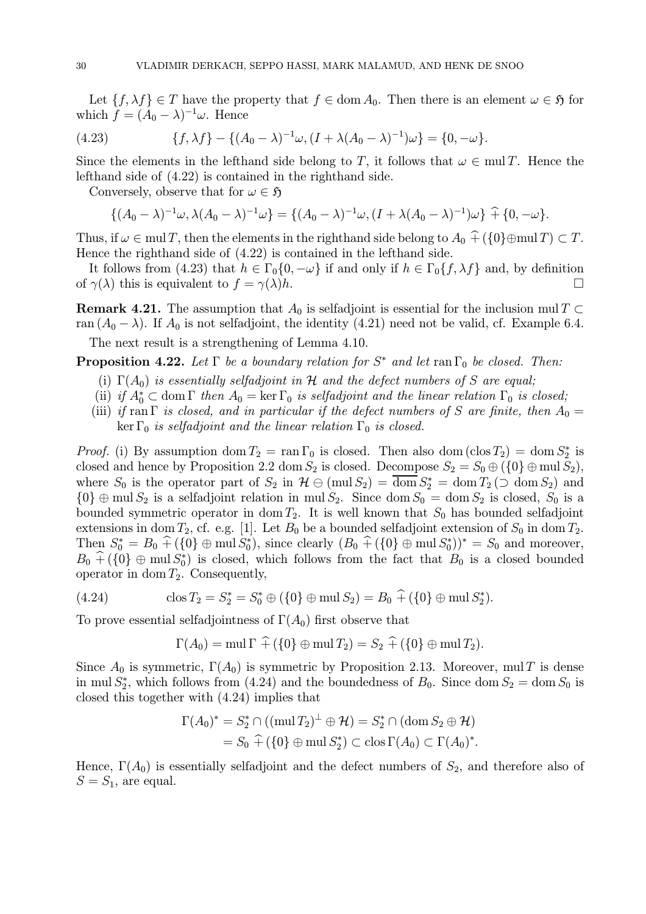Let  $\{f, \lambda f\} \in T$  have the property that  $f \in \text{dom } A_0$ . Then there is an element  $\omega \in \mathfrak{H}$  for which  $f = (A_0 - \lambda)^{-1} \omega$ . Hence

(4.23) 
$$
\{f, \lambda f\} - \{ (A_0 - \lambda)^{-1} \omega, (I + \lambda (A_0 - \lambda)^{-1}) \omega \} = \{0, -\omega \}.
$$

Since the elements in the lefthand side belong to T, it follows that  $\omega \in \text{mul } T$ . Hence the lefthand side of (4.22) is contained in the righthand side.

Conversely, observe that for  $\omega \in \mathfrak{H}$ 

$$
\{(A_0 - \lambda)^{-1} \omega, \lambda (A_0 - \lambda)^{-1} \omega\} = \{(A_0 - \lambda)^{-1} \omega, (I + \lambda (A_0 - \lambda)^{-1}) \omega\} \hat{+} \{0, -\omega\}.
$$

Thus, if  $\omega \in \text{mul } T$ , then the elements in the righthand side belong to  $A_0 \hat{+} (\{0\} \oplus \text{mul } T) \subset T$ . Hence the righthand side of (4.22) is contained in the lefthand side.

It follows from (4.23) that  $h \in \Gamma_0\{0, -\omega\}$  if and only if  $h \in \Gamma_0\{f, \lambda f\}$  and, by definition  $\gamma(\lambda)$  this is equivalent to  $f = \gamma(\lambda)h$ of  $\gamma(\lambda)$  this is equivalent to  $f = \gamma(\lambda)h$ .

**Remark 4.21.** The assumption that  $A_0$  is selfadjoint is essential for the inclusion mul T ⊂ ran  $(A_0 - \lambda)$ . If  $A_0$  is not selfadjoint, the identity (4.21) need not be valid, cf. Example 6.4.

The next result is a strengthening of Lemma 4.10.

**Proposition 4.22.** Let  $\Gamma$  be a boundary relation for  $S^*$  and let ran  $\Gamma_0$  be closed. Then:

- (i)  $\Gamma(A_0)$  is essentially selfadjoint in H and the defect numbers of S are equal;
- (ii) if  $A_0^* \subset \text{dom }\Gamma$  then  $A_0 = \ker \Gamma_0$  is selfadjoint and the linear relation  $\Gamma_0$  is closed;
- (iii) if ran Γ is closed, and in particular if the defect numbers of S are finite, then  $A_0 =$ ker  $\Gamma_0$  is selfadjoint and the linear relation  $\Gamma_0$  is closed.

*Proof.* (i) By assumption  $\text{dom } T_2 = \text{ran } \Gamma_0$  is closed. Then also  $\text{dom } (\text{clos } T_2) = \text{dom } S_2^*$  is closed and hence by Proposition 2.2 dom  $S_2$  is closed. Decompose  $S_2 = S_0 \oplus (\{0\} \oplus \text{mul } S_2)$ , where  $S_0$  is the operator part of  $S_2$  in  $\mathcal{H} \ominus (\text{mul } S_2) = \text{dom } S_2^* = \text{dom } T_2 \left( \supset \text{dom } S_2 \right)$  and  ${0} \oplus \text{mul } S_2$  is a selfadjoint relation in mul  $S_2$ . Since dom  $S_0 = \text{dom } S_2$  is closed,  $S_0$  is a bounded symmetric operator in dom  $T_2$ . It is well known that  $S_0$  has bounded selfadjoint extensions in dom  $T_2$ , cf. e.g. [1]. Let  $B_0$  be a bounded selfadjoint extension of  $S_0$  in dom  $T_2$ . Then  $S_0^* = B_0 \hat{+} (\{0\} \oplus \text{mul } S_0^*),$  since clearly  $(B_0 \hat{+} (\{0\} \oplus \text{mul } S_0^*))^* = S_0$  and moreover,  $B_0 + (\{0\} \oplus \text{mul } S_0^*)$  is closed, which follows from the fact that  $B_0$  is a closed bounded operator in dom  $T_2$ . Consequently,

(4.24) 
$$
\cos T_2 = S_2^* = S_0^* \oplus (\{0\} \oplus \text{mul } S_2) = B_0 \widehat{+} (\{0\} \oplus \text{mul } S_2^*).
$$

To prove essential selfadjointness of  $\Gamma(A_0)$  first observe that

$$
\Gamma(A_0) = \text{mul } \Gamma \widehat{+} (\{0\} \oplus \text{mul } T_2) = S_2 \widehat{+} (\{0\} \oplus \text{mul } T_2).
$$

Since  $A_0$  is symmetric,  $\Gamma(A_0)$  is symmetric by Proposition 2.13. Moreover, mul T is dense in mul  $S_2^*$ , which follows from (4.24) and the boundedness of  $B_0$ . Since dom  $S_2 = \text{dom } S_0$  is closed this together with (4.24) implies that

$$
\Gamma(A_0)^* = S_2^* \cap ((\text{mul } T_2)^{\perp} \oplus \mathcal{H}) = S_2^* \cap (\text{dom } S_2 \oplus \mathcal{H})
$$
  
=  $S_0 \widehat{+} (\{0\} \oplus \text{mul } S_2^*) \subset \text{clos } \Gamma(A_0) \subset \Gamma(A_0)^*.$ 

Hence,  $\Gamma(A_0)$  is essentially selfadjoint and the defect numbers of  $S_2$ , and therefore also of  $S = S_1$ , are equal.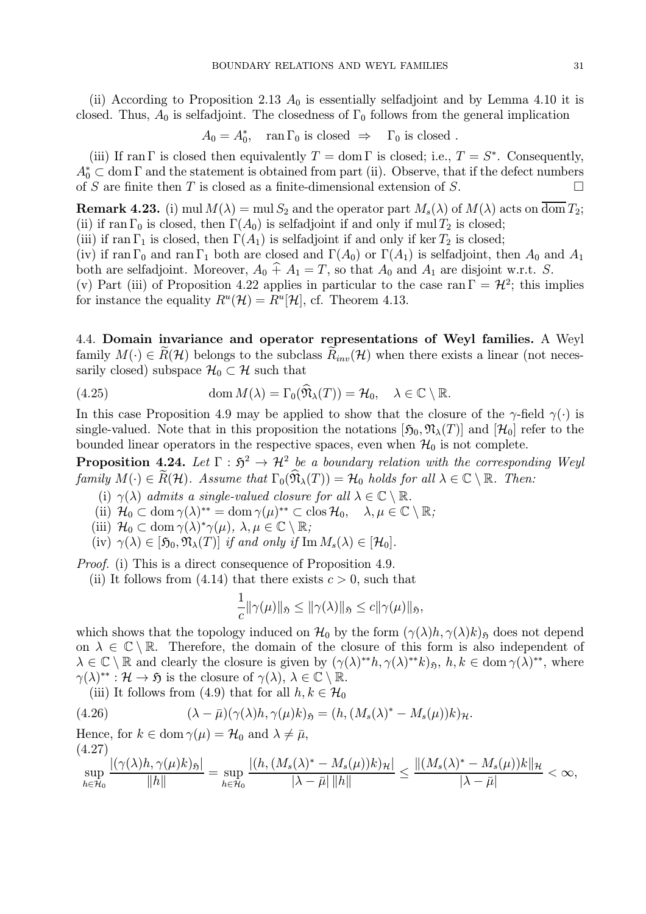(ii) According to Proposition 2.13  $A_0$  is essentially selfadjoint and by Lemma 4.10 it is closed. Thus,  $A_0$  is selfadjoint. The closedness of  $\Gamma_0$  follows from the general implication

$$
A_0 = A_0^*, \quad \text{ran } \Gamma_0 \text{ is closed } \Rightarrow \quad \Gamma_0 \text{ is closed }.
$$

(iii) If ran Γ is closed then equivalently  $T = \text{dom } \Gamma$  is closed; i.e.,  $T = S^*$ . Consequently,  $A_0^* \subset \text{dom } \Gamma$  and the statement is obtained from part (ii). Observe, that if the defect numbers of S are finite then T is closed as a finite-dimensional extension of S.

**Remark 4.23.** (i) mul  $M(\lambda) = \text{mul } S_2$  and the operator part  $M_s(\lambda)$  of  $M(\lambda)$  acts on  $\overline{\text{dom }} T_2$ ; (ii) if ran  $\Gamma_0$  is closed, then  $\Gamma(A_0)$  is selfadjoint if and only if mul  $T_2$  is closed;

(iii) if ran  $\Gamma_1$  is closed, then  $\Gamma(A_1)$  is selfadjoint if and only if ker  $T_2$  is closed;

(iv) if ran  $\Gamma_0$  and ran  $\Gamma_1$  both are closed and  $\Gamma(A_0)$  or  $\Gamma(A_1)$  is selfadjoint, then  $A_0$  and  $A_1$ both are selfadjoint. Moreover,  $A_0 \hat{+} A_1 = T$ , so that  $A_0$  and  $A_1$  are disjoint w.r.t. S.

(v) Part (iii) of Proposition 4.22 applies in particular to the case ran  $\Gamma = \mathcal{H}^2$ ; this implies for instance the equality  $R^u(\mathcal{H}) = R^u[\mathcal{H}]$ , cf. Theorem 4.13.

4.4. Domain invariance and operator representations of Weyl families. A Weyl family  $M(\cdot) \in R(H)$  belongs to the subclass  $R_{inv}(\mathcal{H})$  when there exists a linear (not necessarily closed) subspace  $\mathcal{H}_0 \subset \mathcal{H}$  such that

(4.25) 
$$
\operatorname{dom} M(\lambda) = \Gamma_0(\mathfrak{N}_{\lambda}(T)) = \mathcal{H}_0, \quad \lambda \in \mathbb{C} \setminus \mathbb{R}.
$$

In this case Proposition 4.9 may be applied to show that the closure of the  $\gamma$ -field  $\gamma(\cdot)$  is single-valued. Note that in this proposition the notations  $[\mathfrak{H}_0, \mathfrak{N}_\lambda(T)]$  and  $[\mathcal{H}_0]$  refer to the bounded linear operators in the respective spaces, even when  $\mathcal{H}_0$  is not complete.

**Proposition 4.24.** Let  $\Gamma : \mathfrak{H}^2 \to \mathcal{H}^2$  be a boundary relation with the corresponding Weyl family  $M(\cdot) \in \widetilde{R}(\mathcal{H})$ . Assume that  $\Gamma_0(\widehat{\mathfrak{N}}_{\lambda}(T)) = \mathcal{H}_0$  holds for all  $\lambda \in \mathbb{C} \setminus \mathbb{R}$ . Then:

- (i)  $\gamma(\lambda)$  admits a single-valued closure for all  $\lambda \in \mathbb{C} \setminus \mathbb{R}$ .
- (ii)  $\mathcal{H}_0 \subset \text{dom } \gamma(\lambda)^{**} = \text{dom } \gamma(\mu)^{**} \subset \text{clos } \mathcal{H}_0, \quad \lambda, \mu \in \mathbb{C} \setminus \mathbb{R};$
- (iii)  $\mathcal{H}_0 \subset \text{dom } \gamma(\lambda)^* \gamma(\mu), \lambda, \mu \in \mathbb{C} \setminus \mathbb{R};$
- (iv)  $\gamma(\lambda) \in [\mathfrak{H}_0, \mathfrak{N}_\lambda(T)]$  if and only if  $\text{Im } M_s(\lambda) \in [\mathcal{H}_0].$

Proof. (i) This is a direct consequence of Proposition 4.9.

(ii) It follows from (4.14) that there exists  $c > 0$ , such that

$$
\frac{1}{c} \|\gamma(\mu)\|_{\mathfrak{H}} \le \|\gamma(\lambda)\|_{\mathfrak{H}} \le c \|\gamma(\mu)\|_{\mathfrak{H}},
$$

which shows that the topology induced on  $\mathcal{H}_0$  by the form  $(\gamma(\lambda)h, \gamma(\lambda)k)_{\mathfrak{H}}$  does not depend on  $\lambda \in \mathbb{C} \setminus \mathbb{R}$ . Therefore, the domain of the closure of this form is also independent of  $\lambda \in \mathbb{C} \setminus \mathbb{R}$  and clearly the closure is given by  $(\gamma(\lambda)^{**}h, \gamma(\lambda)^{**}k)_{\mathfrak{H}}, h, k \in \text{dom } \gamma(\lambda)^{**}$ , where  $\gamma(\lambda)^{**} : \mathcal{H} \to \mathfrak{H}$  is the closure of  $\gamma(\lambda), \lambda \in \mathbb{C} \setminus \mathbb{R}$ .

(iii) It follows from (4.9) that for all  $h, k \in \mathcal{H}_0$ 

(4.26) 
$$
(\lambda - \bar{\mu})(\gamma(\lambda)h, \gamma(\mu)k)_{\mathfrak{H}} = (h, (M_s(\lambda)^* - M_s(\mu))k)_{\mathcal{H}}.
$$

Hence, for  $k \in \text{dom } \gamma(\mu) = \mathcal{H}_0$  and  $\lambda \neq \bar{\mu}$ , (4.27)

$$
\sup_{h\in\mathcal{H}_0}\frac{|(\gamma(\lambda)h,\gamma(\mu)k)_{\mathfrak{H}}|}{\|h\|}=\sup_{h\in\mathcal{H}_0}\frac{|(h,(M_s(\lambda)^*-M_s(\mu))k)_{\mathcal{H}}|}{|\lambda-\bar{\mu}| \, \|h\|}\leq \frac{\|(M_s(\lambda)^*-M_s(\mu))k\|_{\mathcal{H}}}{|\lambda-\bar{\mu}|}<\infty,
$$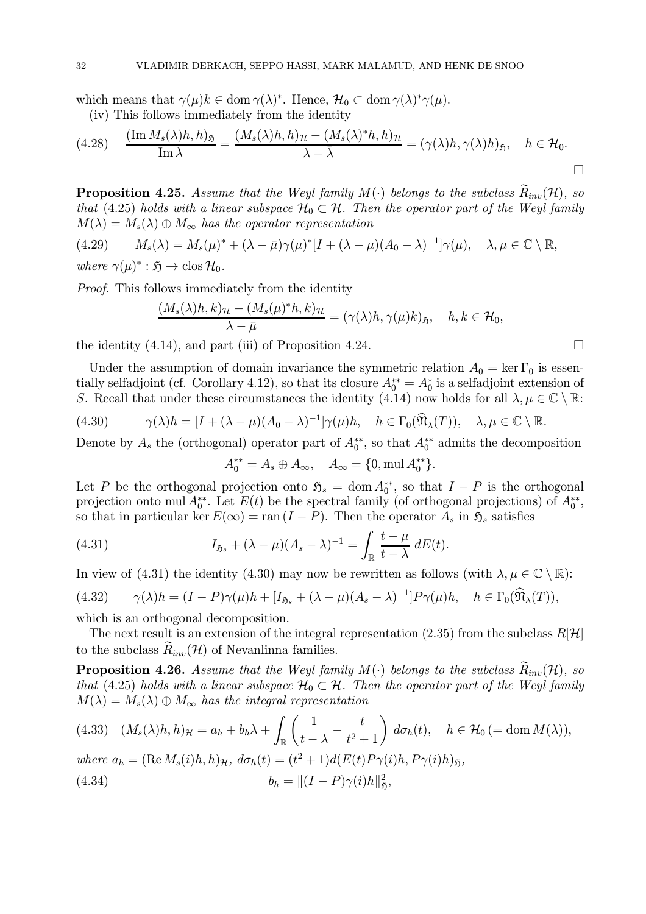which means that  $\gamma(\mu)k \in \text{dom } \gamma(\lambda)^*$ . Hence,  $\mathcal{H}_0 \subset \text{dom } \gamma(\lambda)^* \gamma(\mu)$ .

(iv) This follows immediately from the identity

$$
(4.28) \quad \frac{(\operatorname{Im} M_s(\lambda)h, h)_{\mathfrak{H}}}{\operatorname{Im} \lambda} = \frac{(M_s(\lambda)h, h)_{\mathcal{H}} - (M_s(\lambda)^*h, h)_{\mathcal{H}}}{\lambda - \bar{\lambda}} = (\gamma(\lambda)h, \gamma(\lambda)h)_{\mathfrak{H}}, \quad h \in \mathcal{H}_0.
$$

**Proposition 4.25.** Assume that the Weyl family  $M(\cdot)$  belongs to the subclass  $\tilde{R}_{inv}(\mathcal{H})$ , so that (4.25) holds with a linear subspace  $\mathcal{H}_0 \subset \mathcal{H}$ . Then the operator part of the Weyl family  $M(\lambda) = M_s(\lambda) \oplus M_\infty$  has the operator representation

(4.29)  $M_s(\lambda) = M_s(\mu)^* + (\lambda - \bar{\mu})\gamma(\mu)^*[I + (\lambda - \mu)(A_0 - \lambda)^{-1}]\gamma(\mu), \quad \lambda, \mu \in \mathbb{C} \setminus \mathbb{R},$ 

where  $\gamma(\mu)^* : \mathfrak{H} \to \text{clos } \mathcal{H}_0$ .

Proof. This follows immediately from the identity

$$
\frac{(M_s(\lambda)h, k)_{\mathcal{H}} - (M_s(\mu)^*h, k)_{\mathcal{H}}}{\lambda - \bar{\mu}} = (\gamma(\lambda)h, \gamma(\mu)k)_{\mathfrak{H}}, \quad h, k \in \mathcal{H}_0,
$$

the identity  $(4.14)$ , and part (iii) of Proposition 4.24.  $\Box$ 

Under the assumption of domain invariance the symmetric relation  $A_0 = \ker \Gamma_0$  is essentially selfadjoint (cf. Corollary 4.12), so that its closure  $A_0^{**} = A_0^*$  is a selfadjoint extension of S. Recall that under these circumstances the identity (4.14) now holds for all  $\lambda, \mu \in \mathbb{C} \setminus \mathbb{R}$ :

(4.30) 
$$
\gamma(\lambda)h = [I + (\lambda - \mu)(A_0 - \lambda)^{-1}]\gamma(\mu)h, \quad h \in \Gamma_0(\widehat{\mathfrak{N}}_{\lambda}(T)), \quad \lambda, \mu \in \mathbb{C} \setminus \mathbb{R}.
$$

Denote by  $A_s$  the (orthogonal) operator part of  $A_0^{**}$ , so that  $A_0^{**}$  admits the decomposition

$$
A_0^{**} = A_s \oplus A_{\infty}, \quad A_{\infty} = \{0, \text{mul } A_0^{**}\}.
$$

Let P be the orthogonal projection onto  $\mathfrak{H}_s = \text{dom } A_0^{**}$ , so that  $I - P$  is the orthogonal projection onto mul  $A_0^{**}$ . Let  $E(t)$  be the spectral family (of orthogonal projections) of  $A_0^{**}$ , so that in particular ker  $E(\infty) = \text{ran } (I - P)$ . Then the operator  $A_s$  in  $\mathfrak{H}_s$  satisfies

(4.31) 
$$
I_{\mathfrak{H}_s} + (\lambda - \mu)(A_s - \lambda)^{-1} = \int_{\mathbb{R}} \frac{t - \mu}{t - \lambda} dE(t).
$$

In view of (4.31) the identity (4.30) may now be rewritten as follows (with  $\lambda, \mu \in \mathbb{C} \setminus \mathbb{R}$ ):

$$
(4.32) \qquad \gamma(\lambda)h = (I - P)\gamma(\mu)h + [I_{\mathfrak{H}_s} + (\lambda - \mu)(A_s - \lambda)^{-1}]P\gamma(\mu)h, \quad h \in \Gamma_0(\widehat{\mathfrak{N}}_{\lambda}(T)),
$$

which is an orthogonal decomposition.

The next result is an extension of the integral representation (2.35) from the subclass  $R[\mathcal{H}]$ to the subclass  $\tilde{R}_{inv}(\mathcal{H})$  of Nevanlinna families.

**Proposition 4.26.** Assume that the Weyl family  $M(\cdot)$  belongs to the subclass  $\tilde{R}_{inv}(\mathcal{H})$ , so that (4.25) holds with a linear subspace  $\mathcal{H}_0 \subset \mathcal{H}$ . Then the operator part of the Weyl family  $M(\lambda) = M_s(\lambda) \oplus M_\infty$  has the integral representation

$$
(4.33) \quad (M_s(\lambda)h, h)_{\mathcal{H}} = a_h + b_h \lambda + \int_{\mathbb{R}} \left( \frac{1}{t - \lambda} - \frac{t}{t^2 + 1} \right) d\sigma_h(t), \quad h \in \mathcal{H}_0 \, (= \text{dom } M(\lambda)),
$$

where  $a_h = (\text{Re }M_s(i)h, h)_{\mathcal{H}}$ ,  $d\sigma_h(t) = (t^2 + 1)d(E(t)P_{\gamma}(i)h, P_{\gamma}(i)h)_{\mathfrak{H}}$ , (4.34)  $b_h = ||(I - P)\gamma(i)h||_5^2,$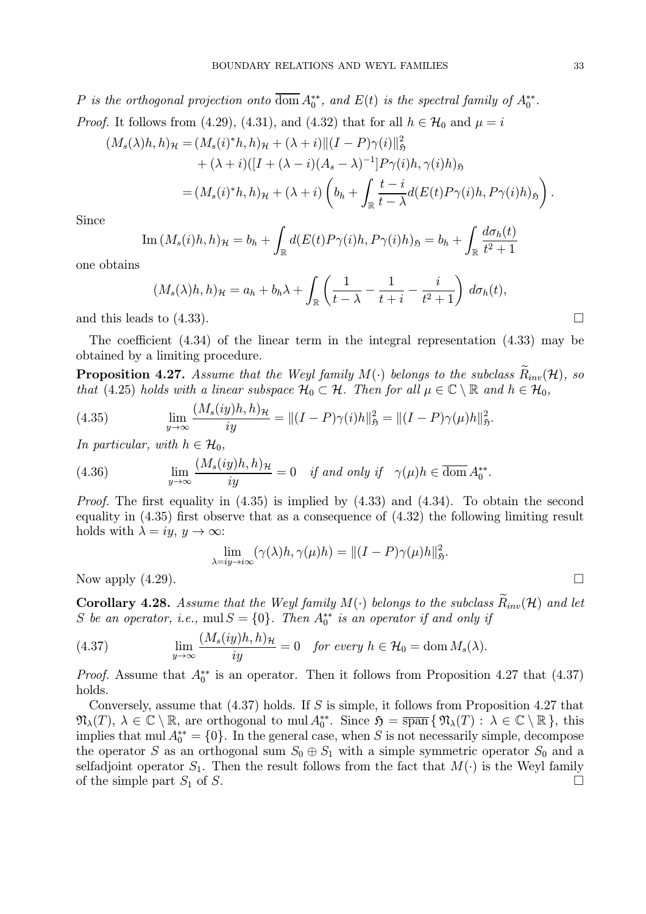P is the orthogonal projection onto dom  $A_0^{**}$ , and  $E(t)$  is the spectral family of  $A_0^{**}$ . *Proof.* It follows from (4.29), (4.31), and (4.32) that for all  $h \in \mathcal{H}_0$  and  $\mu = i$ 

$$
(M_s(\lambda)h, h)_{\mathcal{H}} = (M_s(i)^*h, h)_{\mathcal{H}} + (\lambda + i) \|(I - P)\gamma(i)\|_{\mathfrak{H}}^2 + (\lambda + i)([I + (\lambda - i)(A_s - \lambda)^{-1}]P\gamma(i)h, \gamma(i)h)_{\mathfrak{H}} = (M_s(i)^*h, h)_{\mathcal{H}} + (\lambda + i)\left(b_h + \int_{\mathbb{R}} \frac{t - i}{t - \lambda} d(E(t)P\gamma(i)h, P\gamma(i)h)_{\mathfrak{H}}\right).
$$

Since

Im 
$$
(M_s(i)h, h)_{\mathcal{H}} = b_h + \int_{\mathbb{R}} d(E(t)P\gamma(i)h, P\gamma(i)h)_{\mathfrak{H}} = b_h + \int_{\mathbb{R}} \frac{d\sigma_h(t)}{t^2 + 1}
$$

one obtains

$$
(M_s(\lambda)h, h)_{\mathcal{H}} = a_h + b_h\lambda + \int_{\mathbb{R}} \left( \frac{1}{t - \lambda} - \frac{1}{t + i} - \frac{i}{t^2 + 1} \right) d\sigma_h(t),
$$

and this leads to  $(4.33)$ .

The coefficient (4.34) of the linear term in the integral representation (4.33) may be obtained by a limiting procedure.

**Proposition 4.27.** Assume that the Weyl family  $M(\cdot)$  belongs to the subclass  $\tilde{R}_{inv}(\mathcal{H})$ , so that (4.25) holds with a linear subspace  $\mathcal{H}_0 \subset \mathcal{H}$ . Then for all  $\mu \in \mathbb{C} \setminus \mathbb{R}$  and  $h \in \mathcal{H}_0$ ,

(4.35) 
$$
\lim_{y \to \infty} \frac{(M_s(iy)h, h)_{\mathcal{H}}}{iy} = ||(I - P)\gamma(i)h||_{\mathfrak{H}}^2 = ||(I - P)\gamma(\mu)h||_{\mathfrak{H}}^2.
$$

In particular, with  $h \in \mathcal{H}_0$ ,

(4.36) 
$$
\lim_{y \to \infty} \frac{(M_s(iy)h, h)_{\mathcal{H}}}{iy} = 0 \quad \text{if and only if} \quad \gamma(\mu)h \in \overline{\text{dom}} A_0^{**}.
$$

*Proof.* The first equality in  $(4.35)$  is implied by  $(4.33)$  and  $(4.34)$ . To obtain the second equality in (4.35) first observe that as a consequence of (4.32) the following limiting result holds with  $\lambda = iy, y \to \infty$ :

$$
\lim_{\lambda = iy \to i\infty} (\gamma(\lambda)h, \gamma(\mu)h) = ||(I - P)\gamma(\mu)h||_{\mathfrak{H}}^2.
$$

Now apply  $(4.29)$ .

Corollary 4.28. Assume that the Weyl family  $M(\cdot)$  belongs to the subclass  $R_{inv}(\mathcal{H})$  and let S be an operator, i.e.,  $mul S = \{0\}$ . Then  $A_0^{**}$  is an operator if and only if

(4.37) 
$$
\lim_{y \to \infty} \frac{(M_s(iy)h, h)_{\mathcal{H}}}{iy} = 0 \text{ for every } h \in \mathcal{H}_0 = \text{dom } M_s(\lambda).
$$

*Proof.* Assume that  $A_0^{**}$  is an operator. Then it follows from Proposition 4.27 that (4.37) holds.

Conversely, assume that (4.37) holds. If S is simple, it follows from Proposition 4.27 that  $\mathfrak{N}_{\lambda}(T), \lambda \in \mathbb{C} \setminus \mathbb{R}$ , are orthogonal to mul  $A_0^{**}$ . Since  $\mathfrak{H} = \overline{\text{span}} \{ \mathfrak{N}_{\lambda}(T) : \lambda \in \mathbb{C} \setminus \mathbb{R} \}$ , this implies that mul  $A_0^{**} = \{0\}$ . In the general case, when S is not necessarily simple, decompose the operator S as an orthogonal sum  $S_0 \oplus S_1$  with a simple symmetric operator  $S_0$  and a selfadjoint operator  $S_1$ . Then the result follows from the fact that  $M(\cdot)$  is the Weyl family of the simple part  $S_1$  of  $S_2$ of the simple part  $S_1$  of S.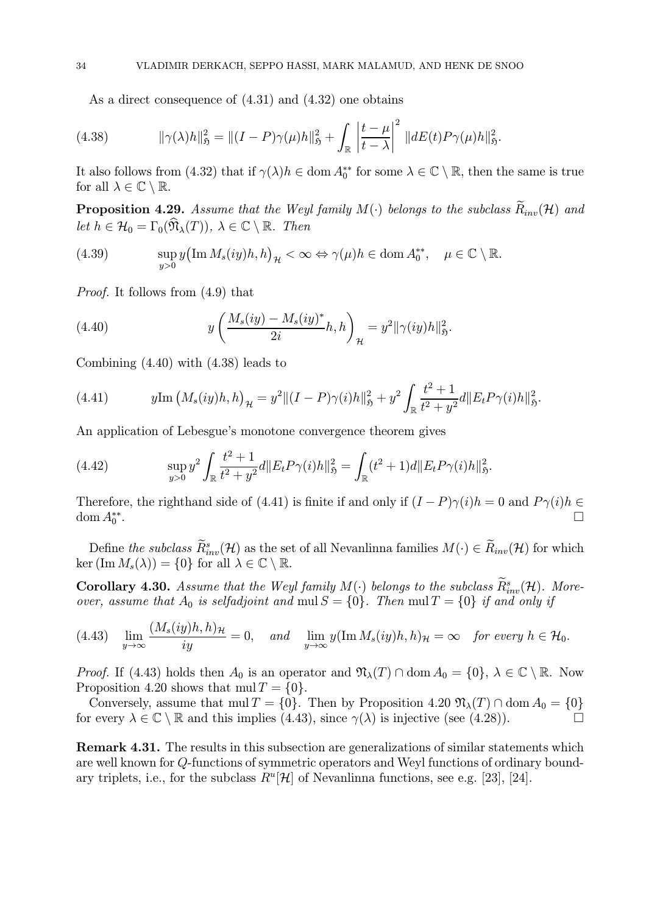As a direct consequence of (4.31) and (4.32) one obtains

(4.38) 
$$
\|\gamma(\lambda)h\|_{\mathfrak{H}}^2 = \|(I-P)\gamma(\mu)h\|_{\mathfrak{H}}^2 + \int_{\mathbb{R}} \left|\frac{t-\mu}{t-\lambda}\right|^2 \|dE(t)P\gamma(\mu)h\|_{\mathfrak{H}}^2.
$$

It also follows from (4.32) that if  $\gamma(\lambda)h \in \text{dom } A_0^{**}$  for some  $\lambda \in \mathbb{C} \setminus \mathbb{R}$ , then the same is true for all  $\lambda \in \mathbb{C} \setminus \mathbb{R}$ .

**Proposition 4.29.** Assume that the Weyl family  $M(\cdot)$  belongs to the subclass  $\widetilde{R}_{inv}(\mathcal{H})$  and let  $h \in \mathcal{H}_0 = \Gamma_0(\hat{\mathfrak{N}}_{\lambda}(T)), \lambda \in \mathbb{C} \setminus \mathbb{R}$ . Then

(4.39) 
$$
\sup_{y>0} y (\operatorname{Im} M_s(iy)h, h)_H < \infty \Leftrightarrow \gamma(\mu)h \in \operatorname{dom} A_0^{**}, \quad \mu \in \mathbb{C} \setminus \mathbb{R}.
$$

Proof. It follows from (4.9) that

(4.40) 
$$
y\left(\frac{M_s(iy) - M_s(iy)^*}{2i}h, h\right)_{\mathcal{H}} = y^2 \|\gamma(iy)h\|_{\mathfrak{H}}^2.
$$

Combining (4.40) with (4.38) leads to

(4.41) 
$$
y \text{Im} (M_s(iy)h, h)_{\mathcal{H}} = y^2 ||(I - P)\gamma(i)h||_{\mathfrak{H}}^2 + y^2 \int_{\mathbb{R}} \frac{t^2 + 1}{t^2 + y^2} d||E_t P \gamma(i)h||_{\mathfrak{H}}^2.
$$

An application of Lebesgue's monotone convergence theorem gives

(4.42) 
$$
\sup_{y>0} y^2 \int_{\mathbb{R}} \frac{t^2+1}{t^2+y^2} d\|E_t P \gamma(i)h\|_{\mathfrak{H}}^2 = \int_{\mathbb{R}} (t^2+1) d\|E_t P \gamma(i)h\|_{\mathfrak{H}}^2.
$$

Therefore, the righthand side of (4.41) is finite if and only if  $(I - P)\gamma(i)h = 0$  and  $P\gamma(i)h \in$ dom  $A_0^{**}$ .  $\overbrace{0}^{***}$ 

Define the subclass  $\tilde{R}_{inv}^s(\mathcal{H})$  as the set of all Nevanlinna families  $M(\cdot) \in \tilde{R}_{inv}(\mathcal{H})$  for which ker  $(\text{Im }M_s(\lambda)) = \{0\}$  for all  $\lambda \in \mathbb{C} \setminus \mathbb{R}$ .

**Corollary 4.30.** Assume that the Weyl family  $M(\cdot)$  belongs to the subclass  $R_{inv}^s(\mathcal{H})$ . Moreover, assume that  $A_0$  is selfadjoint and mul  $S = \{0\}$ . Then mul  $T = \{0\}$  if and only if

$$
(4.43)\quad \lim_{y\to\infty}\frac{(M_s(iy)h,h)_{\mathcal{H}}}{iy}=0,\quad and \quad \lim_{y\to\infty}y(\operatorname{Im}M_s(iy)h,h)_{\mathcal{H}}=\infty \quad \textit{for every } h\in\mathcal{H}_0.
$$

*Proof.* If (4.43) holds then  $A_0$  is an operator and  $\mathfrak{N}_{\lambda}(T) \cap \text{dom } A_0 = \{0\}, \lambda \in \mathbb{C} \setminus \mathbb{R}$ . Now Proposition 4.20 shows that  $mul T = \{0\}.$ 

Conversely, assume that mul  $T = \{0\}$ . Then by Proposition 4.20  $\mathfrak{N}_{\lambda}(T) \cap \text{dom } A_0 = \{0\}$ for every  $\lambda \in \mathbb{C} \setminus \mathbb{R}$  and this implies (4.43), since  $\gamma(\lambda)$  is injective (see (4.28)).

Remark 4.31. The results in this subsection are generalizations of similar statements which are well known for Q-functions of symmetric operators and Weyl functions of ordinary boundary triplets, i.e., for the subclass  $R^u[\mathcal{H}]$  of Nevanlinna functions, see e.g. [23], [24].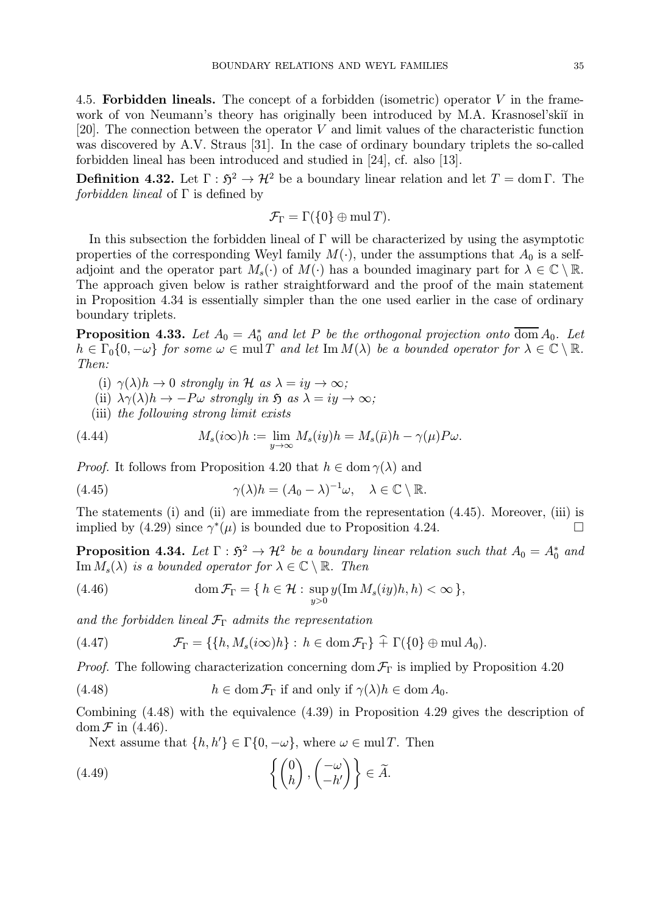4.5. Forbidden lineals. The concept of a forbidden (isometric) operator  $V$  in the framework of von Neumann's theory has originally been introduced by M.A. Krasnosel'skiï in [20]. The connection between the operator V and limit values of the characteristic function was discovered by A.V. Straus [31]. In the case of ordinary boundary triplets the so-called forbidden lineal has been introduced and studied in [24], cf. also [13].

**Definition 4.32.** Let  $\Gamma : \mathfrak{H}^2 \to \mathcal{H}^2$  be a boundary linear relation and let  $T = \text{dom }\Gamma$ . The forbidden lineal of  $\Gamma$  is defined by

$$
\mathcal{F}_{\Gamma} = \Gamma(\{0\} \oplus \text{mul } T).
$$

In this subsection the forbidden lineal of Γ will be characterized by using the asymptotic properties of the corresponding Weyl family  $M(\cdot)$ , under the assumptions that  $A_0$  is a selfadjoint and the operator part  $M_s(\cdot)$  of  $M(\cdot)$  has a bounded imaginary part for  $\lambda \in \mathbb{C} \setminus \mathbb{R}$ . The approach given below is rather straightforward and the proof of the main statement in Proposition 4.34 is essentially simpler than the one used earlier in the case of ordinary boundary triplets.

**Proposition 4.33.** Let  $A_0 = A_0^*$  and let P be the orthogonal projection onto dom  $A_0$ . Let  $h \in \Gamma_0\{0, -\omega\}$  for some  $\omega \in \text{mul } T$  and let  $\text{Im } M(\lambda)$  be a bounded operator for  $\lambda \in \mathbb{C} \setminus \mathbb{R}$ . Then:

- (i)  $\gamma(\lambda)h \to 0$  strongly in H as  $\lambda = iy \to \infty$ ;
- (ii)  $\lambda \gamma(\lambda) h \to -P\omega$  strongly in  $\mathfrak{H}$  as  $\lambda = iy \to \infty$ ;
- (iii) the following strong limit exists

(4.44) 
$$
M_s(i\infty)h := \lim_{y \to \infty} M_s(iy)h = M_s(\bar{\mu})h - \gamma(\mu)P\omega.
$$

*Proof.* It follows from Proposition 4.20 that  $h \in \text{dom } \gamma(\lambda)$  and

(4.45) 
$$
\gamma(\lambda)h = (A_0 - \lambda)^{-1}\omega, \quad \lambda \in \mathbb{C} \setminus \mathbb{R}.
$$

The statements (i) and (ii) are immediate from the representation (4.45). Moreover, (iii) is implied by (4.29) since  $\gamma^*(\mu)$  is bounded due to Proposition 4.24.

**Proposition 4.34.** Let  $\Gamma : \mathfrak{H}^2 \to \mathcal{H}^2$  be a boundary linear relation such that  $A_0 = A_0^*$  and  $\text{Im }M_s(\lambda)$  is a bounded operator for  $\lambda \in \mathbb{C} \setminus \mathbb{R}$ . Then

(4.46) 
$$
\operatorname{dom} \mathcal{F}_{\Gamma} = \{ h \in \mathcal{H} : \sup_{y>0} y(\operatorname{Im} M_s(iy)h, h) < \infty \},
$$

and the forbidden lineal  $\mathcal{F}_{\Gamma}$  admits the representation

(4.47) 
$$
\mathcal{F}_{\Gamma} = \{ \{ h, M_s(i\infty)h \} : h \in \text{dom}\,\mathcal{F}_{\Gamma} \} \widehat{+} \Gamma(\{0\} \oplus \text{mul}\,A_0).
$$

*Proof.* The following characterization concerning dom  $\mathcal{F}_{\Gamma}$  is implied by Proposition 4.20

(4.48) 
$$
h \in \text{dom}\,\mathcal{F}_{\Gamma} \text{ if and only if } \gamma(\lambda)h \in \text{dom}\,A_0.
$$

Combining (4.48) with the equivalence (4.39) in Proposition 4.29 gives the description of dom  $\mathcal F$  in (4.46).

Next assume that  $\{h, h'\} \in \Gamma\{0, -\omega\}$ , where  $\omega \in \text{mul } T$ . Then

(4.49) 
$$
\left\{ \begin{pmatrix} 0 \\ h \end{pmatrix}, \begin{pmatrix} -\omega \\ -h' \end{pmatrix} \right\} \in \widetilde{A}.
$$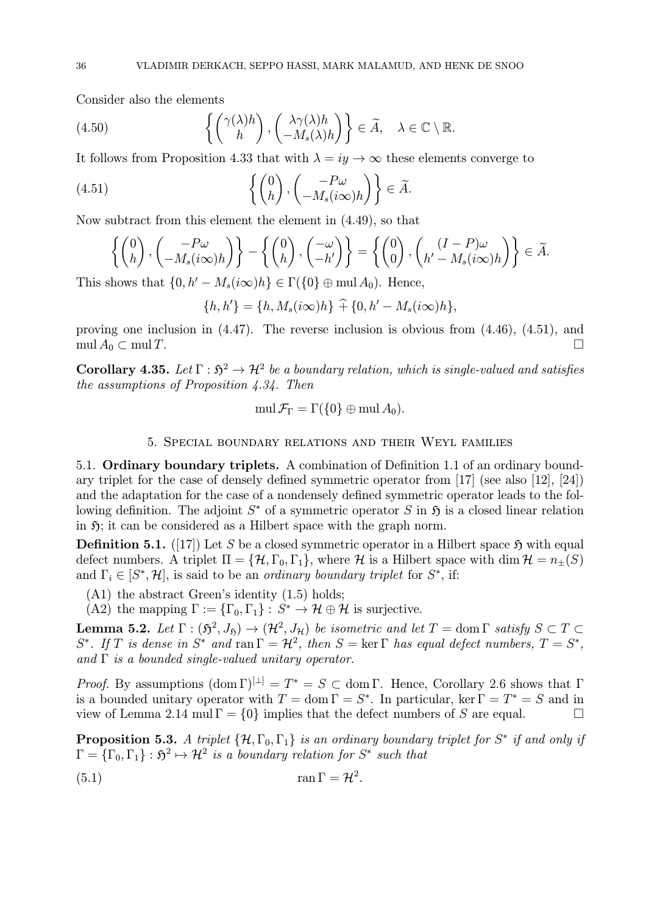Consider also the elements

(4.50) 
$$
\left\{ \begin{pmatrix} \gamma(\lambda)h \\ h \end{pmatrix}, \begin{pmatrix} \lambda \gamma(\lambda)h \\ -M_s(\lambda)h \end{pmatrix} \right\} \in \widetilde{A}, \quad \lambda \in \mathbb{C} \setminus \mathbb{R}.
$$

It follows from Proposition 4.33 that with  $\lambda = iy \rightarrow \infty$  these elements converge to

(4.51) 
$$
\left\{ \begin{pmatrix} 0 \\ h \end{pmatrix}, \begin{pmatrix} -P\omega \\ -M_s(i\infty)h \end{pmatrix} \right\} \in \widetilde{A}.
$$

Now subtract from this element the element in (4.49), so that

$$
\left\{ \begin{pmatrix} 0 \\ h \end{pmatrix}, \begin{pmatrix} -P\omega \\ -M_s(i\infty)h \end{pmatrix} \right\} - \left\{ \begin{pmatrix} 0 \\ h \end{pmatrix}, \begin{pmatrix} -\omega \\ -h' \end{pmatrix} \right\} = \left\{ \begin{pmatrix} 0 \\ 0 \end{pmatrix}, \begin{pmatrix} (I-P)\omega \\ h'-M_s(i\infty)h \end{pmatrix} \right\} \in \widetilde{A}.
$$

This shows that  $\{0, h' - M_s(i\infty)h\} \in \Gamma(\{0\} \oplus \text{mul } A_0)$ . Hence,

$$
\{h, h'\} = \{h, M_s(i\infty)h\} + \{0, h' - M_s(i\infty)h\},\
$$

proving one inclusion in  $(4.47)$ . The reverse inclusion is obvious from  $(4.46)$ ,  $(4.51)$ , and  $\operatorname{mul} A_0 \subset \operatorname{mul} T.$ 

Corollary 4.35. Let  $\Gamma : \mathfrak{H}^2 \to \mathcal{H}^2$  be a boundary relation, which is single-valued and satisfies the assumptions of Proposition 4.34. Then

$$
\operatorname{mul}\mathcal{F}_{\Gamma}=\Gamma(\{0\}\oplus\operatorname{mul} A_0).
$$

#### 5. Special boundary relations and their Weyl families

5.1. Ordinary boundary triplets. A combination of Definition 1.1 of an ordinary boundary triplet for the case of densely defined symmetric operator from [17] (see also [12], [24]) and the adaptation for the case of a nondensely defined symmetric operator leads to the following definition. The adjoint  $S^*$  of a symmetric operator S in  $\mathfrak H$  is a closed linear relation in  $\mathfrak{H}$ ; it can be considered as a Hilbert space with the graph norm.

**Definition 5.1.** ([17]) Let S be a closed symmetric operator in a Hilbert space  $\mathfrak{H}$  with equal defect numbers. A triplet  $\Pi = {\mathcal{H}, \Gamma_0, \Gamma_1}$ , where H is a Hilbert space with dim  $\mathcal{H} = n_{\pm}(S)$ and  $\Gamma_i \in [S^*, \mathcal{H}]$ , is said to be an *ordinary boundary triplet* for  $S^*$ , if:

- (A1) the abstract Green's identity (1.5) holds;
- (A2) the mapping  $\Gamma := {\{\Gamma_0, \Gamma_1\}} : S^* \to \mathcal{H} \oplus \mathcal{H}$  is surjective.

**Lemma 5.2.** Let  $\Gamma : (\mathfrak{H}^2, J_{\mathfrak{H}}) \to (\mathcal{H}^2, J_{\mathcal{H}})$  be isometric and let  $T = \text{dom } \Gamma$  satisfy  $S \subset T \subset$ S<sup>\*</sup>. If T is dense in S<sup>\*</sup> and ran  $\Gamma = H^2$ , then  $S = \text{ker } \Gamma$  has equal defect numbers,  $T = S^*$ , and  $\Gamma$  is a bounded single-valued unitary operator.

*Proof.* By assumptions  $(\text{dom }\Gamma)^{[\perp]} = T^* = S \subset \text{dom }\Gamma$ . Hence, Corollary 2.6 shows that  $\Gamma$ is a bounded unitary operator with  $T = \text{dom }\Gamma = S^*$ . In particular, ker  $\Gamma = T^* = S$  and in view of Lemma 2.14 mul  $\Gamma = \{0\}$  implies that the defect numbers of S are equal.  $\Box$ 

**Proposition 5.3.** A triplet  $\{\mathcal{H}, \Gamma_0, \Gamma_1\}$  is an ordinary boundary triplet for  $S^*$  if and only if  $\Gamma = {\{\Gamma_0,\Gamma_1\}} : \mathfrak{H}^2 \mapsto \mathcal{H}^2$  is a boundary relation for  $S^*$  such that

$$
\tan \Gamma = \mathcal{H}^2.
$$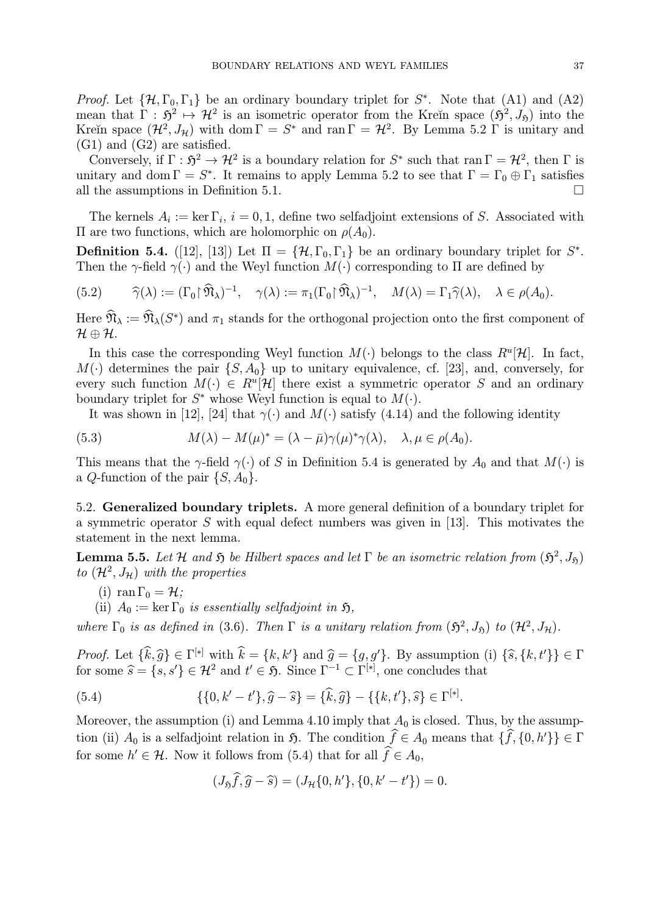*Proof.* Let  $\{\mathcal{H}, \Gamma_0, \Gamma_1\}$  be an ordinary boundary triplet for  $S^*$ . Note that (A1) and (A2) mean that  $\Gamma : \mathfrak{H}^2 \mapsto \mathcal{H}^2$  is an isometric operator from the Kreĭn space  $(\mathfrak{H}^2, J_{\mathfrak{H}})$  into the Kreĭn space  $(\mathcal{H}^2, J_\mathcal{H})$  with dom  $\Gamma = S^*$  and ran  $\Gamma = \mathcal{H}^2$ . By Lemma 5.2  $\Gamma$  is unitary and (G1) and (G2) are satisfied.

Conversely, if  $\Gamma : \mathfrak{H}^2 \to \mathcal{H}^2$  is a boundary relation for  $S^*$  such that ran  $\Gamma = \mathcal{H}^2$ , then  $\Gamma$  is unitary and dom  $\Gamma = S^*$ . It remains to apply Lemma 5.2 to see that  $\Gamma = \Gamma_0 \oplus \Gamma_1$  satisfies all the assumptions in Definition 5.1. all the assumptions in Definition 5.1.

The kernels  $A_i := \ker \Gamma_i$ ,  $i = 0, 1$ , define two selfadjoint extensions of S. Associated with Π are two functions, which are holomorphic on  $ρ(A<sub>0</sub>)$ .

**Definition 5.4.** ([12], [13]) Let  $\Pi = {\mathcal{H}, \Gamma_0, \Gamma_1}$  be an ordinary boundary triplet for  $S^*$ . Then the  $\gamma$ -field  $\gamma(\cdot)$  and the Weyl function  $M(\cdot)$  corresponding to  $\Pi$  are defined by

(5.2) 
$$
\widehat{\gamma}(\lambda) := (\Gamma_0 \upharpoonright \widehat{\mathfrak{N}}_{\lambda})^{-1}, \quad \gamma(\lambda) := \pi_1(\Gamma_0 \upharpoonright \widehat{\mathfrak{N}}_{\lambda})^{-1}, \quad M(\lambda) = \Gamma_1 \widehat{\gamma}(\lambda), \quad \lambda \in \rho(A_0).
$$

Here  $\widehat{\mathfrak{N}}_{\lambda}:=\widehat{\mathfrak{N}}_{\lambda}(S^*)$  and  $\pi_1$  stands for the orthogonal projection onto the first component of  $\mathcal{H} \oplus \mathcal{H}.$ 

In this case the corresponding Weyl function  $M(\cdot)$  belongs to the class  $R^u[\mathcal{H}]$ . In fact,  $M(\cdot)$  determines the pair  $\{S, A_0\}$  up to unitary equivalence, cf. [23], and, conversely, for every such function  $M(\cdot) \in R^u[\mathcal{H}]$  there exist a symmetric operator S and an ordinary boundary triplet for  $S^*$  whose Weyl function is equal to  $M(\cdot)$ .

It was shown in [12], [24] that  $\gamma(\cdot)$  and  $M(\cdot)$  satisfy (4.14) and the following identity

(5.3) 
$$
M(\lambda) - M(\mu)^* = (\lambda - \bar{\mu})\gamma(\mu)^*\gamma(\lambda), \quad \lambda, \mu \in \rho(A_0).
$$

This means that the  $\gamma$ -field  $\gamma(\cdot)$  of S in Definition 5.4 is generated by  $A_0$  and that  $M(\cdot)$  is a Q-function of the pair  $\{S, A_0\}$ .

5.2. Generalized boundary triplets. A more general definition of a boundary triplet for a symmetric operator S with equal defect numbers was given in [13]. This motivates the statement in the next lemma.

**Lemma 5.5.** Let H and  $\mathfrak{H}$  be Hilbert spaces and let  $\Gamma$  be an isometric relation from  $(\mathfrak{H}^2, J_{\mathfrak{H}})$ to  $(\mathcal{H}^2, J_{\mathcal{H}})$  with the properties

- (i) ran  $\Gamma_0 = \mathcal{H}$ ;
- (ii)  $A_0 := \ker \Gamma_0$  is essentially selfadjoint in  $\mathfrak{H}$ ,

where  $\Gamma_0$  is as defined in (3.6). Then  $\Gamma$  is a unitary relation from  $(\mathfrak{H}^2, J_{\mathfrak{H}})$  to  $(\mathcal{H}^2, J_{\mathcal{H}})$ .

Proof. Let  $\{\hat{k}, \hat{g}\} \in \Gamma^{[*]}$  with  $\hat{k} = \{k, k'\}$  and  $\hat{g} = \{g, g'\}$ . By assumption (i)  $\{\hat{s}, \{k, t'\}\}\in \Gamma$ for some  $\widehat{s} = \{s, s'\} \in \mathcal{H}^2$  and  $t' \in \mathfrak{H}$ . Since  $\Gamma^{-1} \subset \Gamma^{[*]}$ , one concludes that

(5.4) 
$$
\{\{0, k' - t'\}, \hat{g} - \hat{s}\} = \{\hat{k}, \hat{g}\} - \{\{k, t'\}, \hat{s}\} \in \Gamma^{[*]}.
$$

Moreover, the assumption (i) and Lemma 4.10 imply that  $A_0$  is closed. Thus, by the assumption (ii)  $A_0$  is a selfadjoint relation in  $\mathfrak{H}$ . The condition  $f \in A_0$  means that  $\{f, \{0, h'\}\} \in \Gamma$ for some  $h' \in \mathcal{H}$ . Now it follows from (5.4) that for all  $f \in A_0$ ,

$$
(J_{\mathfrak{H}}\hat{f}, \hat{g} - \hat{s}) = (J_{\mathcal{H}}\{0, h'\}, \{0, k' - t'\}) = 0.
$$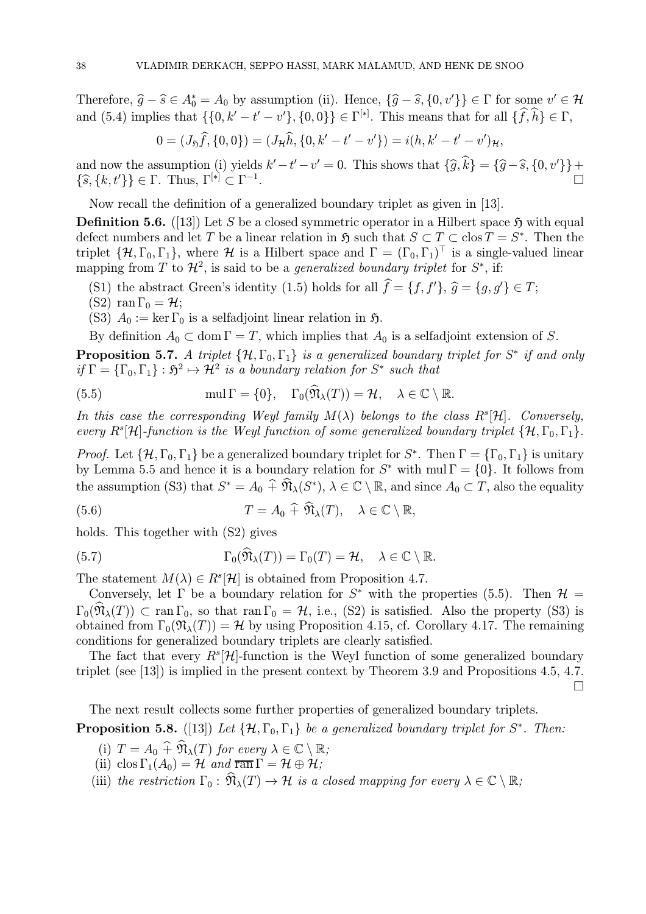Therefore,  $\hat{g} - \hat{s} \in A_0^* = A_0$  by assumption (ii). Hence,  $\{\hat{g} - \hat{s}, \{0, v'\}\}\in \Gamma$  for some  $v' \in \mathcal{H}$ and (5.4) implies that  $\{\{0, k' - t' - v'\}, \{0, 0\}\}\in \Gamma^{[*]}$ . This means that for all  $\{\hat{f}, \hat{h}\}\in \Gamma$ ,

$$
0 = (J_{\mathfrak{H}}\hat{f}, \{0,0\}) = (J_{\mathcal{H}}\hat{h}, \{0, k'-t'-v'\}) = i(h, k'-t'-v')_{\mathcal{H}},
$$

and now the assumption (i) yields  $k'-t'-v'=0$ . This shows that  $\{\widehat{g}, k\} = \{\widehat{g} - \widehat{s}, \{0, v'\}\} +$  $\{\widehat{s}, \{k, t'\}\}\in \Gamma$ . Thus,  $\Gamma^{[*]}\subset \Gamma^{-1}$ .

Now recall the definition of a generalized boundary triplet as given in [13].

**Definition 5.6.** ([13]) Let S be a closed symmetric operator in a Hilbert space  $\tilde{\mathbf{y}}$  with equal defect numbers and let T be a linear relation in  $\mathfrak{H}$  such that  $S \subset T \subset \text{clos } T = S^*$ . Then the triplet  $\{\mathcal{H}, \Gamma_0, \Gamma_1\}$ , where  $\mathcal{H}$  is a Hilbert space and  $\Gamma = (\Gamma_0, \Gamma_1)^T$  is a single-valued linear mapping from T to  $\mathcal{H}^2$ , is said to be a *generalized boundary triplet* for  $S^*$ , if:

- (S1) the abstract Green's identity (1.5) holds for all  $f = \{f, f'\}, \hat{g} = \{g, g'\} \in T;$ <br>(S2) rep  $\Gamma$  and  $\Gamma$
- (S2) ran  $\Gamma_0 = \mathcal{H}$ ;

(S3)  $A_0 := \ker \Gamma_0$  is a selfadjoint linear relation in  $\mathfrak{H}$ .

By definition  $A_0 \subset \text{dom } \Gamma = T$ , which implies that  $A_0$  is a selfadjoint extension of S.

**Proposition 5.7.** A triplet  $\{\mathcal{H}, \Gamma_0, \Gamma_1\}$  is a generalized boundary triplet for S<sup>\*</sup> if and only if  $\Gamma = {\{\Gamma_0,\Gamma_1\}} : \mathfrak{H}^2 \mapsto \mathcal{H}^2$  is a boundary relation for  $S^*$  such that

(5.5) 
$$
\text{mul } \Gamma = \{0\}, \quad \Gamma_0(\hat{\mathfrak{N}}_{\lambda}(T)) = \mathcal{H}, \quad \lambda \in \mathbb{C} \setminus \mathbb{R}.
$$

In this case the corresponding Weyl family  $M(\lambda)$  belongs to the class  $R^s[\mathcal{H}]$ . Conversely, every  $R^s[\mathcal{H}]$ -function is the Weyl function of some generalized boundary triplet  $\{\mathcal{H},\Gamma_0,\Gamma_1\}$ .

*Proof.* Let  $\{\mathcal{H}, \Gamma_0, \Gamma_1\}$  be a generalized boundary triplet for  $S^*$ . Then  $\Gamma = {\Gamma_0, \Gamma_1}$  is unitary by Lemma 5.5 and hence it is a boundary relation for  $S^*$  with mul  $\Gamma = \{0\}$ . It follows from the assumption (S3) that  $S^* = A_0 \widehat{+} \widehat{\mathfrak{N}}_{\lambda}(S^*), \lambda \in \mathbb{C} \setminus \mathbb{R}$ , and since  $A_0 \subset T$ , also the equality

(5.6) 
$$
T = A_0 \widehat{+} \widehat{\mathfrak{N}}_{\lambda}(T), \quad \lambda \in \mathbb{C} \setminus \mathbb{R},
$$

holds. This together with (S2) gives

(5.7) 
$$
\Gamma_0(\widehat{\mathfrak{N}}_{\lambda}(T)) = \Gamma_0(T) = \mathcal{H}, \quad \lambda \in \mathbb{C} \setminus \mathbb{R}.
$$

The statement  $M(\lambda) \in R^s[\mathcal{H}]$  is obtained from Proposition 4.7.

Conversely, let  $\Gamma$  be a boundary relation for  $S^*$  with the properties (5.5). Then  $\mathcal{H} =$  $\Gamma_0(\widehat{\mathfrak{N}}_{\lambda}(T)) \subset \text{ran } \Gamma_0$ , so that  $\text{ran } \Gamma_0 = \mathcal{H}$ , i.e., (S2) is satisfied. Also the property (S3) is obtained from  $\Gamma_0(\mathfrak{N}_\lambda(T)) = \mathcal{H}$  by using Proposition 4.15, cf. Corollary 4.17. The remaining conditions for generalized boundary triplets are clearly satisfied.

The fact that every  $R^{s}[\mathcal{H}]$ -function is the Weyl function of some generalized boundary triplet (see [13]) is implied in the present context by Theorem 3.9 and Propositions 4.5, 4.7.

 $\Box$ 

The next result collects some further properties of generalized boundary triplets. **Proposition 5.8.** ([13]) Let  $\{\mathcal{H}, \Gamma_0, \Gamma_1\}$  be a generalized boundary triplet for S<sup>\*</sup>. Then:

- (i)  $T = A_0 \widehat{+} \widehat{\mathfrak{N}}_{\lambda}(T)$  for every  $\lambda \in \mathbb{C} \setminus \mathbb{R}$ ;
- (ii) clos  $\Gamma_1(A_0) = \mathcal{H}$  and  $\overline{ran} \Gamma = \mathcal{H} \oplus \mathcal{H}$ ;
- (iii) the restriction  $\Gamma_0 : \widehat{\mathfrak{N}}_{\lambda}(T) \to \mathcal{H}$  is a closed mapping for every  $\lambda \in \mathbb{C} \setminus \mathbb{R}$ ;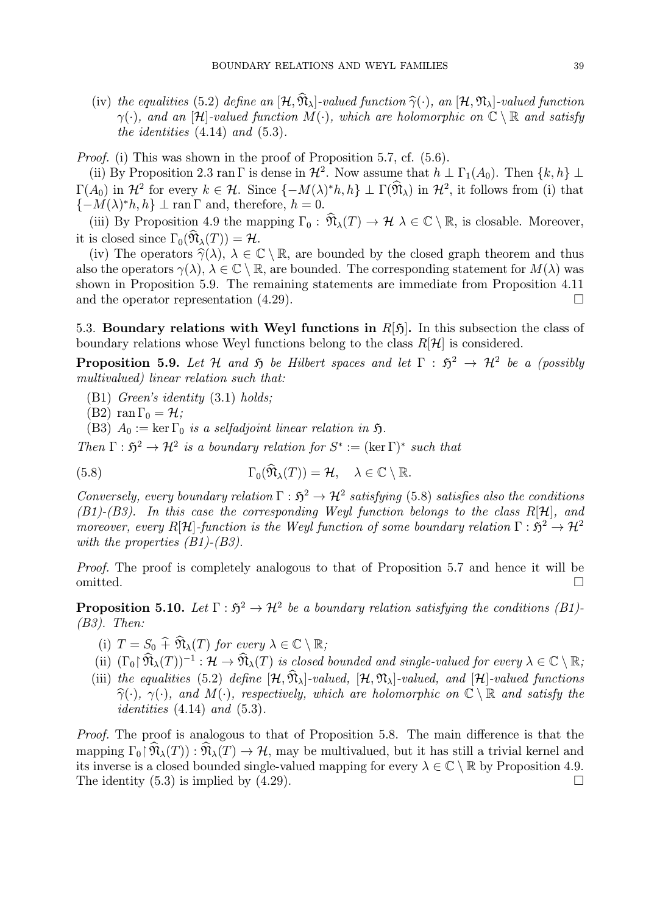(iv) the equalities (5.2) define an  $[\mathcal{H}, \widehat{\mathfrak{N}}_{\lambda}]$ -valued function  $\widehat{\gamma}(\cdot)$ , an  $[\mathcal{H}, \mathfrak{N}_{\lambda}]$ -valued function  $\gamma(\cdot)$ , and an [H]-valued function  $M(\cdot)$ , which are holomorphic on  $\mathbb{C} \setminus \mathbb{R}$  and satisfy the identities  $(4.14)$  and  $(5.3)$ .

Proof. (i) This was shown in the proof of Proposition 5.7, cf. (5.6).

(ii) By Proposition 2.3 ran Γ is dense in  $\mathcal{H}^2$ . Now assume that  $h \perp \Gamma_1(A_0)$ . Then  $\{k, h\} \perp$  $\Gamma(A_0)$  in  $\mathcal{H}^2$  for every  $k \in \mathcal{H}$ . Since  $\{-M(\lambda)^*h, h\} \perp \Gamma(\widehat{\mathfrak{N}}_{\lambda})$  in  $\mathcal{H}^2$ , it follows from (i) that  ${-M(\lambda)*h, h} \perp \text{ran } \Gamma \text{ and, therefore, } h = 0.$ 

(iii) By Proposition 4.9 the mapping  $\Gamma_0$ :  $\widehat{\mathfrak{N}}_{\lambda}(T) \to \mathcal{H}$   $\lambda \in \mathbb{C} \setminus \mathbb{R}$ , is closable. Moreover, it is closed since  $\Gamma_0(\mathfrak{N}_\lambda(T)) = \mathcal{H}$ .

(iv) The operators  $\hat{\gamma}(\lambda)$ ,  $\lambda \in \mathbb{C} \setminus \mathbb{R}$ , are bounded by the closed graph theorem and thus also the operators  $\gamma(\lambda)$ ,  $\lambda \in \mathbb{C} \setminus \mathbb{R}$ , are bounded. The corresponding statement for  $M(\lambda)$  was shown in Proposition 5.9. The remaining statements are immediate from Proposition 4.11 and the operator representation  $(4.29)$ .

5.3. Boundary relations with Weyl functions in  $R[\mathfrak{H}]$ . In this subsection the class of boundary relations whose Weyl functions belong to the class  $R[\mathcal{H}]$  is considered.

**Proposition 5.9.** Let H and  $\tilde{p}$  be Hilbert spaces and let  $\Gamma : \tilde{p}^2 \rightarrow H^2$  be a (possibly multivalued) linear relation such that:

(B1) Green's identity (3.1) holds;

(B2) ran  $\Gamma_0 = \mathcal{H}$ ;

(B3)  $A_0 := \ker \Gamma_0$  is a selfadjoint linear relation in  $\mathfrak{H}$ .

Then  $\Gamma : \mathfrak{H}^2 \to \mathcal{H}^2$  is a boundary relation for  $S^* := (\ker \Gamma)^*$  such that

(5.8) 
$$
\Gamma_0(\widehat{\mathfrak{N}}_{\lambda}(T)) = \mathcal{H}, \quad \lambda \in \mathbb{C} \setminus \mathbb{R}.
$$

Conversely, every boundary relation  $\Gamma : \mathfrak{H}^2 \to \mathcal{H}^2$  satisfying (5.8) satisfies also the conditions  $(B1)-(B3)$ . In this case the corresponding Weyl function belongs to the class R[H], and moreover, every R[H]-function is the Weyl function of some boundary relation  $\Gamma : \mathfrak{H}^2 \to \mathcal{H}^2$ with the properties  $(B1)$ - $(B3)$ .

Proof. The proof is completely analogous to that of Proposition 5.7 and hence it will be omitted.  $\Box$ 

**Proposition 5.10.** Let  $\Gamma : \mathfrak{H}^2 \to \mathcal{H}^2$  be a boundary relation satisfying the conditions (B1)- $(B3)$ . Then:

- (i)  $T = S_0 \widehat{+} \widehat{\mathfrak{N}}_{\lambda}(T)$  for every  $\lambda \in \mathbb{C} \setminus \mathbb{R}$ ;
- (ii)  $(\Gamma_0 \upharpoonright \widehat{\mathfrak{N}}_{\lambda}(T))^{-1} : \mathcal{H} \to \widehat{\mathfrak{N}}_{\lambda}(T)$  is closed bounded and single-valued for every  $\lambda \in \mathbb{C} \setminus \mathbb{R}$ ;
- (iii) the equalities (5.2) define  $[\mathcal{H}, \hat{\mathfrak{N}}_{\lambda}]$ -valued,  $[\mathcal{H}, \mathfrak{N}_{\lambda}]$ -valued, and  $[\mathcal{H}]$ -valued functions  $\hat{\gamma}(\cdot), \gamma(\cdot)$ , and  $M(\cdot)$ , respectively, which are holomorphic on  $\mathbb{C} \setminus \mathbb{R}$  and satisfy the *identities*  $(4.14)$  *and*  $(5.3)$ *.*

Proof. The proof is analogous to that of Proposition 5.8. The main difference is that the mapping  $\Gamma_0 \upharpoonright \mathfrak{N}_\lambda(T)$ :  $\mathfrak{N}_\lambda(T) \to \mathcal{H}$ , may be multivalued, but it has still a trivial kernel and its inverse is a closed bounded single-valued mapping for every  $\lambda \in \mathbb{C} \setminus \mathbb{R}$  by Proposition 4.9.<br>The identity (5.3) is implied by (4.29). The identity  $(5.3)$  is implied by  $(4.29)$ .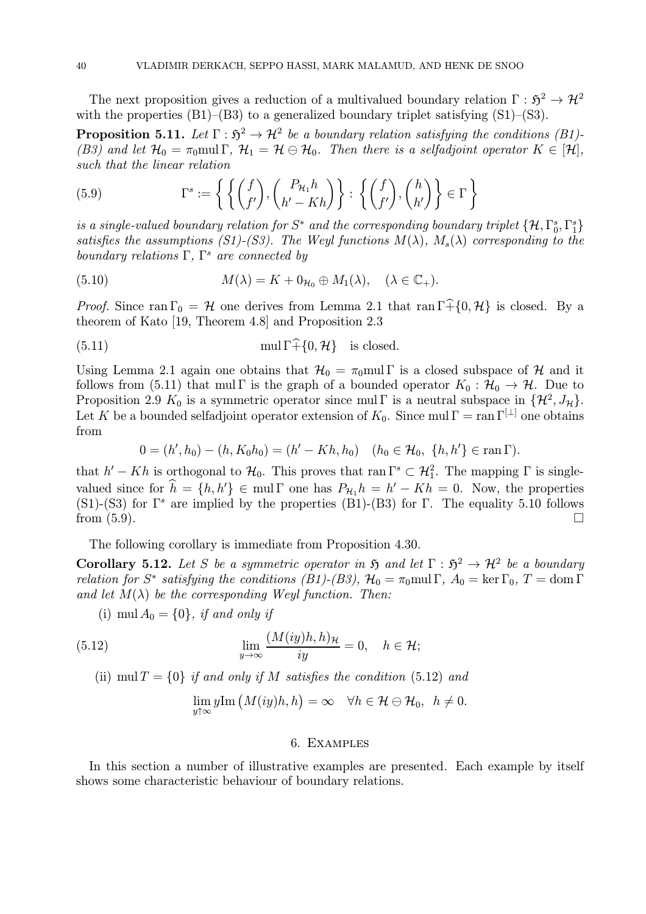The next proposition gives a reduction of a multivalued boundary relation  $\Gamma : \mathfrak{H}^2 \to \mathcal{H}^2$ with the properties (B1)–(B3) to a generalized boundary triplet satisfying (S1)–(S3).

**Proposition 5.11.** Let  $\Gamma : \mathfrak{H}^2 \to \mathcal{H}^2$  be a boundary relation satisfying the conditions (B1)-(B3) and let  $\mathcal{H}_0 = \pi_0$  mul  $\Gamma$ ,  $\mathcal{H}_1 = \mathcal{H} \ominus \mathcal{H}_0$ . Then there is a selfadjoint operator  $K \in [\mathcal{H}]$ , such that the linear relation

(5.9) 
$$
\Gamma^{s} := \left\{ \left\{ \begin{pmatrix} f \\ f' \end{pmatrix}, \begin{pmatrix} P_{\mathcal{H}_{1}} h \\ h' - Kh \end{pmatrix} \right\} : \left\{ \begin{pmatrix} f \\ f' \end{pmatrix}, \begin{pmatrix} h \\ h' \end{pmatrix} \right\} \in \Gamma \right\}
$$

is a single-valued boundary relation for  $S^*$  and the corresponding boundary triplet  $\{\mathcal{H}, \Gamma_0^s, \Gamma_1^s\}$ satisfies the assumptions (S1)-(S3). The Weyl functions  $M(\lambda)$ ,  $M_s(\lambda)$  corresponding to the boundary relations  $\Gamma$ ,  $\Gamma^s$  are connected by

(5.10) 
$$
M(\lambda) = K + 0_{\mathcal{H}_0} \oplus M_1(\lambda), \quad (\lambda \in \mathbb{C}_+).
$$

*Proof.* Since ran  $\Gamma_0 = H$  one derives from Lemma 2.1 that ran  $\Gamma$ +{0, H} is closed. By a theorem of Kato [19, Theorem 4.8] and Proposition 2.3

(5.11) 
$$
\text{mul } \Gamma \widehat{+} \{0, \mathcal{H}\}
$$
 is closed.

Using Lemma 2.1 again one obtains that  $\mathcal{H}_0 = \pi_0$  mul Γ is a closed subspace of H and it follows from (5.11) that mul Γ is the graph of a bounded operator  $K_0 : \mathcal{H}_0 \to \mathcal{H}$ . Due to Proposition 2.9  $K_0$  is a symmetric operator since mul Γ is a neutral subspace in  $\{\mathcal{H}^2, J_\mathcal{H}\}.$ Let K be a bounded selfadjoint operator extension of  $K_0$ . Since mul  $\Gamma = \text{ran } \Gamma^{[\perp]}$  one obtains from

$$
0 = (h', h_0) - (h, K_0 h_0) = (h' - Kh, h_0) \quad (h_0 \in \mathcal{H}_0, \ \{h, h'\} \in \operatorname{ran} \Gamma).
$$

that  $h'-Kh$  is orthogonal to  $\mathcal{H}_0$ . This proves that ran  $\Gamma^s \subset \mathcal{H}_1^2$ . The mapping  $\Gamma$  is singlevalued since for  $h = \{h, h'\} \in \text{mul } \Gamma$  one has  $P_{\mathcal{H}_1} h = h' - Kh = 0$ . Now, the properties (S1)-(S3) for  $\Gamma^s$  are implied by the properties (B1)-(B3) for  $\Gamma$ . The equality 5.10 follows from  $(5.9)$ .

The following corollary is immediate from Proposition 4.30.

Corollary 5.12. Let S be a symmetric operator in  $\mathfrak{H}$  and let  $\Gamma : \mathfrak{H}^2 \to \mathcal{H}^2$  be a boundary relation for S<sup>\*</sup> satisfying the conditions (B1)-(B3),  $\mathcal{H}_0 = \pi_0$ mul Γ,  $A_0 = \ker \Gamma_0$ ,  $T = \text{dom } \Gamma$ and let  $M(\lambda)$  be the corresponding Weyl function. Then:

(i) mul  $A_0 = \{0\}$ , if and only if

(5.12) 
$$
\lim_{y \to \infty} \frac{(M(iy)h, h)_{\mathcal{H}}}{iy} = 0, \quad h \in \mathcal{H};
$$

(ii) mul  $T = \{0\}$  if and only if M satisfies the condition (5.12) and

$$
\lim_{y \uparrow \infty} y \text{Im} \left( M(iy)h, h \right) = \infty \quad \forall h \in \mathcal{H} \ominus \mathcal{H}_0, \ \ h \neq 0.
$$

#### 6. Examples

In this section a number of illustrative examples are presented. Each example by itself shows some characteristic behaviour of boundary relations.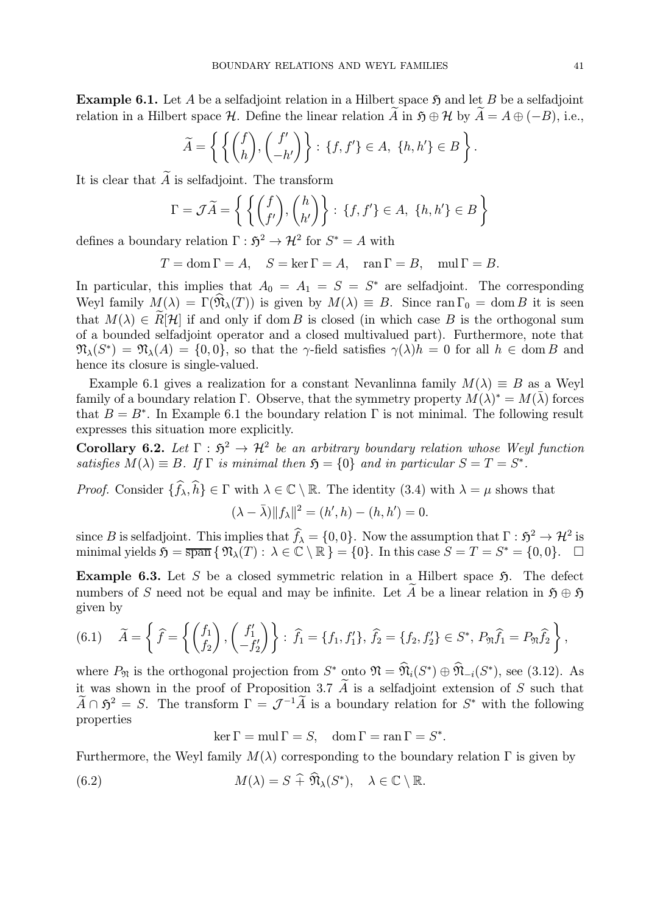**Example 6.1.** Let A be a selfadjoint relation in a Hilbert space  $\mathfrak{H}$  and let B be a selfadjoint relation in a Hilbert space H. Define the linear relation A in  $\mathfrak{H} \oplus \mathcal{H}$  by  $A = A \oplus (-B)$ , i.e.,

$$
\widetilde{A} = \left\{ \left\{ \begin{pmatrix} f \\ h \end{pmatrix}, \begin{pmatrix} f' \\ -h' \end{pmatrix} \right\} : \{f, f'\} \in A, \{h, h'\} \in B \right\}.
$$

It is clear that  $\widetilde{A}$  is selfadjoint. The transform

$$
\Gamma = \mathcal{J}\widetilde{A} = \left\{ \left\{ \begin{pmatrix} f \\ f' \end{pmatrix}, \begin{pmatrix} h \\ h' \end{pmatrix} \right\} : \{f, f'\} \in A, \{h, h'\} \in B \right\}
$$

defines a boundary relation  $\Gamma : \mathfrak{H}^2 \to \mathcal{H}^2$  for  $S^* = A$  with

$$
T = \text{dom}\,\Gamma = A, \quad S = \ker\Gamma = A, \quad \text{ran}\,\Gamma = B, \quad \text{mul}\,\Gamma = B.
$$

In particular, this implies that  $A_0 = A_1 = S = S^*$  are selfadjoint. The corresponding Weyl family  $M(\lambda) = \Gamma(\mathfrak{N}_{\lambda}(T))$  is given by  $M(\lambda) \equiv B$ . Since ran  $\Gamma_0 = \text{dom } B$  it is seen that  $M(\lambda) \in \widetilde{R}[\mathcal{H}]$  if and only if dom B is closed (in which case B is the orthogonal sum of a bounded selfadjoint operator and a closed multivalued part). Furthermore, note that  $\mathfrak{N}_{\lambda}(S^*) = \mathfrak{N}_{\lambda}(A) = \{0, 0\}$ , so that the  $\gamma$ -field satisfies  $\gamma(\lambda)h = 0$  for all  $h \in \text{dom } B$  and hence its closure is single-valued.

Example 6.1 gives a realization for a constant Nevanlinna family  $M(\lambda) \equiv B$  as a Weyl family of a boundary relation Γ. Observe, that the symmetry property  $M(\lambda)^* = M(\overline{\lambda})$  forces that  $B = B^*$ . In Example 6.1 the boundary relation  $\Gamma$  is not minimal. The following result expresses this situation more explicitly.

Corollary 6.2. Let  $\Gamma : 5^2 \to \mathcal{H}^2$  be an arbitrary boundary relation whose Weyl function satisfies  $M(\lambda) \equiv B$ . If  $\Gamma$  is minimal then  $\mathfrak{H} = \{0\}$  and in particular  $S = T = S^*$ .

*Proof.* Consider  $\{f_{\lambda}, h\} \in \Gamma$  with  $\lambda \in \mathbb{C} \setminus \mathbb{R}$ . The identity (3.4) with  $\lambda = \mu$  shows that

$$
(\lambda - \bar{\lambda}) \|f_{\lambda}\|^2 = (h', h) - (h, h') = 0.
$$

since B is selfadjoint. This implies that  $f_{\lambda} = \{0, 0\}$ . Now the assumption that  $\Gamma : \mathfrak{H}^2 \to \mathcal{H}^2$  is minimal yields  $\mathfrak{H} = \overline{\text{span}} \{ \mathfrak{N}_{\lambda}(T) : \lambda \in \mathbb{C} \setminus \mathbb{R} \} = \{0\}.$  In this case  $S = T = S^* = \{0, 0\}.$ 

Example 6.3. Let S be a closed symmetric relation in a Hilbert space  $\mathfrak{H}$ . The defect numbers of S need not be equal and may be infinite. Let  $\widetilde{A}$  be a linear relation in  $\mathfrak{H} \oplus \mathfrak{H}$ given by

(6.1) 
$$
\tilde{A} = \left\{ \tilde{f} = \left\{ \begin{pmatrix} f_1 \\ f_2 \end{pmatrix}, \begin{pmatrix} f'_1 \\ -f'_2 \end{pmatrix} \right\} : \tilde{f}_1 = \{f_1, f'_1\}, \tilde{f}_2 = \{f_2, f'_2\} \in S^*, P_{\mathfrak{N}} \hat{f}_1 = P_{\mathfrak{N}} \hat{f}_2 \right\},
$$

where  $P_{\mathfrak{N}}$  is the orthogonal projection from  $S^*$  onto  $\mathfrak{N} = \widehat{\mathfrak{N}}_i(S^*) \oplus \widehat{\mathfrak{N}}_{-i}(S^*)$ , see (3.12). As it was shown in the proof of Proposition 3.7  $\widetilde{A}$  is a selfadjoint extension of S such that  $\widetilde{A} \cap \mathfrak{H}^2 = S$ . The transform  $\Gamma = \mathcal{J}^{-1}\widetilde{A}$  is a boundary relation for  $S^*$  with the following properties

 $\ker \Gamma = \text{mul } \Gamma = S, \quad \text{dom } \Gamma = \text{ran } \Gamma = S^*.$ 

Furthermore, the Weyl family  $M(\lambda)$  corresponding to the boundary relation  $\Gamma$  is given by

(6.2) 
$$
M(\lambda) = S + \mathfrak{N}_{\lambda}(S^*), \quad \lambda \in \mathbb{C} \setminus \mathbb{R}.
$$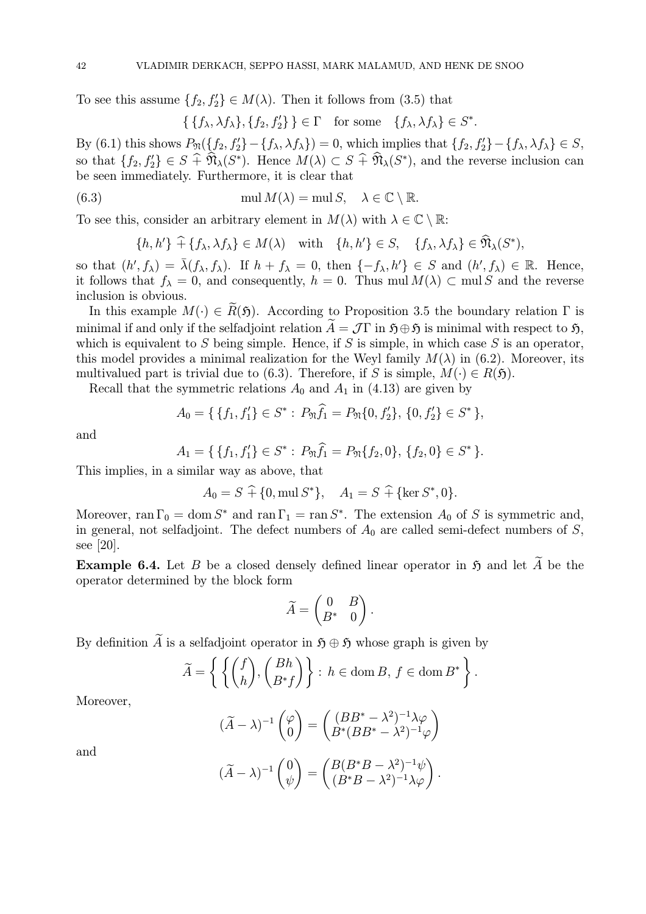To see this assume  $\{f_2, f'_2\} \in M(\lambda)$ . Then it follows from (3.5) that

$$
\{\{f_{\lambda}, \lambda f_{\lambda}\}, \{f_2, f_2'\}\}\in \Gamma \quad \text{for some} \quad \{f_{\lambda}, \lambda f_{\lambda}\}\in S^*.
$$

By (6.1) this shows  $P_{\mathfrak{N}}(\lbrace f_2, f'_2 \rbrace - \lbrace f_\lambda, \lambda f_\lambda \rbrace) = 0$ , which implies that  $\lbrace f_2, f'_2 \rbrace - \lbrace f_\lambda, \lambda f_\lambda \rbrace \in S$ , so that  $\{f_2, f'_2\} \in S + \mathfrak{N}_{\lambda}(S^*)$ . Hence  $M(\lambda) \subset S + \mathfrak{N}_{\lambda}(S^*)$ , and the reverse inclusion can be seen immediately. Furthermore, it is clear that

(6.3) 
$$
\text{mul } M(\lambda) = \text{mul } S, \quad \lambda \in \mathbb{C} \setminus \mathbb{R}.
$$

To see this, consider an arbitrary element in  $M(\lambda)$  with  $\lambda \in \mathbb{C} \setminus \mathbb{R}$ :

$$
\{h, h'\} \widehat{+} \{f_{\lambda}, \lambda f_{\lambda}\} \in M(\lambda) \quad \text{with} \quad \{h, h'\} \in S, \quad \{f_{\lambda}, \lambda f_{\lambda}\} \in \mathfrak{N}_{\lambda}(S^*),
$$

so that  $(h', f_\lambda) = \overline{\lambda}(f_\lambda, f_\lambda)$ . If  $h + f_\lambda = 0$ , then  $\{-f_\lambda, h'\} \in S$  and  $(h', f_\lambda) \in \mathbb{R}$ . Hence, it follows that  $f_{\lambda} = 0$ , and consequently,  $h = 0$ . Thus mul  $M(\lambda) \subset \text{mul } S$  and the reverse inclusion is obvious.

In this example  $M(\cdot) \in \widetilde{R}(\mathfrak{H})$ . According to Proposition 3.5 the boundary relation  $\Gamma$  is minimal if and only if the selfadjoint relation  $\widetilde{A} = J\Gamma$  in  $\mathfrak{H} \oplus \mathfrak{H}$  is minimal with respect to  $\mathfrak{H}$ . which is equivalent to S being simple. Hence, if S is simple, in which case S is an operator, this model provides a minimal realization for the Weyl family  $M(\lambda)$  in (6.2). Moreover, its multivalued part is trivial due to (6.3). Therefore, if S is simple,  $M(\cdot) \in R(\mathfrak{H})$ .

Recall that the symmetric relations  $A_0$  and  $A_1$  in (4.13) are given by

$$
A_0 = \{ \{f_1, f_1'\} \in S^* : P_{\mathfrak{N}} f_1 = P_{\mathfrak{N}} \{0, f_2'\}, \{0, f_2'\} \in S^* \},
$$

and

$$
A_1 = \{ \{f_1, f_1'\} \in S^* : P_{\mathfrak{N}} \hat{f_1} = P_{\mathfrak{N}} \{f_2, 0\}, \{f_2, 0\} \in S^* \}.
$$

This implies, in a similar way as above, that

$$
A_0 = S + \{0, \text{mul } S^*\}, \quad A_1 = S + \{\text{ker } S^*, 0\}.
$$

Moreover, ran  $\Gamma_0 = \text{dom } S^*$  and ran  $\Gamma_1 = \text{ran } S^*$ . The extension  $A_0$  of S is symmetric and, in general, not selfadjoint. The defect numbers of  $A_0$  are called semi-defect numbers of S, see [20].

**Example 6.4.** Let B be a closed densely defined linear operator in  $\mathfrak{H}$  and let  $\widetilde{A}$  be the operator determined by the block form

$$
\widetilde{A} = \begin{pmatrix} 0 & B \\ B^* & 0 \end{pmatrix}.
$$

By definition A is a selfadjoint operator in  $\mathfrak{H} \oplus \mathfrak{H}$  whose graph is given by

$$
\widetilde{A} = \left\{ \left\{ \begin{pmatrix} f \\ h \end{pmatrix}, \begin{pmatrix} Bh \\ B^*f \end{pmatrix} \right\} : h \in \text{dom}\,B, \, f \in \text{dom}\,B^* \right\}.
$$

Moreover,

$$
(\widetilde{A} - \lambda)^{-1} \begin{pmatrix} \varphi \\ 0 \end{pmatrix} = \begin{pmatrix} (BB^* - \lambda^2)^{-1} \lambda \varphi \\ B^*(BB^* - \lambda^2)^{-1} \varphi \end{pmatrix}
$$

and

$$
(\widetilde{A} - \lambda)^{-1} \begin{pmatrix} 0 \\ \psi \end{pmatrix} = \begin{pmatrix} B(B^*B - \lambda^2)^{-1} \psi \\ (B^*B - \lambda^2)^{-1} \lambda \varphi \end{pmatrix}.
$$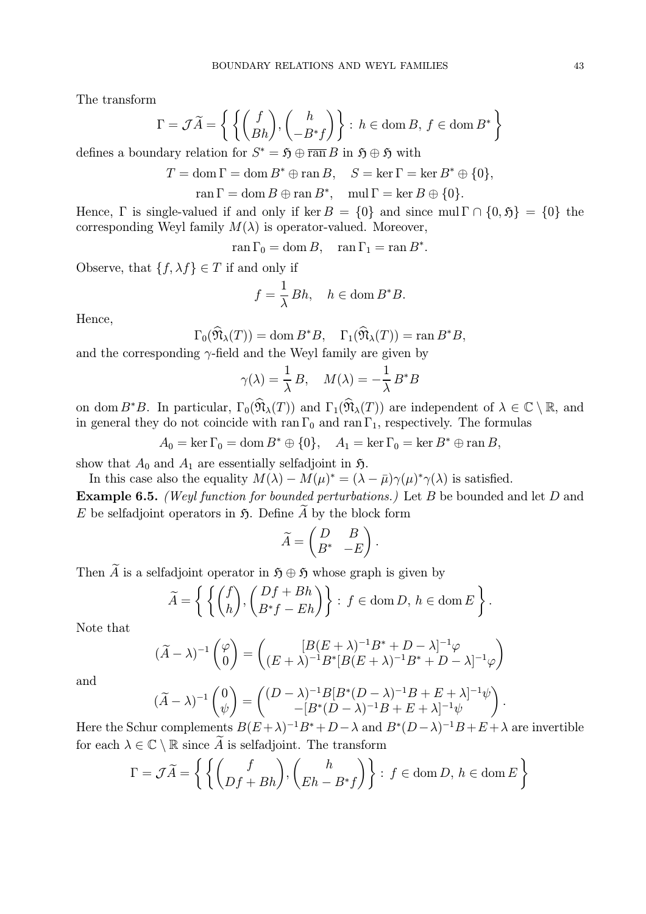The transform

$$
\Gamma = \mathcal{J}\widetilde{A} = \left\{ \left\{ \begin{pmatrix} f \\ Bh \end{pmatrix}, \begin{pmatrix} h \\ -B^*f \end{pmatrix} \right\} : h \in \text{dom}\,B, f \in \text{dom}\,B^* \right\}
$$

defines a boundary relation for  $S^* = \mathfrak{H} \oplus \overline{\operatorname{ran}} B$  in  $\mathfrak{H} \oplus \mathfrak{H}$  with

$$
T = \text{dom}\,\Gamma = \text{dom}\,B^* \oplus \text{ran}\,B, \quad S = \text{ker}\,\Gamma = \text{ker}\,B^* \oplus \{0\},
$$

 $\text{ran } \Gamma = \text{dom } B \oplus \text{ran } B^*, \quad \text{mul } \Gamma = \text{ker } B \oplus \{0\}.$ 

Hence, Γ is single-valued if and only if ker  $B = \{0\}$  and since mul  $\Gamma \cap \{0, 5\} = \{0\}$  the corresponding Weyl family  $M(\lambda)$  is operator-valued. Moreover,

 $\operatorname{ran} \Gamma_0 = \operatorname{dom} B, \quad \operatorname{ran} \Gamma_1 = \operatorname{ran} B^*.$ 

Observe, that  $\{f, \lambda f\} \in T$  if and only if

$$
f = \frac{1}{\lambda} Bh, \quad h \in \text{dom}\, B^*B.
$$

Hence,

$$
\Gamma_0(\mathfrak{N}_{\lambda}(T)) = \text{dom}\, B^*B, \quad \Gamma_1(\mathfrak{N}_{\lambda}(T)) = \text{ran}\, B^*B,
$$

and the corresponding  $\gamma$ -field and the Weyl family are given by

$$
\gamma(\lambda) = \frac{1}{\lambda} B, \quad M(\lambda) = -\frac{1}{\lambda} B^* B
$$

on dom  $B^*B$ . In particular,  $\Gamma_0(\widehat{\mathfrak{N}}_{\lambda}(T))$  and  $\Gamma_1(\widehat{\mathfrak{N}}_{\lambda}(T))$  are independent of  $\lambda \in \mathbb{C} \setminus \mathbb{R}$ , and in general they do not coincide with ran  $\Gamma_0$  and ran  $\Gamma_1$ , respectively. The formulas

 $A_0 = \ker \Gamma_0 = \text{dom } B^* \oplus \{0\}, \quad A_1 = \ker \Gamma_0 = \ker B^* \oplus \operatorname{ran} B,$ 

show that  $A_0$  and  $A_1$  are essentially selfadjoint in  $\mathfrak{H}$ .

In this case also the equality  $M(\lambda) - M(\mu)^* = (\lambda - \bar{\mu})\gamma(\mu)^*\gamma(\lambda)$  is satisfied. Example 6.5. (Weyl function for bounded perturbations.) Let B be bounded and let D and E be selfadjoint operators in  $\mathfrak{H}$ . Define A by the block form

$$
\widetilde{A} = \begin{pmatrix} D & B \\ B^* & -E \end{pmatrix}.
$$

Then  $\widetilde{A}$  is a selfadjoint operator in  $\mathfrak{H} \oplus \mathfrak{H}$  whose graph is given by

$$
\widetilde{A} = \left\{ \left\{ \binom{f}{h}, \binom{Df + Bh}{B^*f - Eh} \right\} : f \in \text{dom}\,D, \, h \in \text{dom}\,E \right\}.
$$

Note that

$$
(\widetilde{A} - \lambda)^{-1} \begin{pmatrix} \varphi \\ 0 \end{pmatrix} = \begin{pmatrix} [B(E + \lambda)^{-1}B^* + D - \lambda]^{-1} \varphi \\ (E + \lambda)^{-1}B^* [B(E + \lambda)^{-1}B^* + D - \lambda]^{-1} \varphi \end{pmatrix}
$$

and

$$
(\widetilde{A}-\lambda)^{-1}\begin{pmatrix}0\\\psi\end{pmatrix}=\begin{pmatrix}(D-\lambda)^{-1}B[B^*(D-\lambda)^{-1}B+E+\lambda]^{-1}\psi\\-[B^*(D-\lambda)^{-1}B+E+\lambda]^{-1}\psi\end{pmatrix}.
$$

Here the Schur complements  $B(E + \lambda)^{-1}B^* + D - \lambda$  and  $B^*(D - \lambda)^{-1}B + E + \lambda$  are invertible for each  $\lambda \in \mathbb{C} \setminus \mathbb{R}$  since  $\widetilde{A}$  is selfadjoint. The transform

$$
\Gamma = \mathcal{J}\widetilde{A} = \left\{ \left\{ \binom{f}{Df + Bh}, \binom{h}{Eh - B^*f} \right\} : f \in \text{dom}\,D, h \in \text{dom}\,E \right\}
$$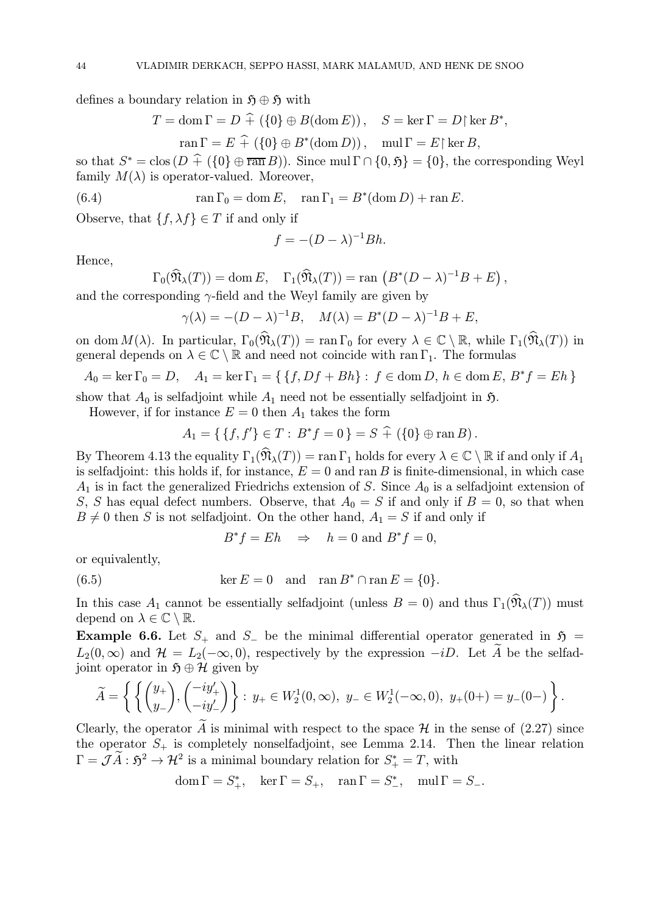defines a boundary relation in  $\mathfrak{H} \oplus \mathfrak{H}$  with

$$
T = \text{dom}\,\Gamma = D \,\widehat{+} \,\left( \{0\} \oplus B(\text{dom}\,E) \right), \quad S = \ker \Gamma = D \,|\, \ker B^*,
$$

$$
\text{ran}\,\Gamma = E \,\widehat{+} \,\left( \{0\} \oplus B^*(\text{dom}\,D) \right), \quad \text{mul}\,\Gamma = E \,|\, \ker B,
$$

so that  $S^* = \text{clos} (D \hat{+} (\{0\} \oplus \overline{\text{ran }B}))$ . Since mul  $\Gamma \cap \{0, \mathfrak{H}\} = \{0\}$ , the corresponding Weyl family  $M(\lambda)$  is operator-valued. Moreover,

(6.4) 
$$
\operatorname{ran} \Gamma_0 = \operatorname{dom} E, \quad \operatorname{ran} \Gamma_1 = B^*(\operatorname{dom} D) + \operatorname{ran} E.
$$

Observe, that  $\{f, \lambda f\} \in T$  if and only if

$$
f = -(D - \lambda)^{-1}Bh.
$$

Hence,

$$
\Gamma_0(\widehat{\mathfrak{N}}_{\lambda}(T)) = \text{dom}\, E, \quad \Gamma_1(\widehat{\mathfrak{N}}_{\lambda}(T)) = \text{ran}\, \left(B^*(D - \lambda)^{-1}B + E\right),
$$

and the corresponding  $\gamma$ -field and the Weyl family are given by

$$
\gamma(\lambda) = -(D - \lambda)^{-1}B, \quad M(\lambda) = B^*(D - \lambda)^{-1}B + E,
$$

on dom  $M(\lambda)$ . In particular,  $\Gamma_0(\widehat{\mathfrak{N}}_{\lambda}(T)) = \text{ran }\Gamma_0$  for every  $\lambda \in \mathbb{C} \setminus \mathbb{R}$ , while  $\Gamma_1(\widehat{\mathfrak{N}}_{\lambda}(T))$  in general depends on  $\lambda \in \mathbb{C} \setminus \mathbb{R}$  and need not coincide with ran  $\Gamma_1$ . The formulas

$$
A_0 = \ker \Gamma_0 = D, \quad A_1 = \ker \Gamma_1 = \{ \{ f, Df + Bh \} : f \in \text{dom } D, h \in \text{dom } E, B^*f = Eh \}
$$

show that  $A_0$  is selfadjoint while  $A_1$  need not be essentially selfadjoint in  $\mathfrak{H}$ .

However, if for instance  $E = 0$  then  $A_1$  takes the form

$$
A_1 = \{ \{f, f'\} \in T : B^* f = 0 \} = S \hat{+} \left( \{0\} \oplus \operatorname{ran} B \right).
$$

By Theorem 4.13 the equality  $\Gamma_1(\widehat{\mathfrak{N}}_{\lambda}(T)) = \text{ran }\Gamma_1$  holds for every  $\lambda \in \mathbb{C} \setminus \mathbb{R}$  if and only if  $A_1$ is selfadjoint: this holds if, for instance,  $E = 0$  and ran B is finite-dimensional, in which case  $A_1$  is in fact the generalized Friedrichs extension of S. Since  $A_0$  is a selfadjoint extension of S, S has equal defect numbers. Observe, that  $A_0 = S$  if and only if  $B = 0$ , so that when  $B \neq 0$  then S is not selfadjoint. On the other hand,  $A_1 = S$  if and only if

$$
B^*f = Eh \Rightarrow h = 0 \text{ and } B^*f = 0,
$$

or equivalently,

(6.5) 
$$
\ker E = 0 \quad \text{and} \quad \operatorname{ran} B^* \cap \operatorname{ran} E = \{0\}.
$$

In this case  $A_1$  cannot be essentially selfadjoint (unless  $B = 0$ ) and thus  $\Gamma_1(\widehat{\mathfrak{N}}_{\lambda}(T))$  must depend on  $\lambda \in \mathbb{C} \setminus \mathbb{R}$ .

Example 6.6. Let  $S_+$  and  $S_-$  be the minimal differential operator generated in  $\mathfrak{H} =$  $L_2(0,\infty)$  and  $\mathcal{H} = L_2(-\infty,0)$ , respectively by the expression  $-iD$ . Let A be the selfadjoint operator in  $\mathfrak{H} \oplus \mathcal{H}$  given by

$$
\widetilde{A} = \left\{ \left\{ \begin{pmatrix} y_+ \\ y_- \end{pmatrix}, \begin{pmatrix} -iy'_+ \\ -iy'_- \end{pmatrix} \right\} : y_+ \in W_2^1(0, \infty), y_- \in W_2^1(-\infty, 0), y_+(0+) = y_-(0-) \right\}.
$$

Clearly, the operator A is minimal with respect to the space  $\mathcal H$  in the sense of (2.27) since the operator  $S_+$  is completely nonselfadjoint, see Lemma 2.14. Then the linear relation  $\Gamma = \mathcal{J}\tilde{A}: \mathfrak{H}^2 \to \mathcal{H}^2$  is a minimal boundary relation for  $S^*_+ = T$ , with

$$
\operatorname{dom}\Gamma=S_+^*,\quad\ker\Gamma=S_+,\quad\operatorname{ran}\Gamma=S_-^*,\quad\operatorname{mul}\Gamma=S_-.
$$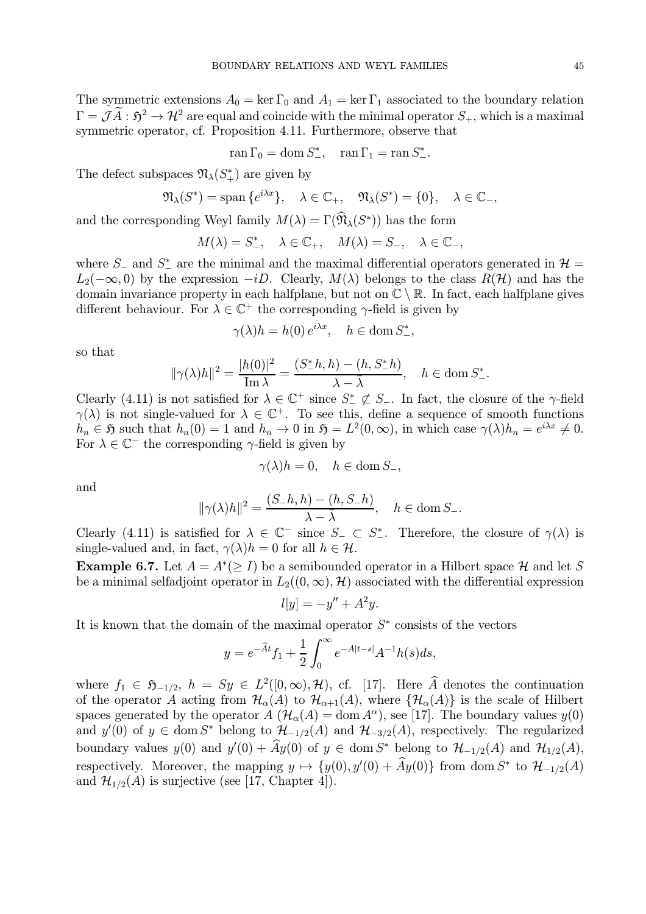The symmetric extensions  $A_0 = \ker \Gamma_0$  and  $A_1 = \ker \Gamma_1$  associated to the boundary relation  $\Gamma = \mathcal{J}\tilde{A}: \mathfrak{H}^2 \to \mathcal{H}^2$  are equal and coincide with the minimal operator  $S_+$ , which is a maximal symmetric operator, cf. Proposition 4.11. Furthermore, observe that

$$
\operatorname{ran} \Gamma_0 = \operatorname{dom} S^*_{-}, \quad \operatorname{ran} \Gamma_1 = \operatorname{ran} S^*_{-}.
$$

The defect subspaces  $\mathfrak{N}_{\lambda}(S_{+}^{*})$  are given by

$$
\mathfrak{N}_{\lambda}(S^*) = \text{span}\{e^{i\lambda x}\}, \quad \lambda \in \mathbb{C}_+, \quad \mathfrak{N}_{\lambda}(S^*) = \{0\}, \quad \lambda \in \mathbb{C}_-,
$$

and the corresponding Weyl family  $M(\lambda) = \Gamma(\widehat{\mathfrak{N}}_{\lambda}(S^*))$  has the form

$$
M(\lambda) = S^*_{-}, \quad \lambda \in \mathbb{C}_+, \quad M(\lambda) = S_{-}, \quad \lambda \in \mathbb{C}_-,
$$

where  $S_$  and  $S_+^*$  are the minimal and the maximal differential operators generated in  $\mathcal{H} =$  $L_2(-\infty, 0)$  by the expression  $-iD$ . Clearly,  $M(\lambda)$  belongs to the class  $R(\mathcal{H})$  and has the domain invariance property in each halfplane, but not on  $\mathbb{C} \setminus \mathbb{R}$ . In fact, each halfplane gives different behaviour. For  $\lambda \in \mathbb{C}^+$  the corresponding  $\gamma$ -field is given by

$$
\gamma(\lambda)h = h(0) e^{i\lambda x}, \quad h \in \text{dom } S^*_{-},
$$

so that

$$
\|\gamma(\lambda)h\|^2 = \frac{|h(0)|^2}{\text{Im }\lambda} = \frac{(S_-^*h, h) - (h, S_-^*h)}{\lambda - \bar{\lambda}}, \quad h \in \text{dom } S_-^*.
$$

Clearly (4.11) is not satisfied for  $\lambda \in \mathbb{C}^+$  since  $S^* \not\subset S_$ . In fact, the closure of the  $\gamma$ -field  $\gamma(\lambda)$  is not single-valued for  $\lambda \in \mathbb{C}^+$ . To see this, define a sequence of smooth functions  $h_n \in \mathfrak{H}$  such that  $h_n(0) = 1$  and  $h_n \to 0$  in  $\mathfrak{H} = L^2(0, \infty)$ , in which case  $\gamma(\lambda)h_n = e^{i\lambda x} \neq 0$ . For  $\lambda \in \mathbb{C}^-$  the corresponding  $\gamma$ -field is given by

$$
\gamma(\lambda)h = 0, \quad h \in \text{dom}\, S_-,
$$

and

$$
\|\gamma(\lambda)h\|^2 = \frac{(S_{-}h, h) - (h, S_{-}h)}{\lambda - \overline{\lambda}}, \quad h \in \text{dom}\, S_{-}.
$$

Clearly (4.11) is satisfied for  $\lambda \in \mathbb{C}^-$  since  $S_- \subset S^*_-$ . Therefore, the closure of  $\gamma(\lambda)$  is single-valued and, in fact,  $\gamma(\lambda)h = 0$  for all  $h \in \mathcal{H}$ .

**Example 6.7.** Let  $A = A^*(\geq I)$  be a semibounded operator in a Hilbert space H and let S be a minimal selfadjoint operator in  $L_2((0,\infty),\mathcal{H})$  associated with the differential expression

$$
l[y] = -y'' + A^2y.
$$

It is known that the domain of the maximal operator  $S^*$  consists of the vectors

$$
y = e^{-\widehat{A}t} f_1 + \frac{1}{2} \int_0^\infty e^{-A|t-s|} A^{-1} h(s) ds,
$$

where  $f_1 \in \mathfrak{H}_{-1/2}$ ,  $h = Sy \in L^2([0,\infty),\mathcal{H})$ , cf. [17]. Here  $\widehat{A}$  denotes the continuation of the operator A acting from  $\mathcal{H}_{\alpha}(A)$  to  $\mathcal{H}_{\alpha+1}(A)$ , where  $\{\mathcal{H}_{\alpha}(A)\}\$ is the scale of Hilbert spaces generated by the operator  $A(\mathcal{H}_{\alpha}(A) = \text{dom } A^{\alpha})$ , see [17]. The boundary values  $y(0)$ and  $y'(0)$  of  $y \in \text{dom } S^*$  belong to  $\mathcal{H}_{-1/2}(A)$  and  $\mathcal{H}_{-3/2}(A)$ , respectively. The regularized boundary values  $y(0)$  and  $y'(0) + Ay(0)$  of  $y \in \text{dom } S^*$  belong to  $\mathcal{H}_{-1/2}(A)$  and  $\mathcal{H}_{1/2}(A)$ , respectively. Moreover, the mapping  $y \mapsto \{y(0), y'(0) + Ay(0)\}\$  from dom  $S^*$  to  $\mathcal{H}_{-1/2}(A)$ and  $\mathcal{H}_{1/2}(A)$  is surjective (see [17, Chapter 4]).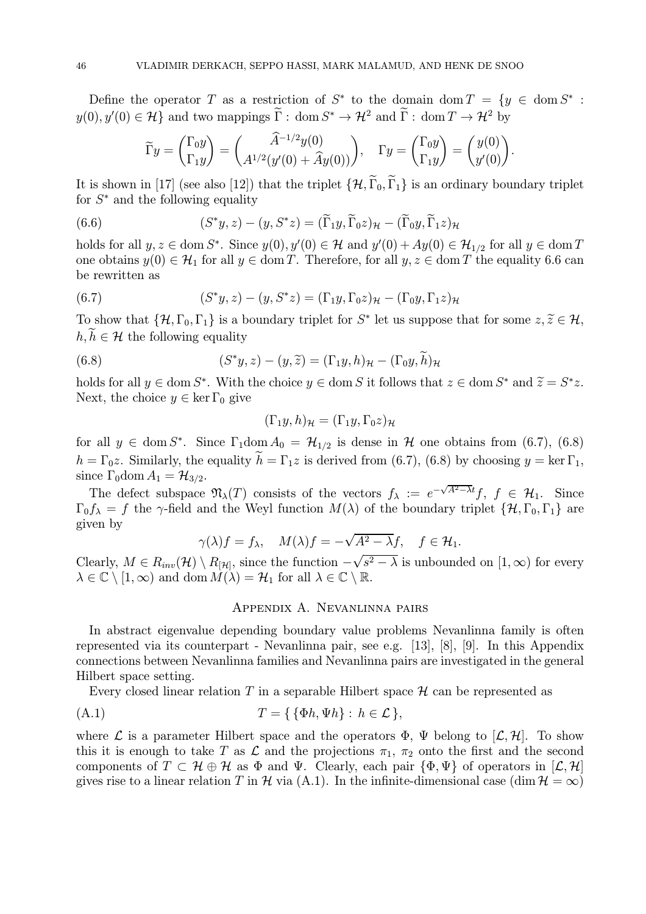Define the operator T as a restriction of  $S^*$  to the domain dom  $T = \{y \in \text{dom } S^* :$  $y(0), y'(0) \in \mathcal{H}$  and two mappings  $\overline{\Gamma}$ : dom  $S^* \to \mathcal{H}^2$  and  $\overline{\Gamma}$ : dom  $T \to \mathcal{H}^2$  by

$$
\widetilde{\Gamma}y = \begin{pmatrix} \Gamma_0 y \\ \Gamma_1 y \end{pmatrix} = \begin{pmatrix} \widehat{A}^{-1/2} y(0) \\ A^{1/2} (y'(0) + \widehat{A}y(0)) \end{pmatrix}, \quad \Gamma y = \begin{pmatrix} \Gamma_0 y \\ \Gamma_1 y \end{pmatrix} = \begin{pmatrix} y(0) \\ y'(0) \end{pmatrix}.
$$

It is shown in [17] (see also [12]) that the triplet  $\{\mathcal{H}, \widetilde{\Gamma}_0, \widetilde{\Gamma}_1\}$  is an ordinary boundary triplet for  $S^*$  and the following equality

(6.6) 
$$
(S^*y, z) - (y, S^*z) = (\widetilde{\Gamma}_1 y, \widetilde{\Gamma}_0 z)_{\mathcal{H}} - (\widetilde{\Gamma}_0 y, \widetilde{\Gamma}_1 z)_{\mathcal{H}}
$$

holds for all  $y, z \in \text{dom } S^*$ . Since  $y(0), y'(0) \in \mathcal{H}$  and  $y'(0) + Ay(0) \in \mathcal{H}_{1/2}$  for all  $y \in \text{dom } T$ one obtains  $y(0) \in \mathcal{H}_1$  for all  $y \in \text{dom } T$ . Therefore, for all  $y, z \in \text{dom } T$  the equality 6.6 can be rewritten as

(6.7) 
$$
(S^*y, z) - (y, S^*z) = (\Gamma_1 y, \Gamma_0 z)_{\mathcal{H}} - (\Gamma_0 y, \Gamma_1 z)_{\mathcal{H}}
$$

To show that  $\{\mathcal{H}, \Gamma_0, \Gamma_1\}$  is a boundary triplet for  $S^*$  let us suppose that for some  $z, \tilde{z} \in \mathcal{H}$ ,  $h, h \in \mathcal{H}$  the following equality

(6.8) 
$$
(S^*y, z) - (y, \widetilde{z}) = (\Gamma_1 y, h)_{\mathcal{H}} - (\Gamma_0 y, \widetilde{h})_{\mathcal{H}}
$$

holds for all  $y \in \text{dom } S^*$ . With the choice  $y \in \text{dom } S$  it follows that  $z \in \text{dom } S^*$  and  $\widetilde{z} = S^*z$ . Next, the choice  $y \in \ker \Gamma_0$  give

$$
(\Gamma_1 y, h)_{\mathcal{H}} = (\Gamma_1 y, \Gamma_0 z)_{\mathcal{H}}
$$

for all  $y \in \text{dom } S^*$ . Since  $\Gamma_1 \text{dom } A_0 = \mathcal{H}_{1/2}$  is dense in  $\mathcal H$  one obtains from (6.7), (6.8)  $h = \Gamma_0 z$ . Similarly, the equality  $h = \Gamma_1 z$  is derived from (6.7), (6.8) by choosing  $y = \ker \Gamma_1$ , since  $\Gamma_0$ dom  $A_1 = \mathcal{H}_{3/2}$ .

The defect subspace  $\mathfrak{N}_{\lambda}(T)$  consists of the vectors  $f_{\lambda} := e^{-\sqrt{A^2 - \lambda t}} f, f \in \mathcal{H}_1$ . Since  $\Gamma_0 f_\lambda = f$  the  $\gamma$ -field and the Weyl function  $M(\lambda)$  of the boundary triplet  $\{H, \Gamma_0, \Gamma_1\}$  are given by

$$
\gamma(\lambda)f = f_{\lambda}, \quad M(\lambda)f = -\sqrt{A^2 - \lambda}f, \quad f \in \mathcal{H}_1.
$$

Clearly,  $M \in R_{inv}(\mathcal{H}) \setminus R_{\mathcal{H}}$ , since the function  $-\sqrt{s^2 - \lambda}$  is unbounded on  $[1, \infty)$  for every  $\lambda \in \mathbb{C} \setminus [1, \infty)$  and dom  $M(\lambda) = \mathcal{H}_1$  for all  $\lambda \in \mathbb{C} \setminus \mathbb{R}$ .

### Appendix A. Nevanlinna pairs

In abstract eigenvalue depending boundary value problems Nevanlinna family is often represented via its counterpart - Nevanlinna pair, see e.g. [13], [8], [9]. In this Appendix connections between Nevanlinna families and Nevanlinna pairs are investigated in the general Hilbert space setting.

Every closed linear relation T in a separable Hilbert space  $\mathcal H$  can be represented as

$$
(A.1) \t\t T = \{ \{\Phi h, \Psi h\} : h \in \mathcal{L} \},
$$

where L is a parameter Hilbert space and the operators  $\Phi$ ,  $\Psi$  belong to  $[\mathcal{L}, \mathcal{H}]$ . To show this it is enough to take T as  $\mathcal L$  and the projections  $\pi_1$ ,  $\pi_2$  onto the first and the second components of  $T \subset \mathcal{H} \oplus \mathcal{H}$  as  $\Phi$  and  $\Psi$ . Clearly, each pair  $\{\Phi, \Psi\}$  of operators in  $[\mathcal{L}, \mathcal{H}]$ gives rise to a linear relation T in H via (A.1). In the infinite-dimensional case  $(\dim \mathcal{H} = \infty)$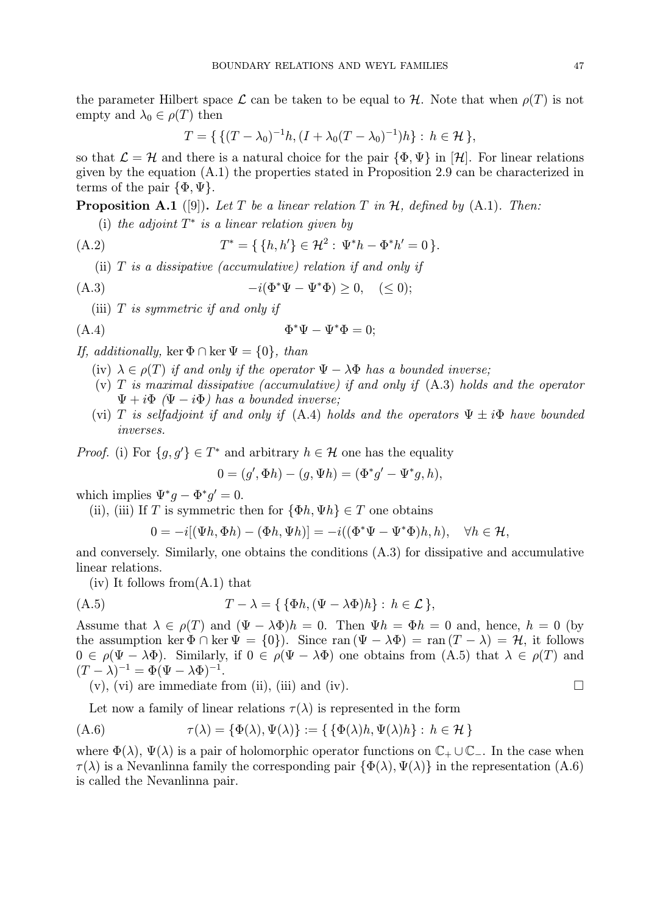the parameter Hilbert space  $\mathcal L$  can be taken to be equal to  $\mathcal H$ . Note that when  $\rho(T)$  is not empty and  $\lambda_0 \in \rho(T)$  then

$$
T = \{ \{ (T - \lambda_0)^{-1}h, (I + \lambda_0(T - \lambda_0)^{-1})h \} : h \in \mathcal{H} \},
$$

so that  $\mathcal{L} = \mathcal{H}$  and there is a natural choice for the pair  $\{\Phi, \Psi\}$  in  $[\mathcal{H}]$ . For linear relations given by the equation (A.1) the properties stated in Proposition 2.9 can be characterized in terms of the pair  $\{\Phi, \Psi\}.$ 

**Proposition A.1** ([9]). Let T be a linear relation T in  $H$ , defined by (A.1). Then:

(i) the adjoint  $T^*$  is a linear relation given by

(A.2) 
$$
T^* = \{ \{h, h'\} \in \mathcal{H}^2 : \Psi^* h - \Phi^* h' = 0 \}.
$$

(ii)  $T$  is a dissipative (accumulative) relation if and only if

(A.3) 
$$
-i(\Phi^*\Psi - \Psi^*\Phi) \ge 0, \quad (\le 0);
$$

(iii)  $T$  is symmetric if and only if

$$
\Phi^* \Psi - \Psi^* \Phi = 0;
$$

## If, additionally, ker  $\Phi \cap \ker \Psi = \{0\}$ , than

- (iv)  $\lambda \in \rho(T)$  if and only if the operator  $\Psi \lambda \Phi$  has a bounded inverse;
- (v) T is maximal dissipative (accumulative) if and only if  $(A.3)$  holds and the operator  $\Psi + i\Phi$  ( $\Psi - i\Phi$ ) has a bounded inverse;
- (vi) T is selfadjoint if and only if (A.4) holds and the operators  $\Psi \pm i\Phi$  have bounded inverses.

*Proof.* (i) For  $\{g, g'\} \in T^*$  and arbitrary  $h \in \mathcal{H}$  one has the equality

$$
0 = (g', \Phi h) - (g, \Psi h) = (\Phi^* g' - \Psi^* g, h),
$$

which implies  $\Psi^* q - \Phi^* q' = 0$ .

(ii), (iii) If T is symmetric then for  $\{\Phi h, \Psi h\} \in T$  one obtains

$$
0 = -i[(\Psi h, \Phi h) - (\Phi h, \Psi h)] = -i((\Phi^* \Psi - \Psi^* \Phi)h, h), \quad \forall h \in \mathcal{H},
$$

and conversely. Similarly, one obtains the conditions (A.3) for dissipative and accumulative linear relations.

 $(iv)$  It follows from  $(A.1)$  that

(A.5) 
$$
T - \lambda = \{ \{ \Phi h, (\Psi - \lambda \Phi) h \} : h \in \mathcal{L} \},
$$

Assume that  $\lambda \in \rho(T)$  and  $(\Psi - \lambda \Phi)h = 0$ . Then  $\Psi h = \Phi h = 0$  and, hence,  $h = 0$  (by the assumption ker  $\Phi \cap \ker \Psi = \{0\}$ . Since ran  $(\Psi - \lambda \Phi) = \tan (T - \lambda) = \mathcal{H}$ , it follows  $0 \in \rho(\Psi - \lambda \Phi)$ . Similarly, if  $0 \in \rho(\Psi - \lambda \Phi)$  one obtains from  $(A.5)$  that  $\lambda \in \rho(T)$  and  $(T-\lambda)^{-1}=\Phi(\Psi-\lambda\Phi)^{-1}.$ 

(v), (vi) are immediate from (ii), (iii) and (iv). 
$$
\Box
$$

Let now a family of linear relations  $\tau(\lambda)$  is represented in the form

(A.6) 
$$
\tau(\lambda) = \{\Phi(\lambda), \Psi(\lambda)\} := \{\{\Phi(\lambda)h, \Psi(\lambda)h\} : h \in \mathcal{H}\}
$$

where  $\Phi(\lambda)$ ,  $\Psi(\lambda)$  is a pair of holomorphic operator functions on  $\mathbb{C}_+ \cup \mathbb{C}_-$ . In the case when  $\tau(\lambda)$  is a Nevanlinna family the corresponding pair  $\{\Phi(\lambda), \Psi(\lambda)\}\$ in the representation (A.6) is called the Nevanlinna pair.

$$
\qquad \qquad \Box
$$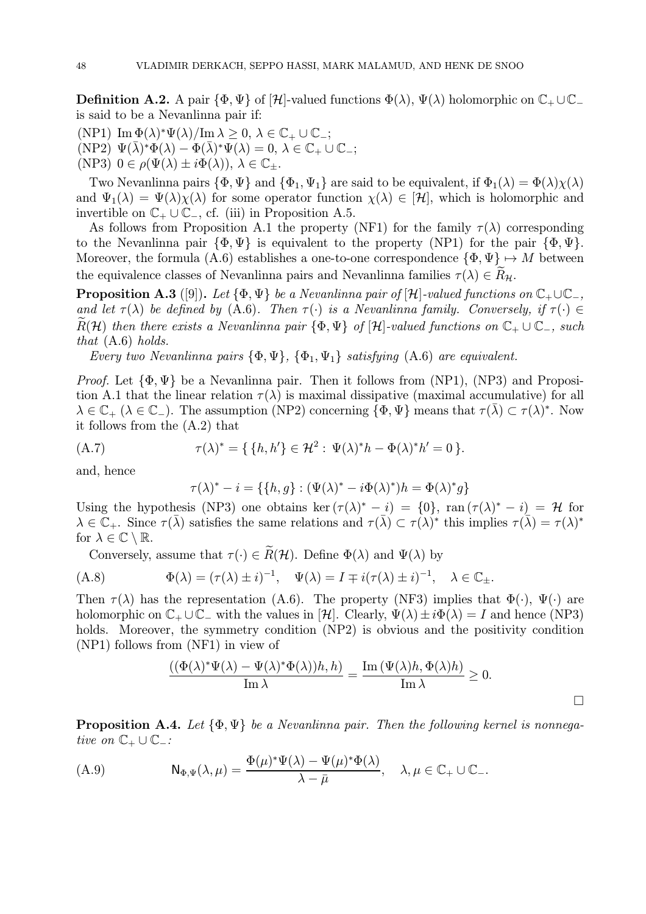**Definition A.2.** A pair  $\{\Phi, \Psi\}$  of  $[\mathcal{H}]$ -valued functions  $\Phi(\lambda)$ ,  $\Psi(\lambda)$  holomorphic on  $\mathbb{C}_+ \cup \mathbb{C}_$ is said to be a Nevanlinna pair if:

(NP1)  $\text{Im }\Phi(\lambda)^* \Psi(\lambda) / \text{Im }\lambda \geq 0, \, \lambda \in \mathbb{C}_+ \cup \mathbb{C}_-;$ 

 $(NP2) \Psi(\overline{\lambda})^* \Phi(\lambda) - \Phi(\overline{\lambda})^* \Psi(\lambda) = 0, \ \lambda \in \mathbb{C}_+ \cup \mathbb{C}_-,$ 

(NP3)  $0 \in \rho(\Psi(\lambda) \pm i\Phi(\lambda)), \lambda \in \mathbb{C}_+.$ 

Two Nevanlinna pairs  $\{\Phi, \Psi\}$  and  $\{\Phi_1, \Psi_1\}$  are said to be equivalent, if  $\Phi_1(\lambda) = \Phi(\lambda)\chi(\lambda)$ and  $\Psi_1(\lambda) = \Psi(\lambda)\chi(\lambda)$  for some operator function  $\chi(\lambda) \in [\mathcal{H}]$ , which is holomorphic and invertible on  $\mathbb{C}_+ \cup \mathbb{C}_-,$  cf. (iii) in Proposition A.5.

As follows from Proposition A.1 the property (NF1) for the family  $\tau(\lambda)$  corresponding to the Nevanlinna pair  $\{\Phi, \Psi\}$  is equivalent to the property (NP1) for the pair  $\{\Phi, \Psi\}$ . Moreover, the formula (A.6) establishes a one-to-one correspondence  $\{\Phi, \Psi\} \mapsto M$  between the equivalence classes of Nevanlinna pairs and Nevanlinna families  $\tau(\lambda) \in R_{\mathcal{H}}$ .

**Proposition A.3** ([9]). Let  $\{\Phi, \Psi\}$  be a Nevanlinna pair of  $[\mathcal{H}]$ -valued functions on  $\mathbb{C}_+ \cup \mathbb{C}_-,$ and let  $\tau(\lambda)$  be defined by (A.6). Then  $\tau(\cdot)$  is a Nevanlinna family. Conversely, if  $\tau(\cdot) \in$  $\widetilde{R}(\mathcal{H})$  then there exists a Nevanlinna pair  $\{\Phi,\Psi\}$  of  $[\mathcal{H}]$ -valued functions on  $\mathbb{C}_+ \cup \mathbb{C}_-,$  such that (A.6) holds.

Every two Nevanlinna pairs  $\{\Phi, \Psi\}, \{\Phi_1, \Psi_1\}$  satisfying  $(A.6)$  are equivalent.

*Proof.* Let  $\{\Phi, \Psi\}$  be a Nevanlinna pair. Then it follows from (NP1), (NP3) and Proposition A.1 that the linear relation  $\tau(\lambda)$  is maximal dissipative (maximal accumulative) for all  $\lambda \in \mathbb{C}_+$  ( $\lambda \in \mathbb{C}_-$ ). The assumption (NP2) concerning  $\{\Phi, \Psi\}$  means that  $\tau(\overline{\lambda}) \subset \tau(\lambda)^*$ . Now it follows from the (A.2) that

(A.7) 
$$
\tau(\lambda)^* = \{ \{ h, h' \} \in \mathcal{H}^2 : \Psi(\lambda)^* h - \Phi(\lambda)^* h' = 0 \}.
$$

and, hence

$$
\tau(\lambda)^* - i = \{ \{ h, g \} : (\Psi(\lambda)^* - i\Phi(\lambda)^*)h = \Phi(\lambda)^*g \}
$$

Using the hypothesis (NP3) one obtains ker  $(\tau(\lambda)^* - i) = \{0\}$ , ran  $(\tau(\lambda)^* - i) = \mathcal{H}$  for  $\lambda \in \mathbb{C}_+$ . Since  $\tau(\overline{\lambda})$  satisfies the same relations and  $\tau(\overline{\lambda}) \subset \tau(\lambda)^*$  this implies  $\tau(\overline{\lambda}) = \tau(\lambda)^*$ for  $\lambda \in \mathbb{C} \setminus \mathbb{R}$ .

Conversely, assume that  $\tau(\cdot) \in \widetilde{R}(\mathcal{H})$ . Define  $\Phi(\lambda)$  and  $\Psi(\lambda)$  by

(A.8) 
$$
\Phi(\lambda) = (\tau(\lambda) \pm i)^{-1}, \quad \Psi(\lambda) = I \mp i(\tau(\lambda) \pm i)^{-1}, \quad \lambda \in \mathbb{C}_{\pm}.
$$

Then  $\tau(\lambda)$  has the representation (A.6). The property (NF3) implies that  $\Phi(\cdot)$ ,  $\Psi(\cdot)$  are holomorphic on  $\mathbb{C}_+ \cup \mathbb{C}_-$  with the values in  $[\mathcal{H}]$ . Clearly,  $\Psi(\lambda) \pm i\Phi(\lambda) = I$  and hence (NP3) holds. Moreover, the symmetry condition (NP2) is obvious and the positivity condition (NP1) follows from (NF1) in view of

$$
\frac{((\Phi(\lambda)^*\Psi(\lambda)-\Psi(\lambda)^*\Phi(\lambda))h,h)}{\operatorname{Im}\lambda}=\frac{\operatorname{Im}\left(\Psi(\lambda)h,\Phi(\lambda)h\right)}{\operatorname{Im}\lambda}\geq 0.
$$

**Proposition A.4.** Let  $\{\Phi, \Psi\}$  be a Nevanlinna pair. Then the following kernel is nonnegative on  $\mathbb{C}_+ \cup \mathbb{C}_-.$ 

(A.9) 
$$
N_{\Phi,\Psi}(\lambda,\mu) = \frac{\Phi(\mu)^*\Psi(\lambda) - \Psi(\mu)^*\Phi(\lambda)}{\lambda - \bar{\mu}}, \quad \lambda,\mu \in \mathbb{C}_+ \cup \mathbb{C}_-.
$$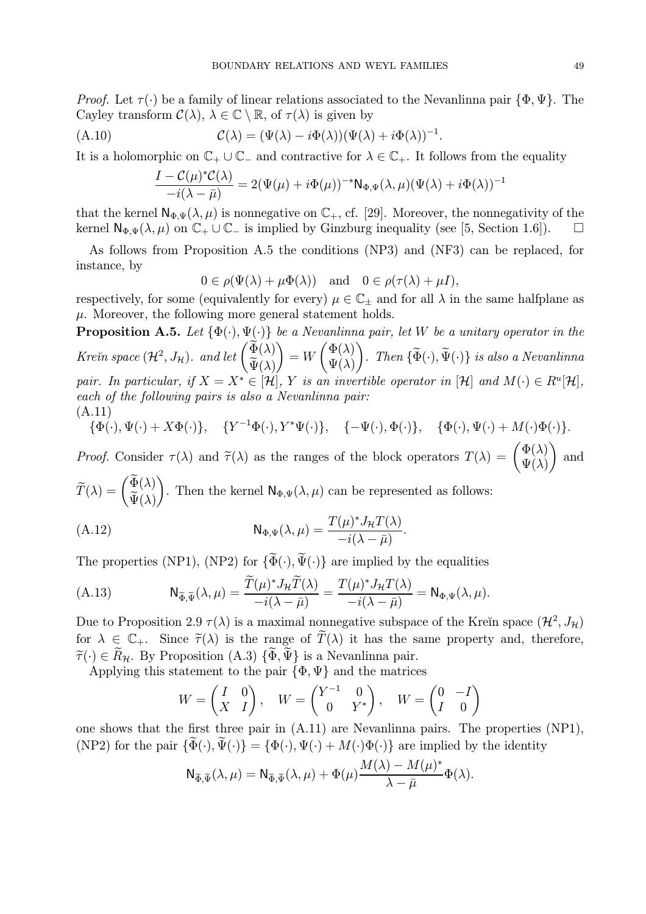Proof. Let  $\tau(\cdot)$  be a family of linear relations associated to the Nevanlinna pair  $\{\Phi, \Psi\}$ . The Cayley transform  $\mathcal{C}(\lambda)$ ,  $\lambda \in \mathbb{C} \setminus \mathbb{R}$ , of  $\tau(\lambda)$  is given by

.

(A.10) 
$$
\mathcal{C}(\lambda) = (\Psi(\lambda) - i\Phi(\lambda))(\Psi(\lambda) + i\Phi(\lambda))^{-1}
$$

It is a holomorphic on  $\mathbb{C}_+ \cup \mathbb{C}_-$  and contractive for  $\lambda \in \mathbb{C}_+$ . It follows from the equality

$$
\frac{I - C(\mu)^* C(\lambda)}{-i(\lambda - \bar{\mu})} = 2(\Psi(\mu) + i\Phi(\mu))^{-*} \mathsf{N}_{\Phi,\Psi}(\lambda, \mu) (\Psi(\lambda) + i\Phi(\lambda))^{-1}
$$

that the kernel  $\mathsf{N}_{\Phi,\Psi}(\lambda,\mu)$  is nonnegative on  $\mathbb{C}_+$ , cf. [29]. Moreover, the nonnegativity of the kernel  $\mathsf{N}_{\Phi,\Psi}(\lambda,\mu)$  on  $\mathbb{C}_+\cup\mathbb{C}_-$  is implied by Ginzburg inequality (see [5, Section 1.6]).  $\Box$ 

As follows from Proposition A.5 the conditions (NP3) and (NF3) can be replaced, for instance, by

$$
0 \in \rho(\Psi(\lambda) + \mu \Phi(\lambda)) \quad \text{and} \quad 0 \in \rho(\tau(\lambda) + \mu I),
$$

respectively, for some (equivalently for every)  $\mu \in \mathbb{C}_\pm$  and for all  $\lambda$  in the same halfplane as  $\mu$ . Moreover, the following more general statement holds.

**Proposition A.5.** Let  $\{\Phi(\cdot), \Psi(\cdot)\}$  be a Nevanlinna pair, let W be a unitary operator in the Kreĭn space  $(\mathcal{H}^2, J_{\mathcal{H}})$ . and let  $\begin{pmatrix} \widetilde{\Phi}(\lambda) \\ \widetilde{\Psi}(\lambda) \end{pmatrix}$  $\Psi(\lambda)$  $\lambda$  $=$   $W$  $\int \Phi(\lambda)$  $\Psi(\lambda)$  $\lambda$ . Then  $\{\Phi(\cdot), \Psi(\cdot)\}\)$  is also a Nevanlinna pair. In particular, if  $X = X^* \in [\mathcal{H}]$ , Y is an invertible operator in  $[\mathcal{H}]$  and  $M(\cdot) \in R^u[\mathcal{H}]$ , each of the following pairs is also a Nevanlinna pair: (A.11)

$$
\{\Phi(\cdot), \Psi(\cdot) + X\Phi(\cdot)\}, \quad \{Y^{-1}\Phi(\cdot), Y^*\Psi(\cdot)\}, \quad \{-\Psi(\cdot), \Phi(\cdot)\}, \quad \{\Phi(\cdot), \Psi(\cdot) + M(\cdot)\Phi(\cdot)\}.
$$

Proof. Consider  $\tau(\lambda)$  and  $\tilde{\tau}(\lambda)$  as the ranges of the block operators  $T(\lambda) = \begin{pmatrix} \Phi(\lambda) \\ \Psi(\lambda) \end{pmatrix}$  $\Psi(\lambda)$ and  $\lambda$ 

 $\widetilde{T}(\lambda)=\begin{pmatrix}\widetilde{\Phi}(\lambda)\ \widetilde{\Psi}(\lambda)\end{pmatrix}$  $\Psi(\lambda)$ . Then the kernel  $\mathsf{N}_{\Phi,\Psi}(\lambda,\mu)$  can be represented as follows:

(A.12) 
$$
N_{\Phi,\Psi}(\lambda,\mu) = \frac{T(\mu)^* J_{\mathcal{H}} T(\lambda)}{-i(\lambda - \bar{\mu})}.
$$

The properties (NP1), (NP2) for  $\{\widetilde{\Phi}(\cdot), \widetilde{\Psi}(\cdot)\}$  are implied by the equalities

(A.13) 
$$
N_{\widetilde{\Phi},\widetilde{\Psi}}(\lambda,\mu) = \frac{\widetilde{T}(\mu)^* J_{\mathcal{H}} \widetilde{T}(\lambda)}{-i(\lambda - \bar{\mu})} = \frac{T(\mu)^* J_{\mathcal{H}} T(\lambda)}{-i(\lambda - \bar{\mu})} = N_{\Phi,\Psi}(\lambda,\mu).
$$

Due to Proposition 2.9  $\tau(\lambda)$  is a maximal nonnegative subspace of the Kreĭn space  $(\mathcal{H}^2, J_{\mathcal{H}})$ for  $\lambda \in \mathbb{C}_+$ . Since  $\widetilde{\tau}(\lambda)$  is the range of  $\widetilde{T}(\lambda)$  it has the same property and, therefore,  $\tilde{\tau}(\cdot) \in \tilde{R}_{\mathcal{H}}$ . By Proposition (A.3)  $\{\tilde{\Phi}, \tilde{\Psi}\}\$ is a Nevanlinna pair.

Applying this statement to the pair  $\{\Phi, \Psi\}$  and the matrices

$$
W = \begin{pmatrix} I & 0 \\ X & I \end{pmatrix}, \quad W = \begin{pmatrix} Y^{-1} & 0 \\ 0 & Y^* \end{pmatrix}, \quad W = \begin{pmatrix} 0 & -I \\ I & 0 \end{pmatrix}
$$

one shows that the first three pair in (A.11) are Nevanlinna pairs. The properties (NP1), (NP2) for the pair  $\{\widetilde{\Phi}(\cdot), \widetilde{\Psi}(\cdot)\} = \{\Phi(\cdot), \Psi(\cdot) + M(\cdot)\Phi(\cdot)\}\$ are implied by the identity

$$
\mathsf{N}_{\widetilde{\Phi},\widetilde{\Psi}}(\lambda,\mu) = \mathsf{N}_{\widetilde{\Phi},\widetilde{\Psi}}(\lambda,\mu) + \Phi(\mu) \frac{M(\lambda) - M(\mu)^*}{\lambda - \overline{\mu}} \Phi(\lambda).
$$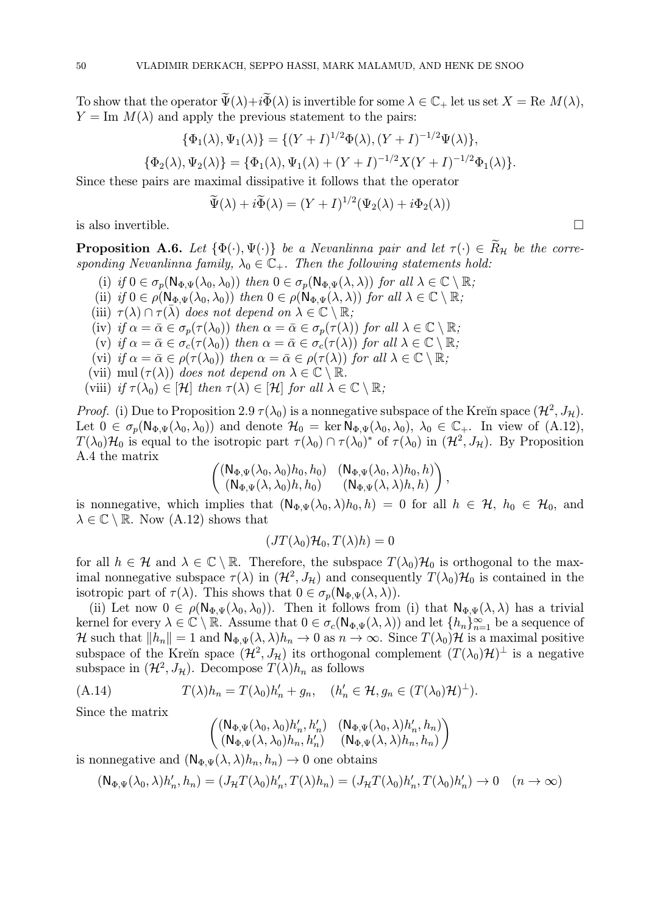To show that the operator  $\widetilde{\Psi}(\lambda)+i\widetilde{\Phi}(\lambda)$  is invertible for some  $\lambda \in \mathbb{C}_+$  let us set  $X = \text{Re } M(\lambda)$ ,  $Y = \text{Im } M(\lambda)$  and apply the previous statement to the pairs:

$$
\{\Phi_1(\lambda), \Psi_1(\lambda)\} = \{(Y+I)^{1/2}\Phi(\lambda), (Y+I)^{-1/2}\Psi(\lambda)\},
$$
  

$$
\{\Phi_2(\lambda), \Psi_2(\lambda)\} = \{\Phi_1(\lambda), \Psi_1(\lambda) + (Y+I)^{-1/2}X(Y+I)^{-1/2}\Phi_1(\lambda)\}.
$$

Since these pairs are maximal dissipative it follows that the operator

$$
\widetilde{\Psi}(\lambda) + i \widetilde{\Phi}(\lambda) = (Y + I)^{1/2} (\Psi_2(\lambda) + i \Phi_2(\lambda))
$$

is also invertible.  $\Box$ 

**Proposition A.6.** Let  $\{\Phi(\cdot), \Psi(\cdot)\}$  be a Nevanlinna pair and let  $\tau(\cdot) \in \widetilde{R}_{\mathcal{H}}$  be the corresponding Nevanlinna family,  $\lambda_0 \in \mathbb{C}_+$ . Then the following statements hold:

- (i) if  $0 \in \sigma_p(\mathsf{N}_{\Phi,\Psi}(\lambda_0,\lambda_0))$  then  $0 \in \sigma_p(\mathsf{N}_{\Phi,\Psi}(\lambda,\lambda))$  for all  $\lambda \in \mathbb{C} \setminus \mathbb{R}$ ;
- (ii) if  $0 \in \rho(\mathsf{N}_{\Phi,\Psi}(\lambda_0,\lambda_0))$  then  $0 \in \rho(\mathsf{N}_{\Phi,\Psi}(\lambda,\lambda))$  for all  $\lambda \in \mathbb{C} \setminus \mathbb{R}$ ;
- (iii)  $\tau(\lambda) \cap \tau(\bar{\lambda})$  does not depend on  $\lambda \in \mathbb{C} \setminus \mathbb{R}$ ;
- (iv) if  $\alpha = \bar{\alpha} \in \sigma_p(\tau(\lambda_0))$  then  $\alpha = \bar{\alpha} \in \sigma_p(\tau(\lambda))$  for all  $\lambda \in \mathbb{C} \setminus \mathbb{R}$ ;
- (v) if  $\alpha = \bar{\alpha} \in \sigma_c(\tau(\lambda_0))$  then  $\alpha = \bar{\alpha} \in \sigma_c(\tau(\lambda))$  for all  $\lambda \in \mathbb{C} \setminus \mathbb{R}$ ;
- (vi) if  $\alpha = \bar{\alpha} \in \rho(\tau(\lambda_0))$  then  $\alpha = \bar{\alpha} \in \rho(\tau(\lambda))$  for all  $\lambda \in \mathbb{C} \setminus \mathbb{R}$ ;
- (vii) mul  $(\tau(\lambda))$  does not depend on  $\lambda \in \mathbb{C} \setminus \mathbb{R}$ .
- (viii) if  $\tau(\lambda_0) \in [\mathcal{H}]$  then  $\tau(\lambda) \in [\mathcal{H}]$  for all  $\lambda \in \mathbb{C} \setminus \mathbb{R}$ ;

*Proof.* (i) Due to Proposition 2.9  $\tau(\lambda_0)$  is a nonnegative subspace of the Kreĭn space  $(\mathcal{H}^2, J_\mathcal{H})$ . Let  $0 \in \sigma_p(\mathsf{N}_{\Phi,\Psi}(\lambda_0,\lambda_0))$  and denote  $\mathcal{H}_0 = \ker \mathsf{N}_{\Phi,\Psi}(\lambda_0,\lambda_0), \lambda_0 \in \mathbb{C}_+$ . In view of  $(A.12)$ ,  $T(\lambda_0)H_0$  is equal to the isotropic part  $\tau(\lambda_0) \cap \tau(\lambda_0)^*$  of  $\tau(\lambda_0)$  in  $(H^2, J_H)$ . By Proposition A.4 the matrix

$$
\begin{pmatrix}\n(N_{\Phi,\Psi}(\lambda_0,\lambda_0)h_0, h_0) & (N_{\Phi,\Psi}(\lambda_0,\lambda)h_0, h) \\
(N_{\Phi,\Psi}(\lambda,\lambda_0)h, h_0) & (N_{\Phi,\Psi}(\lambda,\lambda)h, h)\n\end{pmatrix},
$$

is nonnegative, which implies that  $(N_{\Phi,\Psi}(\lambda_0,\lambda)h_0,h) = 0$  for all  $h \in \mathcal{H}$ ,  $h_0 \in \mathcal{H}_0$ , and  $\lambda \in \mathbb{C} \setminus \mathbb{R}$ . Now  $(A.12)$  shows that

$$
(JT(\lambda_0)\mathcal{H}_0,T(\lambda)h)=0
$$

for all  $h \in \mathcal{H}$  and  $\lambda \in \mathbb{C} \setminus \mathbb{R}$ . Therefore, the subspace  $T(\lambda_0)\mathcal{H}_0$  is orthogonal to the maximal nonnegative subspace  $\tau(\lambda)$  in  $(\mathcal{H}^2, J_{\mathcal{H}})$  and consequently  $T(\lambda_0)\mathcal{H}_0$  is contained in the isotropic part of  $\tau(\lambda)$ . This shows that  $0 \in \sigma_p(\mathsf{N}_{\Phi,\Psi}(\lambda,\lambda)).$ 

(ii) Let now  $0 \in \rho(\mathsf{N}_{\Phi,\Psi}(\lambda_0,\lambda_0))$ . Then it follows from (i) that  $\mathsf{N}_{\Phi,\Psi}(\lambda,\lambda)$  has a trivial kernel for every  $\lambda \in \mathbb{C} \setminus \mathbb{R}$ . Assume that  $0 \in \sigma_c(\mathsf{N}_{\Phi,\Psi}(\lambda,\lambda))$  and let  $\{h_n\}_{n=1}^{\infty}$  be a sequence of H such that  $||h_n|| = 1$  and  $N_{\Phi,\Psi}(\lambda, \lambda)h_n \to 0$  as  $n \to \infty$ . Since  $T(\lambda_0)$ H is a maximal positive subspace of the Kreĭn space  $(\mathcal{H}^2, J_\mathcal{H})$  its orthogonal complement  $(T(\lambda_0)\mathcal{H})^\perp$  is a negative subspace in  $(\mathcal{H}^2, J_{\mathcal{H}})$ . Decompose  $T(\lambda)h_n$  as follows

(A.14) 
$$
T(\lambda)h_n = T(\lambda_0)h'_n + g_n, \quad (h'_n \in \mathcal{H}, g_n \in (T(\lambda_0)\mathcal{H})^{\perp}).
$$

Since the matrix

$$
\begin{pmatrix} (\mathsf{N}_{\Phi,\Psi}(\lambda_0,\lambda_0)h_n',h_n') & (\mathsf{N}_{\Phi,\Psi}(\lambda_0,\lambda)h_n',h_n) \\ (\mathsf{N}_{\Phi,\Psi}(\lambda,\lambda_0)h_n,h_n') & (\mathsf{N}_{\Phi,\Psi}(\lambda,\lambda)h_n,h_n) \end{pmatrix}
$$

is nonnegative and  $(N_{\Phi,\Psi}(\lambda, \lambda)h_n, h_n) \to 0$  one obtains

$$
(\mathsf{N}_{\Phi,\Psi}(\lambda_0,\lambda)h'_n,h_n) = (J_{\mathcal{H}}T(\lambda_0)h'_n,T(\lambda)h_n) = (J_{\mathcal{H}}T(\lambda_0)h'_n,T(\lambda_0)h'_n) \to 0 \quad (n \to \infty)
$$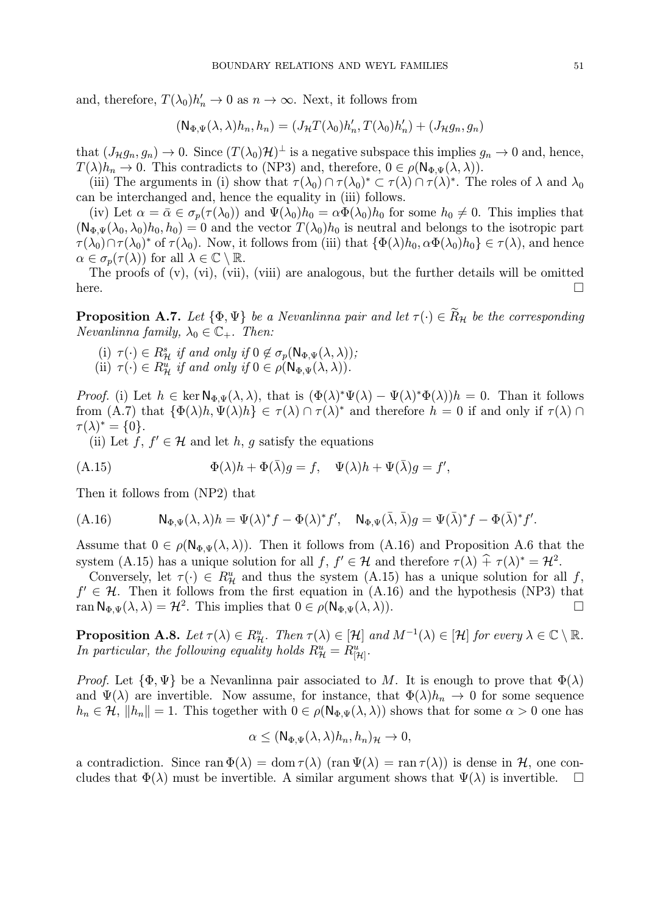and, therefore,  $T(\lambda_0)h'_n \to 0$  as  $n \to \infty$ . Next, it follows from

$$
(\mathsf{N}_{\Phi,\Psi}(\lambda,\lambda)h_n,h_n)=(J_{\mathcal{H}}T(\lambda_0)h_n',T(\lambda_0)h_n')+(J_{\mathcal{H}}g_n,g_n)
$$

that  $(J_{\mathcal{H}}g_n, g_n) \to 0$ . Since  $(T(\lambda_0)\mathcal{H})^{\perp}$  is a negative subspace this implies  $g_n \to 0$  and, hence,  $T(\lambda)h_n \to 0$ . This contradicts to (NP3) and, therefore,  $0 \in \rho(\mathsf{N}_{\Phi,\Psi}(\lambda,\lambda))$ .

(iii) The arguments in (i) show that  $\tau(\lambda_0) \cap \tau(\lambda_0)^* \subset \tau(\lambda) \cap \tau(\lambda)^*$ . The roles of  $\lambda$  and  $\lambda_0$ can be interchanged and, hence the equality in (iii) follows.

(iv) Let  $\alpha = \bar{\alpha} \in \sigma_p(\tau(\lambda_0))$  and  $\Psi(\lambda_0)h_0 = \alpha \Phi(\lambda_0)h_0$  for some  $h_0 \neq 0$ . This implies that  $(N_{\Phi,\Psi}(\lambda_0,\lambda_0)h_0, h_0) = 0$  and the vector  $T(\lambda_0)h_0$  is neutral and belongs to the isotropic part  $\tau(\lambda_0)\cap \tau(\lambda_0)^*$  of  $\tau(\lambda_0)$ . Now, it follows from (iii) that  $\{\Phi(\lambda)h_0, \alpha\Phi(\lambda_0)h_0\} \in \tau(\lambda)$ , and hence  $\alpha \in \sigma_n(\tau(\lambda))$  for all  $\lambda \in \mathbb{C} \setminus \mathbb{R}$ .

The proofs of  $(v)$ ,  $(vi)$ ,  $(vii)$ ,  $(viii)$  are analogous, but the further details will be omitted here.  $\Box$ 

**Proposition A.7.** Let  $\{\Phi, \Psi\}$  be a Nevanlinna pair and let  $\tau(\cdot) \in \widetilde{R}_H$  be the corresponding Nevanlinna family,  $\lambda_0 \in \mathbb{C}_+$ . Then:

- (i)  $\tau(\cdot) \in R^s_{\mathcal{H}}$  if and only if  $0 \notin \sigma_p(\mathsf{N}_{\Phi,\Psi}(\lambda,\lambda));$
- (ii)  $\tau(\cdot) \in R^u_{\mathcal{H}}$  if and only if  $0 \in \rho(\mathsf{N}_{\Phi,\Psi}(\lambda,\lambda)).$

*Proof.* (i) Let  $h \in \ker \mathbb{N}_{\Phi,\Psi}(\lambda,\lambda)$ , that is  $(\Phi(\lambda))^* \Psi(\lambda) - \Psi(\lambda)^* \Phi(\lambda)$  = 0. Than it follows from  $(A.7)$  that  $\{\Phi(\lambda)h, \Psi(\lambda)h\} \in \tau(\lambda) \cap \tau(\lambda)^*$  and therefore  $h = 0$  if and only if  $\tau(\lambda) \cap$  $\tau(\lambda)^* = \{0\}.$ 

(ii) Let  $f, f' \in \mathcal{H}$  and let  $h, g$  satisfy the equations

(A.15) 
$$
\Phi(\lambda)h + \Phi(\bar{\lambda})g = f, \quad \Psi(\lambda)h + \Psi(\bar{\lambda})g = f',
$$

Then it follows from (NP2) that

$$
(A.16) \t N_{\Phi,\Psi}(\lambda,\lambda)h = \Psi(\lambda)^*f - \Phi(\lambda)^*f', \quad N_{\Phi,\Psi}(\bar{\lambda},\bar{\lambda})g = \Psi(\bar{\lambda})^*f - \Phi(\bar{\lambda})^*f'.
$$

Assume that  $0 \in \rho(\mathsf{N}_{\Phi,\Psi}(\lambda,\lambda))$ . Then it follows from (A.16) and Proposition A.6 that the system (A.15) has a unique solution for all  $f, f' \in \mathcal{H}$  and therefore  $\tau(\lambda) + \tau(\lambda)^* = \mathcal{H}^2$ .

Conversely, let  $\tau(\cdot) \in R^u$  and thus the system  $(A.15)$  has a unique solution for all f,  $f' \in \mathcal{H}$ . Then it follows from the first equation in (A.16) and the hypothesis (NP3) that ran  $\mathsf{N}_{\Phi,\Psi}(\lambda,\lambda) = \mathcal{H}^2$ . This implies that  $0 \in \rho(\mathsf{N}_{\Phi,\Psi}(\lambda,\lambda))$ . ran  $\mathsf{N}_{\Phi,\Psi}(\lambda,\lambda) = \mathcal{H}^2$ . This implies that  $0 \in \rho(\mathsf{N}_{\Phi,\Psi}(\lambda,\lambda)).$ 

**Proposition A.8.** Let  $\tau(\lambda) \in R_{\mathcal{H}}^u$ . Then  $\tau(\lambda) \in [\mathcal{H}]$  and  $M^{-1}(\lambda) \in [\mathcal{H}]$  for every  $\lambda \in \mathbb{C} \setminus \mathbb{R}$ . In particular, the following equality holds  $R_{\mathcal{H}}^u = R_{\left[\mathcal{H}\right]}^u$ .

*Proof.* Let  $\{\Phi, \Psi\}$  be a Nevanlinna pair associated to M. It is enough to prove that  $\Phi(\lambda)$ and  $\Psi(\lambda)$  are invertible. Now assume, for instance, that  $\Phi(\lambda)h_n \to 0$  for some sequence  $h_n \in \mathcal{H}, \|h_n\| = 1.$  This together with  $0 \in \rho(\mathsf{N}_{\Phi,\Psi}(\lambda,\lambda))$  shows that for some  $\alpha > 0$  one has

$$
\alpha \leq (\mathsf{N}_{\Phi,\Psi}(\lambda,\lambda)h_n,h_n)_{\mathcal{H}} \to 0,
$$

a contradiction. Since ran  $\Phi(\lambda) = \text{dom } \tau(\lambda)$  (ran  $\Psi(\lambda) = \text{ran } \tau(\lambda)$ ) is dense in  $\mathcal{H}$ , one con-<br>cludes that  $\Phi(\lambda)$  must be invertible. A similar argument shows that  $\Psi(\lambda)$  is invertible. cludes that  $\Phi(\lambda)$  must be invertible. A similar argument shows that  $\Psi(\lambda)$  is invertible.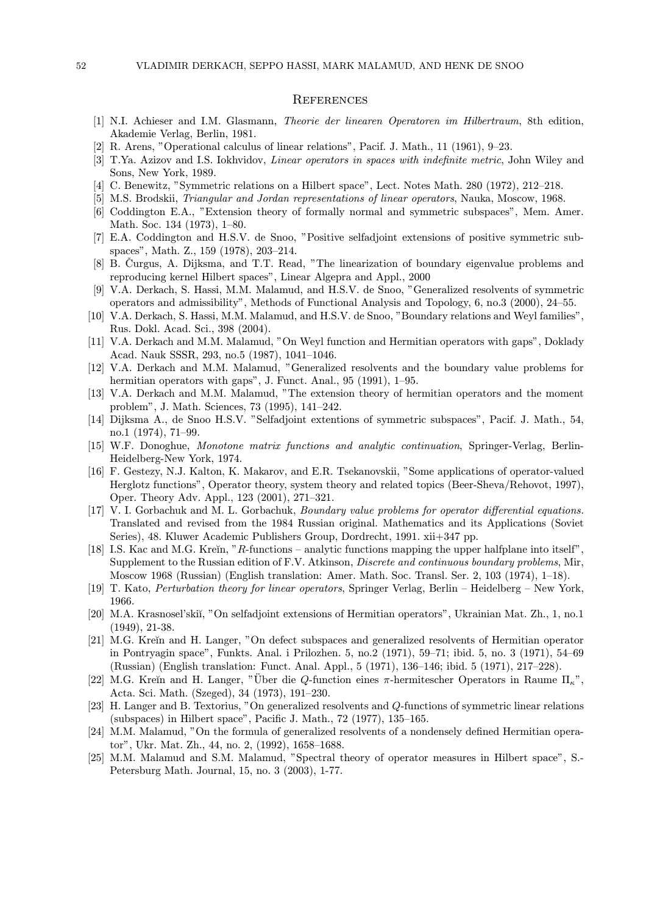#### **REFERENCES**

- [1] N.I. Achieser and I.M. Glasmann, Theorie der linearen Operatoren im Hilbertraum, 8th edition, Akademie Verlag, Berlin, 1981.
- [2] R. Arens, "Operational calculus of linear relations", Pacif. J. Math., 11 (1961), 9—23.
- [3] T.Ya. Azizov and I.S. Iokhvidov, Linear operators in spaces with indefinite metric, John Wiley and Sons, New York, 1989.
- [4] C. Benewitz, "Symmetric relations on a Hilbert space", Lect. Notes Math. 280 (1972), 212—218.
- [5] M.S. Brodskii, Triangular and Jordan representations of linear operators, Nauka, Moscow, 1968.
- [6] Coddington E.A., "Extension theory of formally normal and symmetric subspaces", Mem. Amer. Math. Soc. 134 (1973), 1—80.
- [7] E.A. Coddington and H.S.V. de Snoo, "Positive selfadjoint extensions of positive symmetric subspaces", Math. Z., 159 (1978), 203—214.
- [8] B. Curgus, A. Dijksma, and T.T. Read, "The linearization of boundary eigenvalue problems and reproducing kernel Hilbert spaces", Linear Algepra and Appl., 2000
- [9] V.A. Derkach, S. Hassi, M.M. Malamud, and H.S.V. de Snoo, "Generalized resolvents of symmetric operators and admissibility", Methods of Functional Analysis and Topology, 6, no.3 (2000), 24—55.
- [10] V.A. Derkach, S. Hassi, M.M. Malamud, and H.S.V. de Snoo, "Boundary relations and Weyl families", Rus. Dokl. Acad. Sci., 398 (2004).
- [11] V.A. Derkach and M.M. Malamud, "On Weyl function and Hermitian operators with gaps", Doklady Acad. Nauk SSSR, 293, no.5 (1987), 1041—1046.
- [12] V.A. Derkach and M.M. Malamud, "Generalized resolvents and the boundary value problems for hermitian operators with gaps", J. Funct. Anal., 95 (1991), 1–95.
- [13] V.A. Derkach and M.M. Malamud, "The extension theory of hermitian operators and the moment problem", J. Math. Sciences, 73 (1995), 141—242.
- [14] Dijksma A., de Snoo H.S.V. "Selfadjoint extentions of symmetric subspaces", Pacif. J. Math., 54, no.1 (1974), 71—99.
- [15] W.F. Donoghue, Monotone matrix functions and analytic continuation, Springer-Verlag, Berlin-Heidelberg-New York, 1974.
- [16] F. Gestezy, N.J. Kalton, K. Makarov, and E.R. Tsekanovskii, "Some applications of operator-valued Herglotz functions", Operator theory, system theory and related topics (Beer-Sheva/Rehovot, 1997), Oper. Theory Adv. Appl., 123 (2001), 271—321.
- [17] V. I. Gorbachuk and M. L. Gorbachuk, Boundary value problems for operator differential equations. Translated and revised from the 1984 Russian original. Mathematics and its Applications (Soviet Series), 48. Kluwer Academic Publishers Group, Dordrecht, 1991. xii+347 pp.
- [18] I.S. Kac and M.G. Kreĭn, "R-functions analytic functions mapping the upper halfplane into itself", Supplement to the Russian edition of F.V. Atkinson, *Discrete and continuous boundary problems*, Mir, Moscow 1968 (Russian) (English translation: Amer. Math. Soc. Transl. Ser. 2, 103 (1974), 1—18).
- [19] T. Kato, Perturbation theory for linear operators, Springer Verlag, Berlin Heidelberg New York, 1966.
- [20] M.A. Krasnosel'skiı̆, "On selfadjoint extensions of Hermitian operators", Ukrainian Mat. Zh., 1, no.1 (1949), 21-38.
- [21] M.G. Kreĭn and H. Langer, "On defect subspaces and generalized resolvents of Hermitian operator in Pontryagin space", Funkts. Anal. i Prilozhen. 5, no.2 (1971), 59—71; ibid. 5, no. 3 (1971), 54—69 (Russian) (English translation: Funct. Anal. Appl., 5 (1971), 136—146; ibid. 5 (1971), 217—228).
- [22] M.G. Kreĭn and H. Langer, "Über die Q-function eines π-hermitescher Operators in Raume  $\Pi_{\kappa}$ ", Acta. Sci. Math. (Szeged), 34 (1973), 191—230.
- [23] H. Langer and B. Textorius, "On generalized resolvents and Q-functions of symmetric linear relations (subspaces) in Hilbert space", Pacific J. Math., 72 (1977), 135—165.
- [24] M.M. Malamud, "On the formula of generalized resolvents of a nondensely defined Hermitian operator", Ukr. Mat. Zh., 44, no. 2, (1992), 1658—1688.
- [25] M.M. Malamud and S.M. Malamud, "Spectral theory of operator measures in Hilbert space", S.- Petersburg Math. Journal, 15, no. 3 (2003), 1-77.